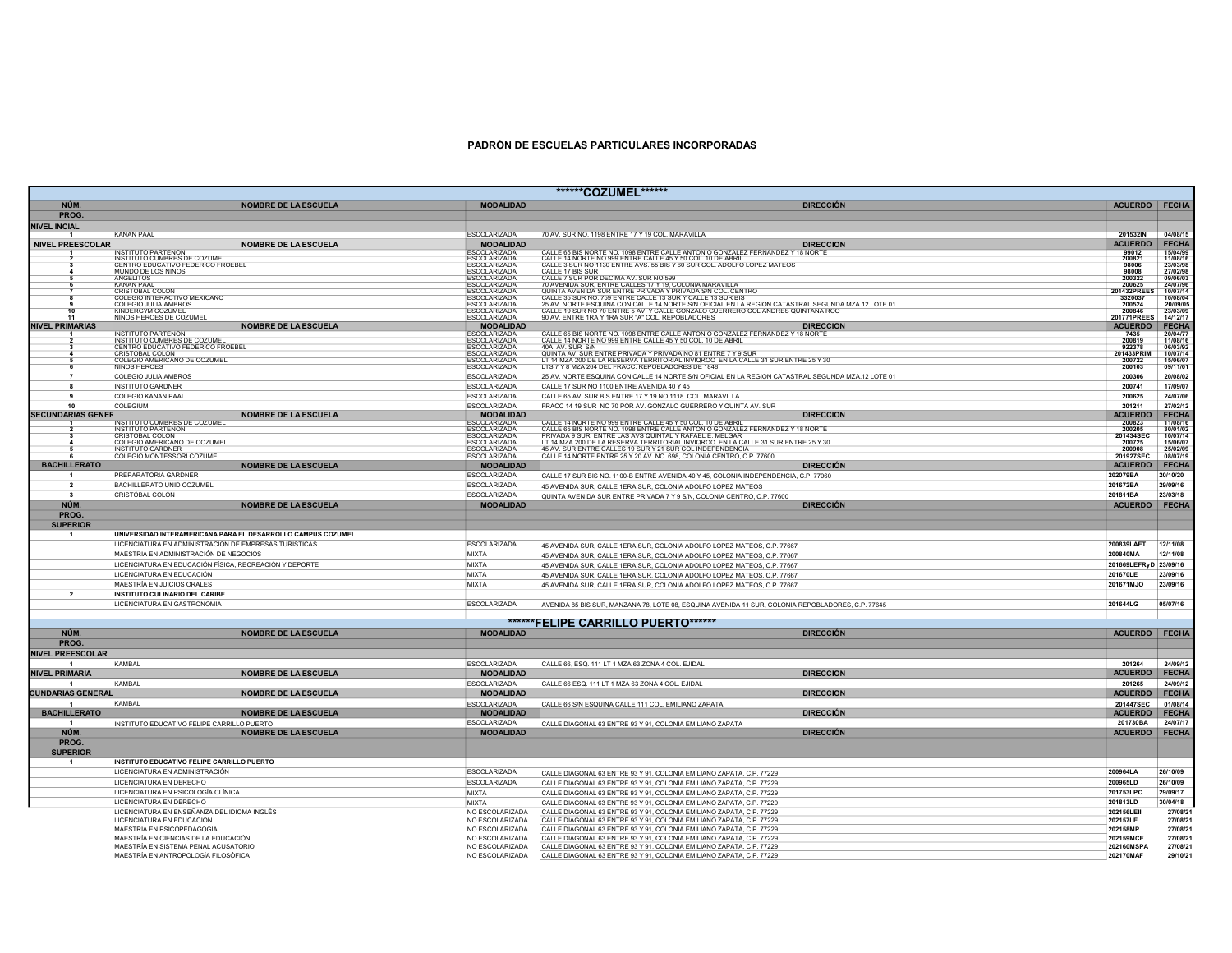## PADRÓN DE ESCUELAS PARTICULARES INCORPORADAS

|                          |                                                                         |                                            | *******COZUMEL*******                                                                                                                                                                                                                   |                                                    |
|--------------------------|-------------------------------------------------------------------------|--------------------------------------------|-----------------------------------------------------------------------------------------------------------------------------------------------------------------------------------------------------------------------------------------|----------------------------------------------------|
| NÚM.                     | <b>NOMBRE DE LA ESCUELA</b>                                             | <b>MODALIDAD</b>                           | <b>DIRECCIÓN</b>                                                                                                                                                                                                                        | ACUERDO FECHA                                      |
| <b>PROG</b>              |                                                                         |                                            |                                                                                                                                                                                                                                         |                                                    |
| NIVEL INCIAL             | <b>KANAN PAAL</b>                                                       | <b>ESCOLARIZADA</b>                        | 70 AV. SUR NO. 1198 ENTRE 17 Y 19 COL. MARAVILLA                                                                                                                                                                                        | 201532IN<br>04/08/15                               |
| <b>NIVEL PREESCOLAR</b>  | <b>NOMBRE DE LA ESCUELA</b>                                             | <b>MODALIDAD</b>                           | <b>DIRECCION</b>                                                                                                                                                                                                                        | <b>ACUERDO</b><br><b>FECHA</b>                     |
|                          | <b>INSTITUTO PARTENON</b>                                               | <b>ESCOLARIZADA</b>                        | CALLE 65 BIS NORTE NO. 1098 ENTRE CALLE ANTONIO GONZALEZ FERNANDEZ Y 18 NORTE                                                                                                                                                           | 15/04/99<br>99012                                  |
|                          | <b>INSTITUTO CUMBRES DE COZUME</b><br>CENTRO EDUCATIVO FEDERICO FROEBEL | <b>ESCOLARIZADA</b><br><b>ESCOLARIZADA</b> | CALLE 14 NORTE NO 999 ENTRE CALLE 45 Y 50 COL. 10 DE ABRIL<br>CALLE 3 SUR NO 1130 ENTRE AVS. 55 BIS Y 60 SUR COL. ADOLFO LOPEZ MATEOS                                                                                                   | 11/08/16<br>200821<br>23/03/98<br>98006            |
|                          | MUNDO DE LOS NINOS                                                      | <b>ESCOLARIZADA</b>                        | CALLE 17 BIS SUR                                                                                                                                                                                                                        | 98008<br>27/02/98                                  |
|                          | <b>ANGELITOS</b>                                                        | <b>ESCOLARIZADA</b>                        | CALLE 7 SUR POR DECIMA AV. SUR NO 599                                                                                                                                                                                                   | 200322<br>09/06/03<br>200625                       |
|                          | <b>KANAN PAAL</b><br>CRISTOBAL COLON                                    | ESCOLARIZADA<br><b>ESCOLARIZADA</b>        | 70 AVENIDA SUR, ENTRE CALLES 17 Y 19, COLONIA MARAVILLA                                                                                                                                                                                 | 24/07/96<br>201432PREES<br>10/07/14                |
|                          | COLEGIO INTERACTIVO MEXICANO                                            | <b>ESCOLARIZADA</b><br>ESCOLARIZADA        |                                                                                                                                                                                                                                         | 3320037<br>10/08/04<br>200524<br>20/09/05          |
|                          | KINDERGYM COZUMEL                                                       | ESCOLARIZADA                               | Í QUINTA AVENIDA SUR ENTRE PRIVADA V PRIVADA SIN COL CENTRO<br>I CALLE 35 SUR NO. 759 ENTRE CALLE 13 SUR Y CALLE 13 SUR BIS<br>I CALLE 35 SUR NO. 759 ENTRE CALLE 13 SUR Y CALLE 13 SUR BIS<br>I CALLE 19 SUR NO 70 ENTRE 5 AV. Y CALLE | 200846<br>23/03/09                                 |
|                          | NINOS HEROES DE COZUMEL                                                 | <b>ESCOLARIZADA</b>                        | 90 AV, ENTRE 1RA Y 1RA SUR "A" COL, REPOBLADORES                                                                                                                                                                                        | 201771PREES<br>14/12/17                            |
| <b>NIVEL PRIMARIAS</b>   | <b>NOMBRE DE LA ESCUELA</b>                                             | <b>MODALIDAD</b><br><b>SCOLARIZADA</b>     | <b>DIRECCION</b>                                                                                                                                                                                                                        | <b>ACUERDO</b><br><b>FECHA</b><br>7435<br>20/04/77 |
|                          | INSTITUTO PARTENON<br>INSTITUTO CUMBRES DE COZUMEL                      | ESCOLARIZADA                               | CALLE 65 BIS NORTE NO. 1098 ENTRE CALLE ANTONIO GONZALEZ FERNANDEZ Y 18 NORTE<br>CALLE 14 NORTE NO 999 ENTRE CALLE 45 Y 50 COL. 10 DE ABRIL                                                                                             | 11/08/16<br>200819                                 |
|                          | CENTRO EDUCATIVO FEDERICO FROEBEL                                       | <b>ESCOLARIZADA</b>                        | 40A AV. SUR S/N                                                                                                                                                                                                                         | 06/03/92<br>922378                                 |
|                          | CRISTOBAL COLON<br>COLEGIO AMERICANO DE COZUMEL                         | ESCOLARIZADA                               | QUINTA AV. SUR ENTRE PRIVADA Y PRIVADA NO 81 ENTRE 7 Y 9 SUR<br>LT 14 MZA 200 DE LA RESERVA TERRITORIAL INVIOROO EN LA CALLE 31 SUR ENTRE 25 Y 30<br>LTS 7 Y 8 MZA 264 DEL FRACC. REPOBLADORES DE 1848                                  | 10/07/14<br>201433PRIM<br>200722<br>15/06/07       |
|                          | <b>NINOS HEROES</b>                                                     | <b>ESCOLARIZADA</b>                        |                                                                                                                                                                                                                                         | 200103<br>09/11/01                                 |
|                          | COLEGIO JULIA AMBROS                                                    | <b>ESCOLARIZADA</b>                        | 25 AV. NORTE ESQUINA CON CALLE 14 NORTE S/N OFICIAL EN LA REGION CATASTRAL SEGUNDA MZA.12 LOTE 01                                                                                                                                       | 20/08/02<br>200306                                 |
|                          | <b>INSTITUTO GARDNER</b>                                                | <b>ESCOLARIZADA</b>                        | CALLE 17 SUR NO 1100 ENTRE AVENIDA 40 Y 45                                                                                                                                                                                              | 200741<br>17/09/07                                 |
|                          | <b>COLEGIO KANAN PAAL</b>                                               | <b>ESCOLARIZADA</b>                        | CALLE 65 AV. SUR BIS ENTRE 17 Y 19 NO 1118 COL. MARAVILLA                                                                                                                                                                               | 24/07/06<br>200625                                 |
|                          | COLEGIUM                                                                | <b>ESCOLARIZADA</b>                        | FRACC 14 19 SUR NO 70 POR AV. GONZALO GUERRERO Y QUINTA AV. SUR                                                                                                                                                                         | 27/02/12<br>201211                                 |
| <b>SECUNDARIAS GENEI</b> | <b>NOMBRE DE LA ESCUELA</b>                                             | <b>MODALIDAD</b>                           | <b>DIRECCION</b>                                                                                                                                                                                                                        | <b>ACUERDO</b><br><b>FECHA</b>                     |
|                          | <b>INSTITUTO CUMBRES DE COZUMEL</b><br><b>INSTITUTO PARTENON</b>        | <b>SCOLARIZADA</b><br><b>ESCOLARIZADA</b>  | CALLE 14 NORTE NO 999 ENTRE CALLE 45 Y 50 COL. 10 DE ABRIL<br>CALLE 65 BIS NORTE NO. 1098 ENTRE CALLE ANTONIO GONZALEZ FERNANDEZ Y 18 NORTE                                                                                             | 11/08/16<br>200823<br>200205<br>30/01/02           |
|                          | CRISTOBAL COLON                                                         | <b>ESCOLARIZADA</b>                        | PRIVADA 9 SUR ENTRE LAS AVS QUINTAL Y RAFAEL E. MELGAR                                                                                                                                                                                  | 201434SEC<br>10/07/14                              |
|                          | COLEGIO AMERICANO DE COZUMEL                                            | <b>ESCOLARIZADA</b>                        | LT 14 MZA 200 DE LA RESERVA TERRITORIAL INVIQROO EN LA CALLE 31 SUR ENTRE 25 Y 30                                                                                                                                                       | 200725<br>15/06/07<br>200908<br>25/02/09           |
|                          | <b>INSTITUTO GARDNER</b><br>COLEGIO MONTESSORI COZUMEL                  | <b>ESCOLARIZADA</b><br><b>ESCOLARIZADA</b> | 45 AV. SUR ENTRE CALLES 19 SUR Y 21 SUR COL INDEPENDENCIA<br>CALLE 14 NORTE ENTRE 25 Y 20 AV. NO. 698, COLONIA CENTRO, C.P. 77600                                                                                                       | 08/07/19<br>201927SEC                              |
| <b>BACHILLERATO</b>      | <b>NOMBRE DE LA ESCUELA</b>                                             | <b>MODALIDAD</b>                           | <b>DIRECCIÓN</b>                                                                                                                                                                                                                        | <b>FECHA</b><br><b>ACUERDO</b>                     |
| $\mathbf{1}$             | PREPARATORIA GARDNER                                                    | <b>ESCOLARIZADA</b>                        | CALLE 17 SUR BIS NO. 1100-B ENTRE AVENIDA 40 Y 45, COLONIA INDEPENDENCIA, C.P. 77060                                                                                                                                                    | 202079BA<br>20/10/20                               |
| $\overline{2}$           | BACHILLERATO UNID COZUMEL                                               | <b>ESCOLARIZADA</b>                        |                                                                                                                                                                                                                                         | 201672BA<br>29/09/16                               |
| $\mathbf{3}$             | CRISTÓBAL COLÓN                                                         | <b>ESCOLARIZADA</b>                        | 45 AVENIDA SUR, CALLE 1ERA SUR, COLONIA ADOLFO LÓPEZ MATEOS                                                                                                                                                                             | 23/03/18<br>201811BA                               |
| NÚM.                     | <b>NOMBRE DE LA ESCUELA</b>                                             | <b>MODALIDAD</b>                           | QUINTA AVENIDA SUR ENTRE PRIVADA 7 Y 9 S/N, COLONIA CENTRO, C.P. 77600<br><b>DIRECCIÓN</b>                                                                                                                                              | FECHA<br><b>ACUERDO</b>                            |
| PROG.                    |                                                                         |                                            |                                                                                                                                                                                                                                         |                                                    |
| <b>SUPERIOR</b>          |                                                                         |                                            |                                                                                                                                                                                                                                         |                                                    |
| $\mathbf{1}$             | UNIVERSIDAD INTERAMERICANA PARA EL DESARROLLO CAMPUS COZUMEL            |                                            |                                                                                                                                                                                                                                         |                                                    |
|                          | LICENCIATURA EN ADMINISTRACION DE EMPRESAS TURISTICAS                   | <b>ESCOLARIZADA</b>                        | 45 AVENIDA SUR, CALLE 1ERA SUR, COLONIA ADOLFO LÓPEZ MATEOS, C.P. 77667                                                                                                                                                                 | 200839LAET<br>12/11/08                             |
|                          | MAESTRIA EN ADMINISTRACIÓN DE NEGOCIOS                                  | <b>MIXTA</b>                               | 45 AVENIDA SUR, CALLE 1ERA SUR, COLONIA ADOLFO LÓPEZ MATEOS, C.P. 77667                                                                                                                                                                 | 200840MA<br>12/11/08                               |
|                          | LICENCIATURA EN EDUCACIÓN FÍSICA, RECREACIÓN Y DEPORTE                  | <b>MIXTA</b>                               | 45 AVENIDA SUR, CALLE 1ERA SUR, COLONIA ADOLFO LÓPEZ MATEOS, C.P. 77667                                                                                                                                                                 | 201669LEFRyD 23/09/16                              |
|                          | LICENCIATURA EN EDUCACIÓN                                               | <b>MIXTA</b>                               | 45 AVENIDA SUR, CALLE 1ERA SUR, COLONIA ADOLFO LÓPEZ MATEOS, C.P. 77667                                                                                                                                                                 | 201670LE<br>23/09/16                               |
|                          | MAESTRÍA EN JUICIOS ORALES                                              | <b>MIXTA</b>                               |                                                                                                                                                                                                                                         | 201671MJO<br>23/09/16                              |
| $\overline{2}$           |                                                                         |                                            | 45 AVENIDA SUR, CALLE 1ERA SUR, COLONIA ADOLFO LÓPEZ MATEOS, C.P. 77667                                                                                                                                                                 |                                                    |
|                          | <b>INSTITUTO CULINARIO DEL CARIBE</b>                                   | <b>ESCOLARIZADA</b>                        |                                                                                                                                                                                                                                         | 201644LG<br>05/07/16                               |
|                          | LICENCIATURA EN GASTRONOMÍA                                             |                                            | AVENIDA 85 BIS SUR, MANZANA 78, LOTE 08, ESQUINA AVENIDA 11 SUR, COLONIA REPOBLADORES, C.P. 77645                                                                                                                                       |                                                    |
|                          |                                                                         |                                            |                                                                                                                                                                                                                                         |                                                    |
| NÚM.                     | <b>NOMBRE DE LA ESCUELA</b>                                             | <b>MODALIDAD</b>                           | <b>DIRECCIÓN</b>                                                                                                                                                                                                                        | <b>ACUERDO</b><br><b>FECHA</b>                     |
| <b>PROG</b>              |                                                                         |                                            |                                                                                                                                                                                                                                         |                                                    |
| <b>NIVEL PREESCOLAR</b>  |                                                                         |                                            |                                                                                                                                                                                                                                         |                                                    |
|                          |                                                                         |                                            |                                                                                                                                                                                                                                         |                                                    |
| <b>NIVEL PRIMARIA</b>    | KAMBAI                                                                  | <b>ESCOLARIZADA</b>                        | CALLE 66, ESQ. 111 LT 1 MZA 63 ZONA 4 COL. EJIDAL<br><b>DIRECCION</b>                                                                                                                                                                   | 24/09/12<br>201264                                 |
|                          | <b>NOMBRE DE LA ESCUELA</b>                                             | <b>MODALIDAD</b>                           |                                                                                                                                                                                                                                         | <b>ACUERDO</b><br><b>FECHA</b>                     |
|                          | KAMBAI                                                                  | <b>FSCOLARIZADA</b>                        | CALLE 66 ESQ. 111 LT 1 MZA 63 ZONA 4 COL. EJIDAL                                                                                                                                                                                        | 201265<br>24/09/12                                 |
| CUNDARIAS GENERAI        | <b>NOMBRE DE LA ESCUELA</b>                                             | <b>MODALIDAD</b>                           | <b>DIRECCION</b>                                                                                                                                                                                                                        | <b>ACUERDO</b><br><b>FECHA</b>                     |
|                          | KAMBAI                                                                  | <b>ESCOLARIZADA</b>                        | CALLE 66 S/N ESQUINA CALLE 111 COL. EMILIANO ZAPATA                                                                                                                                                                                     | 01/08/14<br>201447SEC                              |
| <b>BACHILLERATO</b>      | <b>NOMBRE DE LA ESCUELA</b>                                             | <b>MODALIDAD</b>                           | <b>DIRECCIÓN</b>                                                                                                                                                                                                                        | <b>FECHA</b><br><b>ACUERDO</b>                     |
|                          | INSTITUTO EDUCATIVO FELIPE CARRILLO PUERTO                              | <b>ESCOLARIZADA</b>                        | CALLE DIAGONAL 63 ENTRE 93 Y 91, COLONIA EMILIANO ZAPATA                                                                                                                                                                                | 24/07/17<br>201730BA                               |
| NÚM.                     | <b>NOMBRE DE LA ESCUELA</b>                                             | <b>MODALIDAD</b>                           | <b>DIRECCIÓN</b>                                                                                                                                                                                                                        | <b>FECHA</b><br><b>ACUERDO</b>                     |
| PROG.                    |                                                                         |                                            |                                                                                                                                                                                                                                         |                                                    |
| <b>SUPERIOR</b>          |                                                                         |                                            |                                                                                                                                                                                                                                         |                                                    |
| $\overline{1}$           | INSTITUTO EDUCATIVO FELIPE CARRILLO PUERTO                              |                                            |                                                                                                                                                                                                                                         |                                                    |
|                          | LICENCIATURA EN ADMINISTRACIÓN                                          | <b>ESCOLARIZADA</b>                        | CALLE DIAGONAL 63 ENTRE 93 Y 91, COLONIA EMILIANO ZAPATA, C.P. 77229                                                                                                                                                                    | 200964LA<br>26/10/09                               |
|                          | LICENCIATURA EN DERECHO                                                 | <b>ESCOLARIZADA</b>                        | CALLE DIAGONAL 63 ENTRE 93 Y 91, COLONIA EMILIANO ZAPATA, C.P. 77229                                                                                                                                                                    | 26/10/09<br>200965LD                               |
|                          | LICENCIATURA EN PSICOLOGÍA CLÍNICA                                      | MIXTA                                      | CALLE DIAGONAL 63 ENTRE 93 Y 91, COLONIA EMILIANO ZAPATA, C.P. 77229                                                                                                                                                                    | 201753LPC<br>29/09/17                              |
|                          | LICENCIATURA EN DERECHO                                                 | <b>MIXTA</b>                               | CALLE DIAGONAL 63 ENTRE 93 Y 91, COLONIA EMILIANO ZAPATA, C.P. 77229                                                                                                                                                                    | 201813LD<br>30/04/18                               |
|                          | LICENCIATURA EN ENSEÑANZA DEL IDIOMA INGLÉS                             | NO ESCOLARIZADA                            | CALLE DIAGONAL 63 ENTRE 93 Y 91, COLONIA EMILIANO ZAPATA, C.P. 77229                                                                                                                                                                    | 202156LEII<br>27/08/21                             |
|                          | LICENCIATURA EN EDUCACIÓN                                               | NO ESCOLARIZADA                            | CALLE DIAGONAL 63 ENTRE 93 Y 91, COLONIA EMILIANO ZAPATA, C.P. 77229                                                                                                                                                                    | 202157LE<br>27/08/2                                |
|                          | MAESTRÍA EN PSICOPEDAGOGIA                                              | NO ESCOLARIZADA                            | CALLE DIAGONAL 63 ENTRE 93 Y 91, COLONIA EMILIANO ZAPATA, C.P. 77229                                                                                                                                                                    | 27/08/21<br>202158MP                               |
|                          | MAESTRÍA EN CIENCIAS DE LA EDUCACIÓN                                    | NO ESCOLARIZADA                            | CALLE DIAGONAL 63 ENTRE 93 Y 91, COLONIA EMILIANO ZAPATA, C.P. 77229                                                                                                                                                                    | 27/08/21<br>202159MCE                              |
|                          | MAESTRÍA EN SISTEMA PENAL ACUSATORIO                                    | NO ESCOLARIZADA                            | CALLE DIAGONAL 63 ENTRE 93 Y 91, COLONIA EMILIANO ZAPATA, C.P. 77229                                                                                                                                                                    | 202160MSPA<br>27/08/21                             |
|                          | MAESTRÍA EN ANTROPOLOGÍA FILOSÓFICA                                     | NO ESCOLARIZADA                            | CALLE DIAGONAL 63 ENTRE 93 Y 91, COLONIA EMILIANO ZAPATA, C.P. 77229                                                                                                                                                                    | 202170MAF<br>29/10/21                              |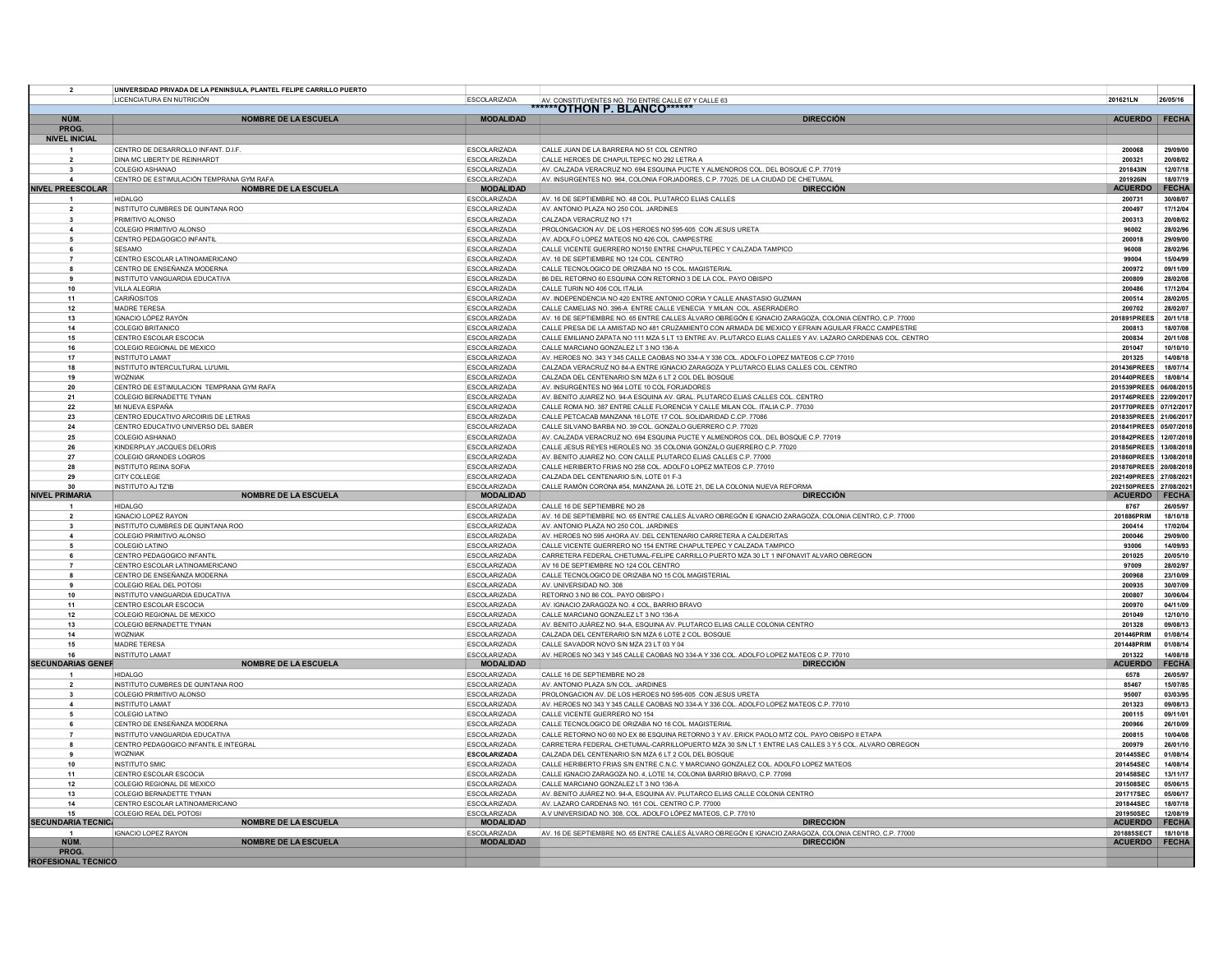| $\overline{2}$                            | UNIVERSIDAD PRIVADA DE LA PENINSULA, PLANTEL FELIPE CARRILLO PUERTO |                                            |                                                                                                                                                                        |                                                  |                      |
|-------------------------------------------|---------------------------------------------------------------------|--------------------------------------------|------------------------------------------------------------------------------------------------------------------------------------------------------------------------|--------------------------------------------------|----------------------|
|                                           | LICENCIATURA EN NUTRICIÓN                                           | <b>ESCOLARIZADA</b>                        | AV. CONSTITUYENTES NO. 750 ENTRE CALLE 67 Y CALLE 63                                                                                                                   | 201621LN                                         | 26/05/16             |
| NÚM.                                      | <b>NOMBRE DE LA ESCUELA</b>                                         | <b>MODALIDAD</b>                           | <b>DIRECCIÓN</b>                                                                                                                                                       | ACUERDO FECHA                                    |                      |
| PROG.                                     |                                                                     |                                            |                                                                                                                                                                        |                                                  |                      |
| <b>NIVEL INICIAL</b>                      |                                                                     |                                            |                                                                                                                                                                        |                                                  |                      |
|                                           | CENTRO DE DESARROLLO INFANT. D.I.F.                                 | <b>ESCOLARIZADA</b>                        | CALLE JUAN DE LA BARRERA NO 51 COL CENTRO                                                                                                                              | 200068                                           | 29/09/00             |
| $\overline{2}$                            | DINA MC LIBERTY DE REINHARDT                                        | <b>ESCOLARIZADA</b>                        | CALLE HEROES DE CHAPULTEPEC NO 292 LETRA A                                                                                                                             | 200321                                           | 20/08/02             |
| $\overline{\mathbf{3}}$<br>$\overline{a}$ | <b>COLEGIO ASHANAO</b><br>CENTRO DE ESTIMULACIÓN TEMPRANA GYM RAFA  | <b>ESCOLARIZADA</b><br><b>ESCOLARIZADA</b> | AV. CALZADA VERACRUZ NO. 694 ESQUINA PUCTE Y ALMENDROS COL. DEL BOSQUE C.P. 77019<br>AV. INSURGENTES NO. 964, COLONIA FORJADORES, C.P. 77025, DE LA CIUDAD DE CHETUMAL | 201843IN<br>201926IN                             | 12/07/18<br>18/07/19 |
| <b>NIVEL PREESCOLAR</b>                   | <b>NOMBRE DE LA ESCUELA</b>                                         | <b>MODALIDAD</b>                           | <b>DIRECCIÓN</b>                                                                                                                                                       | <b>ACUERDC</b>                                   | <b>FECHA</b>         |
| $\mathbf{1}$                              | <b>HIDALGO</b>                                                      | <b>ESCOLARIZADA</b>                        | AV. 16 DE SEPTIEMBRE NO. 48 COL. PLUTARCO ELIAS CALLES                                                                                                                 | 200731                                           | 30/08/07             |
| $\overline{\mathbf{2}}$                   | INSTITUTO CUMBRES DE QUINTANA ROO                                   | <b>ESCOLARIZADA</b>                        | AV. ANTONIO PLAZA NO 250 COL. JARDINES                                                                                                                                 | 200497                                           | 17/12/04             |
|                                           | PRIMITIVO ALONSO                                                    | <b>ESCOLARIZADA</b>                        | CALZADA VERACRUZ NO 171                                                                                                                                                | 200313                                           | 20/08/02             |
|                                           | COLEGIO PRIMITIVO ALONSO                                            | <b>ESCOLARIZADA</b>                        | PROLONGACION AV. DE LOS HEROES NO 595-605 CON JESUS URETA                                                                                                              | 96002                                            | 28/02/96             |
|                                           | CENTRO PEDAGOGICO INFANTIL                                          | ESCOLARIZADA                               | AV. ADOLFO LOPEZ MATEOS NO 426 COL. CAMPESTRE                                                                                                                          | 200018                                           | 29/09/00             |
|                                           | <b>SESAMO</b><br>CENTRO ESCOLAR LATINOAMERICANO                     | <b>ESCOLARIZADA</b>                        | CALLE VICENTE GUERRERO NO150 ENTRE CHAPULTEPEC Y CALZADA TAMPICO<br>AV. 16 DE SEPTIEMBRE NO 124 COL. CENTRO                                                            | 96008                                            | 28/02/96<br>15/04/99 |
| 8                                         | CENTRO DE ENSEÑANZA MODERNA                                         | <b>ESCOLARIZADA</b><br><b>ESCOLARIZADA</b> | CALLE TECNOLOGICO DE ORIZABA NO 15 COL. MAGISTERIAL                                                                                                                    | 99004<br>200972                                  | 09/11/09             |
|                                           | INSTITUTO VANGUARDIA EDUCATIVA                                      | <b>ESCOLARIZADA</b>                        | 86 DEL RETORNO 60 ESQUINA CON RETORNO 3 DE LA COL. PAYO OBISPO                                                                                                         | 200809                                           | 28/02/08             |
| 10                                        | VILLA ALEGRIA                                                       | <b>ESCOLARIZADA</b>                        | CALLE TURIN NO 406 COL ITALIA                                                                                                                                          | 200486                                           | 17/12/04             |
| 11                                        | CARIÑOSITOS                                                         | <b>ESCOLARIZADA</b>                        | AV. INDEPENDENCIA NO 420 ENTRE ANTONIO CORIA Y CALLE ANASTASIO GUZMAN                                                                                                  | 200514                                           | 28/02/05             |
| 12                                        | <b>MADRE TERESA</b>                                                 | <b>ESCOLARIZADA</b>                        | CALLE CAMELIAS NO. 396-A ENTRE CALLE VENECIA Y MILAN COL. ASERRADERO                                                                                                   | 200702                                           | 28/02/07             |
| 13                                        | IGNACIO LÓPEZ RAYÓN                                                 | <b>ESCOLARIZADA</b>                        | AV. 16 DE SEPTIEMBRE NO. 65 ENTRE CALLES ÁLVARO OBREGÓN E IGNACIO ZARAGOZA, COLONIA CENTRO, C.P. 77000                                                                 | 201891PREES                                      | 20/11/18             |
| 14                                        | <b>COLEGIO BRITANICO</b>                                            | <b>ESCOLARIZADA</b>                        | CALLE PRESA DE LA AMISTAD NO 481 CRUZAMIENTO CON ARMADA DE MEXICO Y EFRAIN AGUILAR FRACC CAMPESTRE                                                                     | 200813                                           | 18/07/08             |
| 15                                        | CENTRO ESCOLAR ESCOCIA                                              | <b>ESCOLARIZADA</b>                        | CALLE EMILIANO ZAPATA NO 111 MZA 5 LT 13 ENTRE AV. PLUTARCO ELIAS CALLES Y AV. LAZARO CARDENAS COL. CENTRO                                                             | 200834                                           | 20/11/08             |
| 16<br>17                                  | COLEGIO REGIONAL DE MEXICO<br><b>INSTITUTO LAMAT</b>                | <b>ESCOLARIZADA</b><br><b>ESCOLARIZADA</b> | CALLE MARCIANO GONZALEZ LT 3 NO 136-A<br>AV. HEROES NO. 343 Y 345 CALLE CAOBAS NO 334-A Y 336 COL. ADOLFO LOPEZ MATEOS C.CP 77010                                      | 201047<br>201325                                 | 10/10/10<br>14/08/18 |
| 18                                        | INSTITUTO INTERCULTURAL LU'UMIL                                     | <b>ESCOLARIZADA</b>                        | CALZADA VERACRUZ NO 84-A ENTRE IGNACIO ZARAGOZA Y PLUTARCO ELIAS CALLES COL. CENTRO                                                                                    | 201436PREES                                      | 18/07/14             |
| 19                                        | <b>WOZNIAK</b>                                                      | <b>ESCOLARIZADA</b>                        | CALZADA DEL CENTENARIO S/N MZA 6 LT 2 COL DEL BOSQUE                                                                                                                   | 201440PREES                                      | 18/08/14             |
| 20                                        | CENTRO DE ESTIMULACION TEMPRANA GYM RAFA                            | <b>ESCOLARIZADA</b>                        | AV. INSURGENTES NO 964 LOTE 10 COL FORJADORES                                                                                                                          | 201539PREES 06/08/2015                           |                      |
| 21                                        | COLEGIO BERNADETTE TYNAN                                            | <b>ESCOLARIZADA</b>                        | AV. BENITO JUAREZ NO. 94-A ESQUINA AV. GRAL. PLUTARCO ELIAS CALLES COL. CENTRO                                                                                         | 201746PREES 22/09/2017                           |                      |
| 22                                        | MI NUEVA ESPAÑA                                                     | <b>ESCOLARIZADA</b>                        | CALLE ROMA NO. 387 ENTRE CALLE FLORENCIA Y CALLE MILAN COL. ITALIA C.P 77030                                                                                           | 201770PREES 07/12/2017                           |                      |
| 23                                        | CENTRO EDUCATIVO ARCOIRIS DE LETRAS                                 | <b>ESCOLARIZADA</b>                        | CALLE PETCACAB MANZANA 16 LOTE 17 COL. SOLIDARIDAD C.CP. 77086                                                                                                         | 201835PREES 21/06/2017                           |                      |
| 24                                        | CENTRO EDUCATIVO UNIVERSO DEL SABER                                 | <b>ESCOLARIZADA</b>                        | CALLE SILVANO BARBA NO. 39 COL. GONZALO GUERRERO C.P. 77020                                                                                                            | 201841PREES 05/07/2018                           |                      |
| 25<br>26                                  | COLEGIO ASHANAO<br>KINDERPLAY JACQUES DELORIS                       | <b>ESCOLARIZADA</b><br><b>ESCOLARIZADA</b> | AV. CALZADA VERACRUZ NO. 694 ESQUINA PUCTE Y ALMENDROS COL. DEL BOSQUE C.P. 77019<br>CALLE JESUS REYES HEROLES NO. 35 COLONIA GONZALO GUERRERO C.P. 77020              | 201842PREES 12/07/2018<br>201856PREES 13/08/2018 |                      |
| 27                                        | COLEGIO GRANDES LOGROS                                              | ESCOLARIZADA                               | AV. BENITO JUAREZ NO. CON CALLE PLUTARCO ELIAS CALLES C.P. 77000                                                                                                       | 201860PREES 13/08/2018                           |                      |
| 28                                        | <b>INSTITUTO REINA SOFIA</b>                                        | <b>ESCOLARIZADA</b>                        | CALLE HERIBERTO FRIAS NO 258 COL. ADOLFO LOPEZ MATEOS C.P. 77010                                                                                                       | 201876PREES 20/08/2018                           |                      |
| 29                                        | CITY COLLEGE                                                        | ESCOLARIZADA                               | CALZADA DEL CENTENARIO S/N. LOTE 01 F-3                                                                                                                                | 202149PREES 27/08/2021                           |                      |
| 30                                        | <b>INSTITUTO AJ TZ'IB</b>                                           | <b>FSCOLARIZADA</b>                        | CALLE RAMÓN CORONA #54, MANZANA 26, LOTE 21, DE LA COLONIA NUEVA REFORMA                                                                                               | 202150PREES 27/08/2021                           |                      |
| <b>NIVEL PRIMARIA</b>                     | <b>NOMBRE DE LA ESCUELA</b>                                         | <b>MODALIDAD</b>                           | <b>DIRECCIÓN</b>                                                                                                                                                       | <b>ACUERDO</b>                                   | <b>FECHA</b>         |
|                                           | <b>HIDALGO</b>                                                      | ESCOLARIZADA                               | CALLE 16 DE SEPTIEMBRE NO 28                                                                                                                                           | 8767                                             | 26/05/97             |
| $\overline{2}$<br>$\mathbf{3}$            | <b>IGNACIO LOPEZ RAYON</b><br>INSTITUTO CUMBRES DE QUINTANA ROO     | <b>ESCOLARIZADA</b>                        | AV. 16 DE SEPTIEMBRE NO. 65 ENTRE CALLES ÁLVARO OBREGÓN E IGNACIO ZARAGOZA, COLONIA CENTRO, C.P. 77000                                                                 | 201886PRIM<br>200414                             | 18/10/18<br>17/02/04 |
| $\boldsymbol{4}$                          | COLEGIO PRIMITIVO ALONSO                                            | <b>ESCOLARIZADA</b><br><b>ESCOLARIZADA</b> | AV. ANTONIO PLAZA NO 250 COL. JARDINES<br>AV. HEROES NO 595 AHORA AV. DEL CENTENARIO CARRETERA A CALDERITAS                                                            | 200046                                           | 29/09/00             |
| -5                                        | COLEGIO LATINO                                                      | <b>ESCOLARIZADA</b>                        | CALLE VICENTE GUERRERO NO 154 ENTRE CHAPULTEPEC Y CALZADA TAMPICO                                                                                                      | 93006                                            | 14/09/93             |
| 6                                         | CENTRO PEDAGOGICO INFANTIL                                          | <b>ESCOLARIZADA</b>                        | CARRETERA FEDERAL CHETUMAL-FELIPE CARRILLO PUERTO MZA 30 LT 1 INFONAVIT ALVARO OBREGON                                                                                 | 201025                                           | 20/05/10             |
|                                           | CENTRO ESCOLAR LATINOAMERICANO                                      | <b>ESCOLARIZADA</b>                        | AV 16 DE SEPTIEMBRE NO 124 COL CENTRO                                                                                                                                  | 97009                                            | 28/02/97             |
| 8                                         | CENTRO DE ENSEÑANZA MODERNA                                         | ESCOLARIZADA                               | CALLE TECNOLOGICO DE ORIZABA NO 15 COL MAGISTERIAL                                                                                                                     | 200968                                           | 23/10/09             |
|                                           | COLEGIO REAL DEL POTOSI                                             | <b>ESCOLARIZADA</b>                        | AV. UNIVERSIDAD NO. 308                                                                                                                                                | 200935                                           | 30/07/09             |
| 10                                        | INSTITUTO VANGUARDIA EDUCATIVA                                      | <b>ESCOLARIZADA</b>                        | RETORNO 3 NO 86 COL. PAYO OBISPO I                                                                                                                                     | 200807                                           | 30/06/04             |
| 11                                        | CENTRO ESCOLAR ESCOCIA                                              | ESCOLARIZADA                               | AV. IGNACIO ZARAGOZA NO. 4 COL, BARRIO BRAVO                                                                                                                           | 200970                                           | 04/11/09             |
| 12<br>13                                  | COLEGIO REGIONAL DE MEXICO                                          | <b>ESCOLARIZADA</b>                        | CALLE MARCIANO GONZALEZ LT 3 NO 136-A<br>AV. BENITO JUÁREZ NO. 94-A. ESQUINA AV. PLUTARCO ELIAS CALLE COLONIA CENTRO                                                   | 201049<br>201328                                 | 12/10/10<br>09/08/13 |
| 14                                        | COLEGIO BERNADETTE TYNAN<br><b>WOZNIAK</b>                          | <b>ESCOLARIZADA</b><br><b>ESCOLARIZADA</b> | CALZADA DEL CENTERARIO S/N MZA 6 LOTE 2 COL. BOSQUE                                                                                                                    | 201446PRIM                                       | 01/08/14             |
| 15                                        | <b>MADRE TERESA</b>                                                 | ESCOLARIZADA                               | CALLE SAVADOR NOVO S/N MZA 23 LT 03 Y 04                                                                                                                               | 201448PRIM                                       | 01/08/14             |
| 16                                        | <b>INSTITUTO LAMAT</b>                                              | <b>ESCOLARIZADA</b>                        | AV. HEROES NO 343 Y 345 CALLE CAOBAS NO 334-A Y 336 COL. ADOLFO LOPEZ MATEOS C.P. 77010                                                                                | 201322                                           | 14/08/18             |
| <b>SECUNDARIAS GENEF</b>                  | <b>NOMBRE DE LA ESCUELA</b>                                         | <b>MODALIDAD</b>                           | <b>DIRECCIÓN</b>                                                                                                                                                       | <b>ACUERDO</b>                                   | <b>FECHA</b>         |
|                                           | <b>HIDALGO</b>                                                      | ESCOLARIZADA                               | CALLE 16 DE SEPTIEMBRE NO 28                                                                                                                                           | 6578                                             | 26/05/97             |
| $\overline{\mathbf{2}}$                   | INSTITUTO CUMBRES DE QUINTANA ROO                                   | <b>ESCOLARIZADA</b>                        | AV. ANTONIO PLAZA S/N COL. JARDINES                                                                                                                                    | 85467                                            | 15/07/85             |
|                                           | COLEGIO PRIMITIVO ALONSO                                            | <b>ESCOLARIZADA</b>                        | PROLONGACION AV. DE LOS HEROES NO 595-605 CON JESUS URETA                                                                                                              | 95007                                            | 03/03/95             |
|                                           | <b>INSTITUTO LAMAT</b><br><b>COLEGIO LATINO</b>                     | <b>ESCOLARIZADA</b><br><b>ESCOLARIZADA</b> | AV. HEROES NO 343 Y 345 CALLE CAOBAS NO 334-A Y 336 COL. ADOLFO LOPEZ MATEOS C.P. 77010<br>CALLE VICENTE GUERRERO NO 154                                               | 201323<br>200115                                 | 09/08/13<br>09/11/01 |
| 6                                         | CENTRO DE ENSEÑANZA MODERNA                                         | <b>ESCOLARIZADA</b>                        | CALLE TECNOLOGICO DE ORIZABA NO 16 COL. MAGISTERIAL                                                                                                                    | 200966                                           | 26/10/09             |
| $\overline{7}$                            | INSTITUTO VANGUARDIA EDUCATIVA                                      | <b>ESCOLARIZADA</b>                        | CALLE RETORNO NO 60 NO EX 86 ESQUINA RETORNO 3 Y AV. ERICK PAOLO MTZ COL. PAYO OBISPO II ETAPA                                                                         | 200815                                           | 10/04/08             |
|                                           | CENTRO PEDAGOGICO INFANTIL E INTEGRAL                               | <b>ESCOLARIZADA</b>                        | CARRETERA FEDERAL CHETUMAL-CARRILLOPUERTO MZA 30 S/N LT 1 ENTRE LAS CALLES 3 Y 5 COL. ALVARO OBREGON                                                                   | 200979                                           | 26/01/10             |
|                                           | WOZNIAK                                                             | <b>ESCOLARIZADA</b>                        | CALZADA DEL CENTENARIO S/N MZA 6 LT 2 COL DEL BOSQUE                                                                                                                   | 201445SEC                                        | 01/08/14             |
| 10                                        | <b>INSTITUTO SMIC</b>                                               | <b>ESCOLARIZADA</b>                        | CALLE HERIBERTO FRIAS S/N ENTRE C.N.C. Y MARCIANO GONZALEZ COL. ADOLFO LOPEZ MATEOS                                                                                    | 201454SEC                                        | 14/08/14             |
| 11                                        | CENTRO ESCOLAR ESCOCIA                                              | ESCOLARIZADA                               | CALLE IGNACIO ZARAGOZA NO. 4, LOTE 14, COLONIA BARRIO BRAVO, C.P. 77098                                                                                                | 201458SEC                                        | 13/11/17             |
| 12                                        | COLEGIO REGIONAL DE MEXICO                                          | <b>ESCOLARIZADA</b>                        | CALLE MARCIANO GONZALEZ LT 3 NO 136-A                                                                                                                                  | 201508SEC                                        | 05/06/15             |
| 13                                        | COLEGIO BERNADETTE TYNAN                                            | <b>ESCOLARIZADA</b>                        | AV. BENITO JUÁREZ NO. 94-A, ESQUINA AV. PLUTARCO ELIAS CALLE COLONIA CENTRO                                                                                            | 201717SEC                                        | 05/06/17             |
| 14<br>15                                  | CENTRO ESCOLAR LATINOAMERICANO<br>COLEGIO REAL DEL POTOSI           | ESCOLARIZADA<br>ESCOLARIZADA               | AV. LAZARO CARDENAS NO. 161 COL. CENTRO C.P. 77000<br>A.V UNIVERSIDAD NO. 308, COL. ADOLFO LÓPEZ MATEOS, C.P. 77010                                                    | 201844SEC<br>201950SEC                           | 18/07/18<br>12/08/19 |
| <b>SECUNDARIA TECNIC</b>                  | <b>NOMBRE DE LA ESCUELA</b>                                         | <b>MODALIDAD</b>                           | <b>DIRECCION</b>                                                                                                                                                       | ACUERDO                                          | <b>FECHA</b>         |
|                                           | <b>IGNACIO LOPEZ RAYON</b>                                          | <b>FSCOLARIZADA</b>                        | AV. 16 DE SEPTIEMBRE NO. 65 ENTRE CALLES ÁLVARO OBREGÓN E IGNACIO ZARAGOZA, COLONIA CENTRO, C.P. 77000                                                                 | 201885SECT 18/10/18                              |                      |
| NÚM.                                      | <b>NOMBRE DE LA ESCUELA</b>                                         | <b>MODALIDAD</b>                           | <b>DIRECCIÓN</b>                                                                                                                                                       | ACUERDO FECHA                                    |                      |
| <b>PROG</b>                               |                                                                     |                                            |                                                                                                                                                                        |                                                  |                      |
| ROFESIONAL TÉCNICO                        |                                                                     |                                            |                                                                                                                                                                        |                                                  |                      |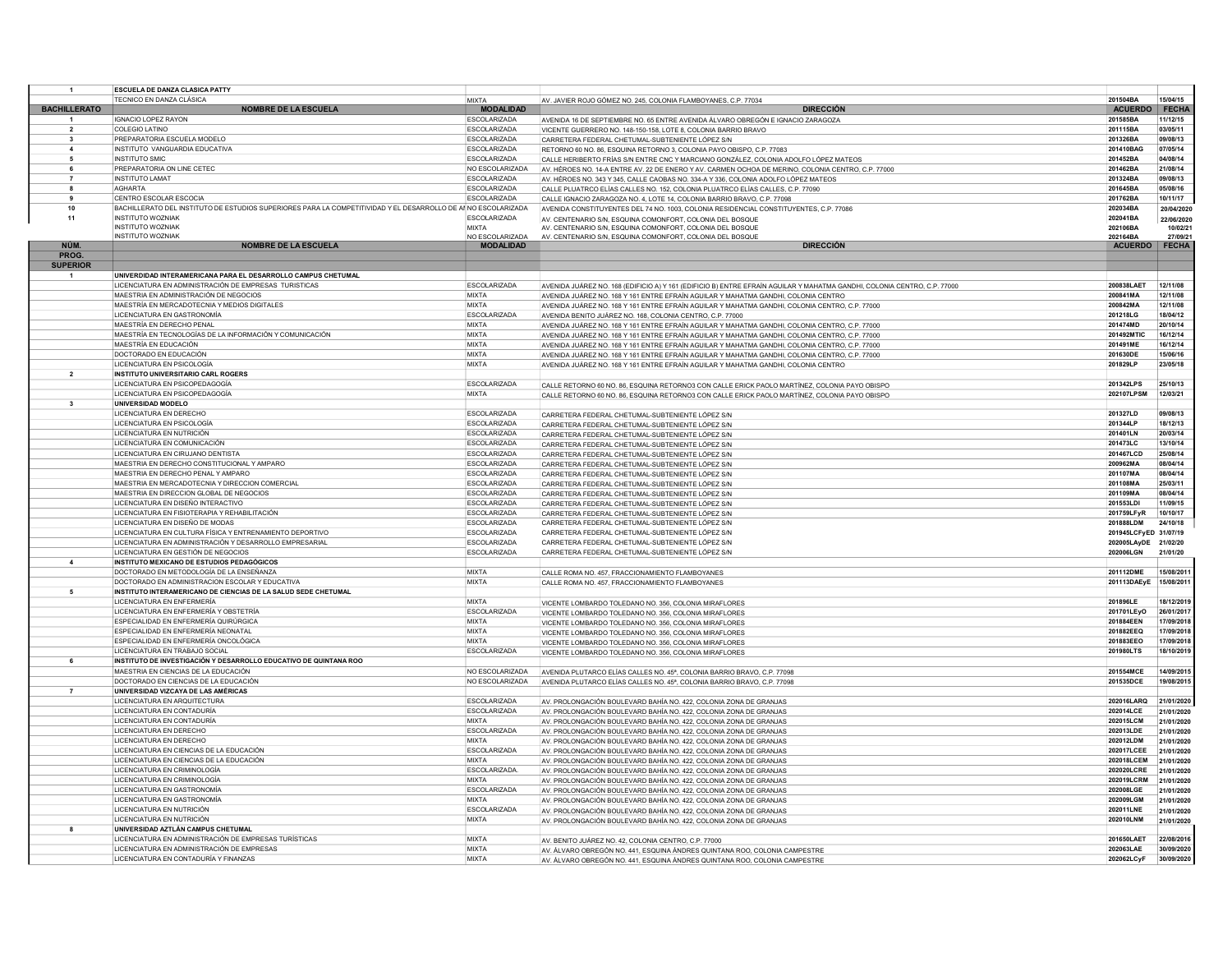|                         | <b>ESCUELA DE DANZA CLASICA PATTY</b>                                                                         |                                            |                                                                                                                                        |                            |                          |
|-------------------------|---------------------------------------------------------------------------------------------------------------|--------------------------------------------|----------------------------------------------------------------------------------------------------------------------------------------|----------------------------|--------------------------|
| <b>BACHILLERATO</b>     | TECNICO EN DANZA CLÁSICA                                                                                      | <b>MIXTA</b>                               | AV. JAVIER ROJO GÓMEZ NO. 245, COLONIA FLAMBOYANES, C.P. 77034                                                                         | 201504BA                   | 15/04/15                 |
|                         | <b>NOMBRE DE LA ESCUELA</b><br>IGNACIO LOPEZ RAYON                                                            | <b>MODALIDAD</b>                           | DIRECCIÓN                                                                                                                              | <b>ACUERDO</b>             | FECHA                    |
| $\overline{2}$          | <b>COLEGIO LATINO</b>                                                                                         | <b>ESCOLARIZADA</b><br><b>ESCOLARIZADA</b> | AVENIDA 16 DE SEPTIEMBRE NO. 65 ENTRE AVENIDA ÁLVARO OBREGÓN E IGNACIO ZARAGOZA                                                        | 201585BA<br>201115BA       | 11/12/15<br>03/05/11     |
| $\mathbf{3}$            | PREPARATORIA ESCUELA MODELO                                                                                   | <b>ESCOLARIZADA</b>                        | VICENTE GUERRERO NO. 148-150-158. LOTE 8. COLONIA BARRIO BRAVO<br>CARRETERA FEDERAL CHETUMAL-SUBTENIENTE LÓPEZ S/N                     | 201326BA                   | 09/08/13                 |
| $\overline{\mathbf{4}}$ | INSTITUTO VANGUARDIA EDUCATIVA                                                                                | <b>ESCOLARIZADA</b>                        | RETORNO 60 NO. 86, ESQUINA RETORNO 3, COLONIA PAYO OBISPO, C.P. 77083                                                                  | 201410BAG                  | 07/05/14                 |
| -5                      | <b>INSTITUTO SMIC</b>                                                                                         | <b>ESCOLARIZADA</b>                        | CALLE HERIBERTO FRÍAS S/N ENTRE CNC Y MARCIANO GONZÁLEZ. COLONIA ADOLFO LÓPEZ MATEOS                                                   | 201452BA                   | 04/08/14                 |
| - 6                     | PREPARATORIA ON LINE CETEC                                                                                    | NO ESCOLARIZADA                            | AV. HÉROES NO. 14-A ENTRE AV. 22 DE ENERO Y AV. CARMEN OCHOA DE MERINO, COLONIA CENTRO, C.P. 77000                                     | 201462BA                   | 21/08/14                 |
|                         | <b>INSTITUTO LAMAT</b>                                                                                        | ESCOLARIZADA                               | AV. HÉROES NO. 343 Y 345. CALLE CAOBAS NO. 334-A Y 336. COLONIA ADOLFO LÓPEZ MATEOS                                                    | 201324BA                   | 09/08/13                 |
|                         | <b>AGHARTA</b>                                                                                                | <b>ESCOLARIZADA</b>                        | CALLE PLUATRCO ELÍAS CALLES NO. 152. COLONIA PLUATRCO ELÍAS CALLES, C.P. 77090                                                         | 201645BA                   | 05/08/16                 |
| $\bullet$               | CENTRO ESCOLAR ESCOCIA                                                                                        | <b>ESCOLARIZADA</b>                        | CALLE IGNACIO ZARAGOZA NO. 4, LOTE 14, COLONIA BARRIO BRAVO, C.P. 77098                                                                | 201762BA                   | 10/11/17                 |
| 10                      | BACHILLERATO DEL INSTITUTO DE ESTUDIOS SUPERIORES PARA LA COMPETITIVIDAD Y EL DESARROLLO DE ANNO ESCOLARIZADA |                                            | AVENIDA CONSTITUYENTES DEL 74 NO. 1003. COLONIA RESIDENCIAL CONSTITUYENTES, C.P. 77086                                                 | 202034BA                   | 20/04/2020               |
| 11                      | <b>INSTITUTO WOZNIAK</b>                                                                                      | ESCOLARIZADA                               | AV. CENTENARIO S/N. ESQUINA COMONFORT, COLONIA DEL BOSQUE                                                                              | 202041BA                   | 22/06/2020               |
|                         | <b>INSTITUTO WOZNIAK</b><br><b>INSTITUTO WOZNIAK</b>                                                          | <b>MIXTA</b>                               | AV. CENTENARIO S/N, ESQUINA COMONFORT, COLONIA DEL BOSQUE                                                                              | 202106BA                   | 10/02/21                 |
| NÚM.                    | <b>NOMBRE DE LA ESCUELA</b>                                                                                   | NO ESCOLARIZADA<br><b>MODALIDAD</b>        | AV CENTENARIO S/N. ESQUINA COMONFORT, COLONIA DEL BOSQUE<br><b>DIRECCIÓN</b>                                                           | 202164BA<br><b>ACUERDO</b> | 27/09/21<br><b>FECHA</b> |
| PROG.                   |                                                                                                               |                                            |                                                                                                                                        |                            |                          |
| <b>SUPERIOR</b>         |                                                                                                               |                                            |                                                                                                                                        |                            |                          |
|                         | UNIVERDIDAD INTERAMERICANA PARA EL DESARROLLO CAMPUS CHETUMAL                                                 |                                            |                                                                                                                                        |                            |                          |
|                         | LICENCIATURA EN ADMINISTRACIÓN DE EMPRESAS TURISTICAS                                                         | <b>ESCOLARIZADA</b>                        | AVENIDA JUÁREZ NO. 168 (EDIFICIO A) Y 161 (EDIFICIO B) ENTRE EFRAÍN AGUILAR Y MAHATMA GANDHI, COLONIA CENTRO, C.P. 77000               | 200838LAET                 | 12/11/08                 |
|                         | MAESTRIA EN ADMINISTRACIÓN DE NEGOCIOS                                                                        | <b>MIXTA</b>                               | AVENIDA JUÁREZ NO. 168 Y 161 ENTRE EFRAÍN AGUILAR Y MAHATMA GANDHI. COLONIA CENTRO                                                     | 200841MA                   | 12/11/08                 |
|                         | MAESTRÍA EN MERCADOTECNIA Y MEDIOS DIGITALES                                                                  | <b>MIXTA</b>                               | AVENIDA JUÁREZ NO. 168 Y 161 ENTRE EFRAÍN AGUILAR Y MAHATMA GANDHI, COLONIA CENTRO, C.P. 77000                                         | 200842MA                   | 12/11/08                 |
|                         | LICENCIATURA EN GASTRONOMÍA                                                                                   | ESCOLARIZADA                               | AVENIDA BENITO JUÁREZ NO. 168. COLONIA CENTRO, C.P. 77000                                                                              | 201218LG                   | 18/04/12                 |
|                         | MAESTRÍA EN DERECHO PENAL                                                                                     | <b>MIXTA</b>                               | AVENIDA JUÁREZ NO. 168 Y 161 ENTRE EFRAÍN AGUILAR Y MAHATMA GANDHI, COLONIA CENTRO, C.P. 77000                                         | 201474MD                   | 20/10/14                 |
|                         | MAESTRÍA EN TECNOLOGÍAS DE LA INFORMACIÓN Y COMUNICACIÓN                                                      | <b>MIXTA</b>                               | AVENIDA JUÁREZ NO. 168 Y 161 ENTRE EFRAÍN AGUILAR Y MAHATMA GANDHI, COLONIA CENTRO, C.P. 77000                                         | 201492MTIC                 | 16/12/14                 |
|                         | MAESTRÍA EN EDUCACIÓN                                                                                         | <b>MIXTA</b>                               | AVENIDA JUÁREZ NO. 168 Y 161 ENTRE EFRAÍN AGUILAR Y MAHATMA GANDHL COLONIA CENTRO C.P. 77000                                           | 201491ME                   | 16/12/14                 |
|                         | DOCTORADO EN EDUCACIÓN                                                                                        | <b>MIXTA</b>                               | AVENIDA JUÁREZ NO. 168 Y 161 ENTRE EFRAÍN AGUILAR Y MAHATMA GANDHI, COLONIA CENTRO, C.P. 77000                                         | 201630DE                   | 15/06/16                 |
|                         | LICENCIATURA EN PSICOLOGÍA                                                                                    | <b>MIXTA</b>                               | AVENIDA JUÁREZ NO. 168 Y 161 ENTRE EFRAÍN AGUILAR Y MAHATMA GANDHI, COLONIA CENTRO                                                     | 201829LP                   | 23/05/18                 |
| $\overline{2}$          | <b>INSTITUTO UNIVERSITARIO CARL ROGERS</b>                                                                    |                                            |                                                                                                                                        |                            |                          |
|                         | LICENCIATURA EN PSICOPEDAGOGÍA                                                                                | <b>ESCOLARIZADA</b>                        | CALLE RETORNO 60 NO. 86, ESQUINA RETORNO3 CON CALLE ERICK PAOLO MARTÍNEZ, COLONIA PAYO OBISPO                                          | 201342LPS                  | 25/10/13                 |
|                         | LICENCIATURA EN PSICOPEDAGOGÍA                                                                                | <b>MIXTA</b>                               | CALLE RETORNO 60 NO. 86, ESQUINA RETORNO3 CON CALLE ERICK PAOLO MARTÍNEZ, COLONIA PAYO OBISPO                                          | 202107LPSM                 | 12/03/21                 |
| 3                       | <b>UNIVERSIDAD MODELO</b><br>LICENCIATURA EN DERECHO                                                          | ESCOLARIZADA                               |                                                                                                                                        | 201327LD                   | 09/08/13                 |
|                         | <b>LICENCIATURA EN PSICOLOGÍA</b>                                                                             | <b>FSCOLARIZADA</b>                        | CARRETERA FEDERAL CHETUMAL-SUBTENIENTE LÓPEZ S/N<br>CARRETERA FEDERAL CHETUMAL-SUBTENIENTE LÓPEZ S/N                                   | 201344LP                   | 18/12/13                 |
|                         | LICENCIATURA EN NUTRICIÓN                                                                                     | <b>ESCOLARIZADA</b>                        | CARRETERA FEDERAL CHETUMAL-SUBTENIENTE LÓPEZ S/N                                                                                       | 201401LN                   | 20/03/14                 |
|                         | LICENCIATURA EN COMUNICACIÓ                                                                                   | ESCOLARIZADA                               | CARRETERA FEDERAL CHETUMAL-SUBTENIENTE LÓPEZ S/N                                                                                       | 201473LC                   | 13/10/14                 |
|                         | LICENCIATURA EN CIRUJANO DENTISTA                                                                             | ESCOLARIZADA                               | CARRETERA FEDERAL CHETUMAL-SUBTENIENTE LÓPEZ S/N                                                                                       | 201467LCD                  | 25/08/14                 |
|                         | MAESTRIA EN DERECHO CONSTITUCIONAL Y AMPARO                                                                   | <b>FSCOLARIZADA</b>                        | CARRETERA FEDERAL CHETUMAL-SUBTENIENTE LÓPEZ S/N                                                                                       | 200962MA                   | 08/04/14                 |
|                         | MAESTRIA EN DERECHO PENAL Y AMPARO                                                                            | ESCOLARIZADA                               | CARRETERA FEDERAL CHETUMAL-SUBTENIENTE LÓPEZ S/N                                                                                       | 201107MA                   | 08/04/14                 |
|                         | MAESTRIA EN MERCADOTECNIA Y DIRECCIÓN COMERCIAL                                                               | <b>ESCOLARIZADA</b>                        | CARRETERA FEDERAL CHETUMAL-SUBTENIENTE LÓPEZ S/N                                                                                       | 201108MA                   | 25/03/11                 |
|                         | MAESTRIA EN DIRECCION GLOBAL DE NEGOCIOS                                                                      | <b>ESCOLARIZADA</b>                        | CARRETERA FEDERAL CHETUMAL-SUBTENIENTE LÓPEZ S/N                                                                                       | 201109MA                   | 08/04/14                 |
|                         | LICENCIATURA EN DISEÑO INTERACTIVO                                                                            | <b>ESCOLARIZADA</b>                        | CARRETERA FEDERAL CHETUMAL-SUBTENIENTE LÓPEZ S/N                                                                                       | 201553LDI                  | 11/09/15                 |
|                         | LICENCIATURA EN FISIOTERAPIA Y REHABILITACIÓN                                                                 | <b>ESCOLARIZADA</b>                        | CARRETERA FEDERAL CHETUMAL-SUBTENIENTE LÓPEZ S/N                                                                                       | 201759LFvR                 | 10/10/17                 |
|                         | LICENCIATURA EN DISEÑO DE MODAS                                                                               | ESCOLARIZADA                               | CARRETERA FEDERAL CHETUMAL-SUBTENIENTE LÓPEZ S/N                                                                                       | 201888LDM                  | 24/10/18                 |
|                         | LICENCIATURA EN CULTURA FÍSICA Y ENTRENAMIENTO DEPORTIVO                                                      | ESCOLARIZADA                               | CARRETERA FEDERAL CHETUMAL-SUBTENIENTE LÓPEZ S/N                                                                                       | 201945LCFyED 31/07/19      |                          |
|                         | LICENCIATURA EN ADMINISTRACIÓN Y DESARROLLO EMPRESARIAL                                                       | <b>ESCOLARIZADA</b>                        | CARRETERA FEDERAL CHETUMAL-SUBTENIENTE LÓPEZ S/N                                                                                       | 202005LAyDE                | 21/02/20                 |
|                         | LICENCIATURA EN GESTIÓN DE NEGOCIOS                                                                           | ESCOLARIZADA                               | CARRETERA FEDERAL CHETUMAL-SUBTENIENTE LÓPEZ S/N                                                                                       | 202006LGN                  | 21/01/20                 |
| $\overline{\mathbf{4}}$ | <b>INSTITUTO MEXICANO DE ESTUDIOS PEDAGÓGICOS</b>                                                             |                                            |                                                                                                                                        |                            |                          |
|                         | DOCTORADO EN METODOLOGÍA DE LA ENSEÑANZA<br>DOCTORADO EN ADMINISTRACION ESCOLAR Y EDUCATIVA                   | <b>MIXTA</b><br><b>MIXTA</b>               | CALLE ROMA NO. 457, FRACCIONAMIENTO FLAMBOYANES                                                                                        | 201112DME<br>201113DAEyE   | 15/08/201<br>15/08/2011  |
| 5                       | INSTITUTO INTERAMERICANO DE CIENCIAS DE LA SALUD SEDE CHETUMAL                                                |                                            | CALLE ROMA NO. 457, FRACCIONAMIENTO FLAMBOYANES                                                                                        |                            |                          |
|                         | LICENCIATURA EN ENFERMERÍA                                                                                    | <b>MIXTA</b>                               | VICENTE LOMBARDO TOLEDANO NO. 356, COLONIA MIRAFLORES                                                                                  | 201896LE                   | 18/12/2019               |
|                         | LICENCIATURA EN ENFERMERÍA Y OBSTETRÍA                                                                        | ESCOLARIZADA                               | VICENTE LOMBARDO TOLEDANO NO. 356, COLONIA MIRAFLORES                                                                                  | 201701LEyO                 | 26/01/2017               |
|                         | ESPECIALIDAD EN ENFERMERÍA QUIRÚRGICA                                                                         | <b>MIXTA</b>                               | VICENTE LOMBARDO TOLEDANO NO. 356, COLONIA MIRAFLORES                                                                                  | 201884EEN                  | 17/09/2018               |
|                         | ESPECIALIDAD EN ENFERMERÍA NEONATAL                                                                           | <b>MIXTA</b>                               | VICENTE LOMBARDO TOLEDANO NO. 356, COLONIA MIRAFLORES                                                                                  | 201882EEQ                  | 17/09/2018               |
|                         | ESPECIALIDAD EN ENFERMERÍA ONCOLÓGICA                                                                         | <b>MIXTA</b>                               | VICENTE LOMBARDO TOLEDANO NO. 356, COLONIA MIRAFLORES                                                                                  | 201883EEO                  | 17/09/2018               |
|                         | LICENCIATURA EN TRABAJO SOCIAL                                                                                | <b>ESCOLARIZADA</b>                        | VICENTE LOMBARDO TOLEDANO NO. 356, COLONIA MIRAFLORES                                                                                  | 201980LTS                  | 18/10/2019               |
| -6                      | INSTITUTO DE INVESTIGACIÓN Y DESARROLLO EDUCATIVO DE QUINTANA ROO                                             |                                            |                                                                                                                                        |                            |                          |
|                         | MAESTRIA EN CIENCIAS DE LA EDUCACIÓN                                                                          | <b>NO ESCOLARIZADA</b>                     | AVENIDA PLUTARCO ELÍAS CALLES NO. 45ª, COLONIA BARRIO BRAVO, C.P. 77098                                                                | 201554MCE                  | 14/09/2015               |
|                         | DOCTORADO EN CIENCIAS DE LA EDUCACIÓN                                                                         | NO ESCOLARIZADA                            | AVENIDA PLUTARCO ELÍAS CALLES NO 45ª COLONIA BARRIO BRAVO, C.P. 77098                                                                  | 201535DCE                  | 19/08/2015               |
| $\overline{7}$          | UNIVERSIDAD VIZCAYA DE LAS AMÉRICAS                                                                           |                                            |                                                                                                                                        |                            |                          |
|                         | LICENCIATURA EN ARQUITECTURA                                                                                  | <b>ESCOLARIZADA</b>                        | AV. PROLONGACIÓN BOULEVARD BAHÍA NO. 422, COLONIA ZONA DE GRANJAS                                                                      | 202016LARQ                 | 21/01/2020               |
|                         | <b>LICENCIATURA EN CONTADURÍA</b>                                                                             | <b>FSCOLARIZADA</b>                        | AV. PROLONGACIÓN BOULEVARD BAHÍA NO. 422, COLONIA ZONA DE GRANJAS                                                                      | 202014LCE                  | 21/01/2020               |
|                         | LICENCIATURA EN CONTADURÍA                                                                                    | <b>MIXTA</b>                               | AV. PROLONGACIÓN BOULEVARD BAHÍA NO. 422, COLONIA ZONA DE GRANJAS                                                                      | 202015LCM                  | 21/01/2020               |
|                         | LICENCIATURA EN DERECHO                                                                                       | ESCOLARIZADA                               | AV. PROLONGACIÓN BOULEVARD BAHÍA NO. 422, COLONIA ZONA DE GRANJAS                                                                      | 202013LDE                  | 21/01/2020               |
|                         | LICENCIATURA EN DERECHO                                                                                       | <b>MIXTA</b>                               | AV. PROLONGACIÓN BOULEVARD BAHÍA NO. 422, COLONIA ZONA DE GRANJAS                                                                      | 202012LDM                  | 21/01/2020               |
|                         | LICENCIATURA EN CIENCIAS DE LA EDUCACIÓN<br>LICENCIATURA EN CIENCIAS DE LA EDUCACIÓN                          | ESCOLARIZADA<br><b>MIXTA</b>               | AV. PROLONGACIÓN BOULEVARD BAHÍA NO. 422, COLONIA ZONA DE GRANJAS                                                                      | 202017LCEE                 | 21/01/2020               |
|                         | LICENCIATURA EN CRIMINOLOGÍA                                                                                  | ESCOLARIZADA                               | AV. PROLONGACIÓN BOULEVARD BAHÍA NO. 422. COLONIA ZONA DE GRANJAS                                                                      | 202018LCEM<br>202020LCRE   | 21/01/202                |
|                         | LICENCIATURA EN CRIMINOLOGÍA                                                                                  | <b>MIXTA</b>                               | AV. PROLONGACIÓN BOULEVARD BAHÍA NO. 422, COLONIA ZONA DE GRANJAS                                                                      | 202019LCRM                 | 21/01/202                |
|                         | LICENCIATURA EN GASTRONOMÍA                                                                                   | <b>ESCOLARIZADA</b>                        | AV. PROLONGACIÓN BOULEVARD BAHÍA NO. 422. COLONIA ZONA DE GRANJAS<br>AV. PROLONGACIÓN BOULEVARD BAHÍA NO. 422. COLONIA ZONA DE GRANJAS | 202008LGE                  | 21/01/2020<br>21/01/2020 |
|                         | LICENCIATURA EN GASTRONOMÍA                                                                                   | <b>MIXTA</b>                               | AV. PROLONGACIÓN BOULEVARD BAHÍA NO. 422, COLONIA ZONA DE GRANJAS                                                                      | 202009LGM                  | 21/01/2020               |
|                         | LICENCIATURA EN NUTRICIÓN                                                                                     | ESCOLARIZADA                               | AV. PROLONGACIÓN BOULEVARD BAHÍA NO. 422. COLONIA ZONA DE GRANJAS                                                                      | 202011LNE                  | 21/01/2020               |
|                         | LICENCIATURA EN NUTRICIÓN                                                                                     | <b>MIXTA</b>                               | AV. PROLONGACIÓN BOULEVARD BAHÍA NO. 422, COLONIA ZONA DE GRANJAS                                                                      | 202010LNM                  | 21/01/2020               |
|                         | UNIVERSIDAD AZTLÁN CAMPUS CHETUMAL                                                                            |                                            |                                                                                                                                        |                            |                          |
|                         | LICENCIATURA EN ADMINISTRACIÓN DE EMPRESAS TURÍSTICAS                                                         | <b>MIXTA</b>                               | AV BENITO JUÁREZ NO 42 COLONIA CENTRO C.P. 77000                                                                                       | 201650LAET                 | 22/08/2016               |
|                         | LICENCIATURA EN ADMINISTRACIÓN DE EMPRESAS                                                                    | <b>MIXTA</b>                               | AV. ÁLVARO OBREGÓN NO. 441, ESQUINA ÁNDRES QUINTANA ROO, COLONIA CAMPESTRE                                                             | 202063LAE                  | 30/09/2020               |
|                         | LICENCIATURA EN CONTADURÍA Y FINANZAS                                                                         | <b>MIXTA</b>                               | AV. ÁLVARO OBREGÓN NO. 441, ESQUINA ÁNDRES QUINTANA ROO, COLONIA CAMPESTRE                                                             | 202062LCvF                 | 30/09/2020               |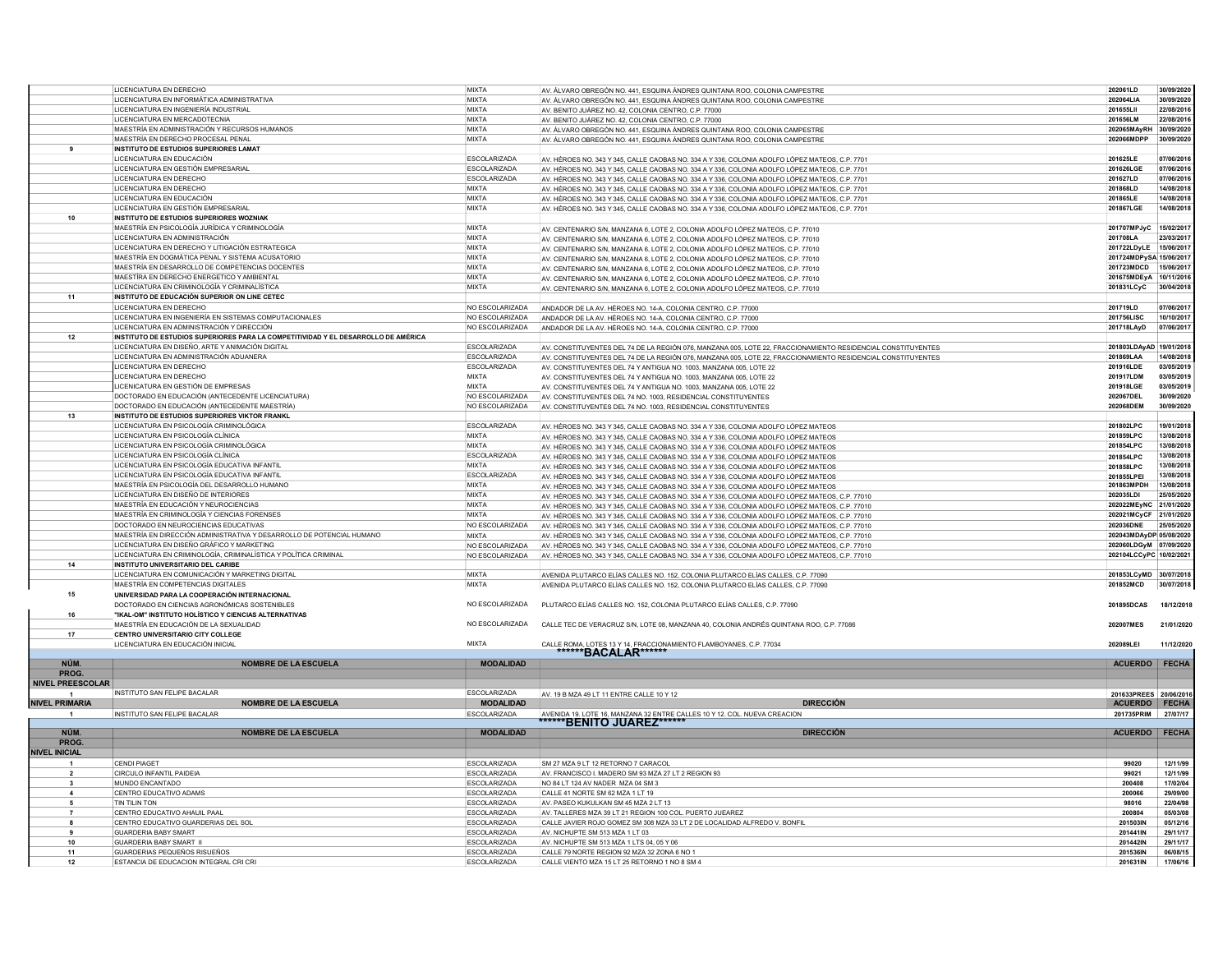|                         | LICENCIATURA EN DERECHO                                                            | MIXTA               | AV. ÁLVARO OBREGÓN NO. 441, ESQUINA ÁNDRES QUINTANA ROO, COLONIA CAMPESTRE                                   | 202061LD                | 30/09/2020   |
|-------------------------|------------------------------------------------------------------------------------|---------------------|--------------------------------------------------------------------------------------------------------------|-------------------------|--------------|
|                         | LICENCIATURA EN INFORMÁTICA ADMINISTRATIVA                                         | MIXTA               |                                                                                                              | 202064LIA               | 30/09/2020   |
|                         |                                                                                    |                     | AV. ÁLVARO OBREGÓN NO. 441, ESQUINA ÁNDRES QUINTANA ROO, COLONIA CAMPESTRE                                   |                         |              |
|                         | LICENCIATURA EN INGENIERÍA INDUSTRIAL                                              | MIXTA               | AV. BENITO JUÁREZ NO. 42, COLONIA CENTRO, C.P. 77000                                                         | 201655LII               | 22/08/2016   |
|                         | LICENCIATURA EN MERCADOTECNIA                                                      | MIXTA               | AV. BENITO JUÁREZ NO. 42, COLONIA CENTRO, C.P. 77000                                                         | 201656LM                | 22/08/2016   |
|                         | MAESTRÍA EN ADMINISTRACIÓN Y RECURSOS HUMANOS                                      | MIXTA               | AV. ÁLVARO OBREGÓN NO. 441, ESQUINA ÁNDRES QUINTANA ROO, COLONIA CAMPESTRE                                   | 202065MAyRH             | 30/09/2020   |
|                         | MAESTRÍA EN DERECHO PROCESAL PENAI                                                 | <b>MIXTA</b>        | AV. ÁLVARO OBREGÓN NO. 441, ESQUINA ÁNDRES QUINTANA ROO, COLONIA CAMPESTRE                                   | 202066MDPF              | 30/09/2020   |
| 9                       | <b>INSTITUTO DE ESTUDIOS SUPERIORES LAMAT</b>                                      |                     |                                                                                                              |                         |              |
|                         |                                                                                    |                     |                                                                                                              |                         |              |
|                         | LICENCIATURA EN EDUCACIÓN                                                          | ESCOLARIZADA        | AV. HÉROES NO. 343 Y 345, CALLE CAOBAS NO. 334 A Y 336, COLONIA ADOLFO LÓPEZ MATEOS, C.P. 7701               | 201625LE                | 07/06/2016   |
|                         | LICENCIATURA EN GESTIÓN EMPRESARIAL                                                | ESCOLARIZADA        | AV. HÉROES NO. 343 Y 345, CALLE CAOBAS NO. 334 A Y 336, COLONIA ADOLFO LÓPEZ MATEOS, C.P. 7701               | 201626LGE               | 07/06/201    |
|                         | LICENCIATURA EN DERECHO                                                            | <b>ESCOLARIZADA</b> | AV. HÉROES NO. 343 Y 345, CALLE CAOBAS NO. 334 A Y 336, COLONIA ADOLFO LÓPEZ MATEOS, C.P. 7701               | 201627LD                | 07/06/201    |
|                         | LICENCIATURA EN DERECHO                                                            | <b>MIXTA</b>        | AV. HÉROES NO. 343 Y 345, CALLE CAOBAS NO. 334 A Y 336, COLONIA ADOLFO LÓPEZ MATEOS, C.P. 7701               | 201868LD                | 14/08/201    |
|                         | LICENCIATURA EN EDUCACIÓN                                                          | <b>MIXTA</b>        |                                                                                                              | 201865LE                | 14/08/2018   |
|                         | LICENCIATURA EN GESTIÓN EMPRESARIAL                                                | <b>MIXTA</b>        | AV. HÉROES NO. 343 Y 345, CALLE CAOBAS NO. 334 A Y 336, COLONIA ADOLFO LÓPEZ MATEOS, C.P. 7701               | 201867LGE               | 14/08/2018   |
|                         |                                                                                    |                     | AV. HÉROES NO. 343 Y 345, CALLE CAOBAS NO. 334 A Y 336, COLONIA ADOLFO LÓPEZ MATEOS, C.P. 7701               |                         |              |
| 10                      | <b>INSTITUTO DE ESTUDIOS SUPERIORES WOZNIAK</b>                                    |                     |                                                                                                              |                         |              |
|                         | MAESTRÍA EN PSICOLOGÍA JURÍDICA Y CRIMINOLOGÍA                                     | <b>MIXTA</b>        | AV. CENTENARIO S/N, MANZANA 6, LOTE 2, COLONIA ADOLFO LÓPEZ MATEOS, C.P. 77010                               | 201707MPJyC             | 15/02/2017   |
|                         | LICENCIATURA EN ADMINISTRACIÓN                                                     | MIXTA               | AV. CENTENARIO S/N. MANZANA 6. LOTE 2. COLONIA ADOLFO LÓPEZ MATEOS. C.P. 77010                               | 201708LA                | 23/03/201    |
|                         | LICENCIATURA EN DERECHO Y LITIGACIÓN ESTRATEGICA                                   | <b>MIXTA</b>        | AV. CENTENARIO S/N, MANZANA 6, LOTE 2, COLONIA ADOLFO LÓPEZ MATEOS, C.P. 77010                               | 201722LDyLE             | 15/06/2011   |
|                         | MAESTRÍA EN DOGMÁTICA PENAL Y SISTEMA ACUSATORIO                                   | MIXTA               |                                                                                                              | 201724MDPySA 15/06/2017 |              |
|                         |                                                                                    |                     | AV. CENTENARIO S/N, MANZANA 6, LOTE 2, COLONIA ADOLFO LÓPEZ MATEOS, C.P. 77010                               |                         |              |
|                         | MAESTRÍA EN DESARROLLO DE COMPETENCIAS DOCENTES                                    | <b>MIXTA</b>        | AV CENTENARIO S/N MANZANA 6 LOTE 2 COLONIA ADOLEO LÓPEZ MATEOS C.P. 77010                                    | 201723MDCD              | 15/06/2017   |
|                         | MAESTÍRA EN DERECHO ENERGETICO Y AMBIENTAL                                         | <b>MIXTA</b>        | AV. CENTENARIO S/N, MANZANA 6, LOTE 2, COLONIA ADOLFO LÓPEZ MATEOS, C.P. 77010                               | 201675MDEyA             | 10/11/2016   |
|                         | LICENCIATURA EN CRIMINOLOGÍA Y CRIMINALÍSTICA                                      | <b>MIXTA</b>        | AV. CENTENARIO S/N, MANZANA 6, LOTE 2, COLONIA ADOLFO LÓPEZ MATEOS, C.P. 77010                               | 201831LCyC              | 30/04/2018   |
| 11                      | INSTITUTO DE EDUCACIÓN SUPERIOR ON LINE CETEC                                      |                     |                                                                                                              |                         |              |
|                         | LICENCIATURA EN DERECHO                                                            | NO ESCOLARIZADA     | ANDADOR DE LA AV. HÉROES NO. 14-A, COLONIA CENTRO, C.P. 77000                                                | 201719LD                | 07/06/2017   |
|                         | LICENCIATURA EN INGENIERÍA EN SISTEMAS COMPUTACIONALES                             | NO ESCOLARIZADA     | ANDADOR DE LA AV. HÉROES NO. 14-A. COLONIA CENTRO, C.P. 77000                                                | 201756LISC              | 10/10/201    |
|                         | LICENCIATURA EN ADMINISTRACIÓN Y DIRECCIÓN                                         | NO ESCOLARIZADA     |                                                                                                              | 201718LAyD              | 07/06/2017   |
| 12                      | INSTITUTO DE ESTUDIOS SUPERIORES PARA LA COMPETITIVIDAD Y EL DESARROLLO DE AMÉRICA |                     | ANDADOR DE LA AV. HÉROES NO. 14-A, COLONIA CENTRO, C.P. 77000                                                |                         |              |
|                         |                                                                                    |                     |                                                                                                              |                         |              |
|                         | LICENCIATURA EN DISEÑO, ARTE Y ANIMACIÓN DIGITAL                                   | <b>ESCOLARIZADA</b> | AV. CONSTITUYENTES DEL 74 DE LA REGIÓN 076, MANZANA 005, LOTE 22, FRACCIONAMIENTO RESIDENCIAL CONSTITUYENTES | 201803LDAvAD 19/01/2018 |              |
|                         | LICENCIATURA EN ADMINISTRACIÓN ADUANERA                                            | ESCOLARIZADA        | AV. CONSTITUYENTES DEL 74 DE LA REGIÓN 076, MANZANA 005, LOTE 22, FRACCIONAMIENTO RESIDENCIAL CONSTITUYENTES | 201869LAA               | 14/08/2018   |
|                         | LICENCIATURA EN DERECHO                                                            | ESCOLARIZADA        | AV. CONSTITUYENTES DEL 74 Y ANTIGUA NO. 1003. MANZANA 005. LOTE 22                                           | 201916LDE               | 03/05/2019   |
|                         | LICENCIATURA EN DERECHO                                                            | <b>MIXTA</b>        | AV. CONSTITUYENTES DEL 74 Y ANTIGUA NO. 1003, MANZANA 005, LOTE 22                                           | 201917LDM               | 03/05/2019   |
|                         | LICENICATURA EN GESTIÓN DE EMPRESAS                                                | <b>MIXTA</b>        | AV. CONSTITUYENTES DEL 74 Y ANTIGUA NO. 1003, MANZANA 005, LOTE 22                                           | 201918LGE               | 03/05/2019   |
|                         | DOCTORADO EN EDUCACIÓN (ANTECEDENTE LICENCIATURA)                                  | NO ESCOLARIZADA     | AV. CONSTITUYENTES DEL 74 NO. 1003, RESIDENCIAL CONSTITUYENTES                                               | 202067DEL               | 30/09/2020   |
|                         | DOCTORADO EN EDUCACIÓN (ANTECEDENTE MAESTRÍA)                                      | NO ESCOLARIZADA     | AV. CONSTITUYENTES DEL 74 NO. 1003, RESIDENCIAL CONSTITUYENTES                                               | 202068DEM               | 30/09/2020   |
| 13                      |                                                                                    |                     |                                                                                                              |                         |              |
|                         | INSTITUTO DE ESTUDIOS SUPERIORES VIKTOR FRANKL                                     |                     |                                                                                                              |                         |              |
|                         | LICENCIATURA EN PSICOLOGÍA CRIMINOLÓGICA                                           | ESCOLARIZADA        | AV. HÉROES NO. 343 Y 345, CALLE CAOBAS NO. 334 A Y 336, COLONIA ADOLFO LÓPEZ MATEOS                          | 201802LPC               | 19/01/2018   |
|                         | LICENCIATURA EN PSICOLOGÍA CLÍNICA                                                 | <b>MIXTA</b>        | AV. HÉROES NO. 343 Y 345, CALLE CAOBAS NO. 334 A Y 336, COLONIA ADOLFO LÓPEZ MATEOS                          | 201859LPC               | 13/08/2018   |
|                         | LICENCIATURA EN PSICOLOGÍA CRIMINOLÓGICA                                           | MIXTA               | AV. HÉROES NO. 343 Y 345, CALLE CAOBAS NO. 334 A Y 336, COLONIA ADOLFO LÓPEZ MATEOS                          | 201854LPC               | 13/08/2018   |
|                         | LICENCIATURA EN PSICOLOGÍA CLÍNICA                                                 | <b>ESCOLARIZADA</b> | AV. HÉROES NO. 343 Y 345, CALLE CAOBAS NO. 334 A Y 336, COLONIA ADOLFO LÓPEZ MATEOS                          | 201854LPC               | 13/08/2018   |
|                         | LICENCIATURA EN PSICOLOGÍA EDUCATIVA INFANTIL                                      | <b>MIXTA</b>        | AV. HÉROES NO. 343 Y 345, CALLE CAOBAS NO. 334 A Y 336, COLONIA ADOLFO LÓPEZ MATEOS                          | 201858LPC               | 13/08/2018   |
|                         | LICENCIATURA EN PSICOLOGÍA EDUCATIVA INFANTIL                                      | ESCOLARIZADA        | AV. HÉROES NO. 343 Y 345, CALLE CAOBAS NO. 334 A Y 336, COLONIA ADOLFO LÓPEZ MATEOS                          | 201855LPEI              | 13/08/2018   |
|                         | MAESTRÍA EN PSICOLOGÍA DEL DESARROLLO HUMANO                                       | MIXTA               |                                                                                                              | 201863MPDH              | 13/08/2018   |
|                         |                                                                                    |                     | AV. HÉROES NO. 343 Y 345, CALLE CAOBAS NO. 334 A Y 336, COLONIA ADOLFO LÓPEZ MATEOS                          |                         |              |
|                         | LICENCIATURA EN DISEÑO DE INTERIORES                                               | <b>MIXTA</b>        | AV. HÉROES NO. 343 Y 345, CALLE CAOBAS NO. 334 A Y 336, COLONIA ADOLFO LÓPEZ MATEOS, C.P. 77010              | 202035LDI               | 25/05/2020   |
|                         | MAESTRÍA EN EDUCACIÓN Y NEUROCIENCIAS                                              | <b>MIXTA</b>        | AV. HÉROES NO. 343 Y 345, CALLE CAOBAS NO. 334 A Y 336, COLONIA ADOLFO LÓPEZ MATEOS, C.P. 77010              | 202022MEyNC             | 21/01/202    |
|                         | MAESTRÍA EN CRIMINOLOGÍA Y CIENCIAS FORENSES                                       | <b>MIXTA</b>        | AV. HÉROES NO. 343 Y 345, CALLE CAOBAS NO. 334 A Y 336, COLONIA ADOLFO LÓPEZ MATEOS, C.P. 77010              | 202021MCyCF 21/01/2020  |              |
|                         | DOCTORADO EN NEUROCIENCIAS EDUCATIVAS                                              | NO ESCOLARIZADA     | AV. HÉROES NO. 343 Y 345, CALLE CAOBAS NO. 334 A Y 336, COLONIA ADOLFO LÓPEZ MATEOS, C.P. 77010              | 202036DNE               | 25/05/2020   |
|                         | MAESTRÍA EN DIRECCIÓN ADMINISTRATIVA Y DESARROLLO DE POTENCIAL HUMANO              | <b>MIXTA</b>        | AV. HÉROES NO. 343 Y 345, CALLE CAOBAS NO. 334 A Y 336, COLONIA ADOLFO LÓPEZ MATEOS, C.P. 77010              | 202043MDAyDP 05/08/2020 |              |
|                         | LICENCIATURA EN DISEÑO GRÁFICO Y MARKETING                                         | NO ESCOLARIZADA     | AV. HÉROES NO. 343 Y 345, CALLE CAOBAS NO. 334 A Y 336, COLONIA ADOLFO LÓPEZ MATEOS, C.P. 77010              | 202060LDGyM 07/09/2020  |              |
|                         | LICENCIATURA EN CRIMINOLOGÍA, CRIMINALÍSTICA Y POLÍTICA CRIMINAL                   | NO ESCOLARIZADA     | AV. HÉROES NO. 343 Y 345, CALLE CAOBAS NO. 334 A Y 336, COLONIA ADOLFO LÓPEZ MATEOS, C.P. 77010              | 202104LCCyPC 10/02/2021 |              |
| 14                      | <b>INSTITUTO UNIVERSITARIO DEL CARIBE</b>                                          |                     |                                                                                                              |                         |              |
|                         | LICENCIATURA EN COMUNICACIÓN Y MARKETING DIGITAL                                   | <b>MIXTA</b>        |                                                                                                              | 201853LCvMD 30/07/2018  |              |
|                         |                                                                                    |                     | AVENIDA PLUTARCO ELÍAS CALLES NO. 152, COLONIA PLUTARCO ELÍAS CALLES, C.P. 77090                             |                         |              |
|                         | MAESTRÍA EN COMPETENCIAS DIGITALES                                                 | <b>MIXTA</b>        | AVENIDA PLUTARCO ELÍAS CALLES NO. 152. COLONIA PLUTARCO ELÍAS CALLES, C.P. 77090                             | 201852MCD               | 30/07/2018   |
| 15                      | UNIVERSIDAD PARA LA COOPERACIÓN INTERNACIONAL                                      |                     |                                                                                                              |                         |              |
|                         | DOCTORADO EN CIENCIAS AGRONÓMICAS SOSTENIBLES                                      | NO ESCOLARIZADA     | PLUTARCO ELÍAS CALLES NO. 152, COLONIA PLUTARCO ELÍAS CALLES, C.P. 77090                                     | 201895DCAS              | 18/12/2018   |
| 16                      | "IKAL-OM" INSTITUTO HOLÍSTICO Y CIENCIAS ALTERNATIVAS                              |                     |                                                                                                              |                         |              |
|                         | MAESTRÍA EN EDUCACIÓN DE LA SEXUALIDAD                                             | NO ESCOLARIZADA     | CALLE TEC DE VERACRUZ S/N, LOTE 08, MANZANA 40, COLONIA ANDRÉS QUINTANA ROO, C.P. 77086                      | 202007MES               | 21/01/2020   |
| 17                      | CENTRO UNIVERSITARIO CITY COLLEGE                                                  |                     |                                                                                                              |                         |              |
|                         | LICENCIATURA EN EDUCACIÓN INICIAL                                                  | <b>MIXTA</b>        | CALLE ROMA, LOTES 13 Y 14, FRACCIONAMIENTO FLAMBOYANES, C.P. 77034                                           | 202089LEI               | 11/12/2020   |
|                         |                                                                                    |                     | *******BACALAR******                                                                                         |                         |              |
| NÚM.                    | <b>NOMBRE DE LA ESCUELA</b>                                                        | <b>MODALIDAD</b>    |                                                                                                              | ACUERDO FECHA           |              |
|                         |                                                                                    |                     |                                                                                                              |                         |              |
| PROG.                   |                                                                                    |                     |                                                                                                              |                         |              |
| <b>NIVEL PREESCOLAR</b> |                                                                                    |                     |                                                                                                              |                         |              |
|                         | INSTITUTO SAN FELIPE BACALAR                                                       | <b>ESCOLARIZADA</b> | AV. 19 B MZA 49 LT 11 ENTRE CALLE 10 Y 12                                                                    | 201633PREES 20/06/201   |              |
| <b>NIVEL PRIMARIA</b>   | <b>NOMBRE DE LA ESCUELA</b>                                                        | <b>MODALIDAD</b>    | <b>DIRECCIÓN</b>                                                                                             | ACUERDO   FECHA         |              |
|                         | INSTITUTO SAN FELIPE BACALAR                                                       | <b>ESCOLARIZADA</b> |                                                                                                              | 201735PRIM 27/07/17     |              |
|                         |                                                                                    |                     | AVENIDA 19. LOTE 16, MANZANA 32 ENTRE CALLES 10 Y 12. COL. NUEVA CREACION                                    |                         |              |
| NÚM.                    | <b>NOMBRE DE LA ESCUELA</b>                                                        | <b>MODALIDAD</b>    | <b>DIRECCIÓN</b>                                                                                             | <b>ACUERDO</b>          | <b>FECHA</b> |
| PROG.                   |                                                                                    |                     |                                                                                                              |                         |              |
| <b>NIVEL INICIAL</b>    |                                                                                    |                     |                                                                                                              |                         |              |
|                         |                                                                                    |                     |                                                                                                              |                         |              |
|                         | <b>CENDI PIAGET</b>                                                                | <b>ESCOLARIZADA</b> | SM 27 MZA 9 LT 12 RETORNO 7 CARACOL                                                                          | 99020                   | 12/11/99     |
| $\overline{\mathbf{2}}$ | CIRCULO INFANTIL PAIDEIA                                                           | <b>ESCOLARIZADA</b> | AV. FRANCISCO I. MADERO SM 93 MZA 27 LT 2 REGION 93                                                          | 99021                   | 12/11/99     |
| -3                      | MUNDO ENCANTADO                                                                    | ESCOLARIZADA        | NO 84 LT 124 AV NADER MZA 04 SM 3                                                                            | 200408                  | 17/02/04     |
|                         | CENTRO EDUCATIVO ADAMS                                                             | <b>ESCOLARIZADA</b> | CALLE 41 NORTE SM 62 MZA 1 LT 19                                                                             | 200066                  | 29/09/00     |
|                         | TIN TILIN TON                                                                      | ESCOLARIZADA        | AV. PASEO KUKULKAN SM 45 MZA 2 LT 13                                                                         | 98016                   | 22/04/98     |
| $\overline{7}$          | CENTRO EDUCATIVO AHAUIL PAAL                                                       | <b>ESCOLARIZADA</b> | AV. TALLERES MZA 39 LT 21 REGION 100 COL. PUERTO JUEAREZ                                                     | 200804                  | 05/03/08     |
| 8                       | CENTRO EDUCATIVO GUARDERIAS DEL SOL                                                | <b>ESCOLARIZADA</b> | CALLE JAVIER ROJO GOMEZ SM 308 MZA 33 LT 2 DE LOCALIDAD ALFREDO V. BONFIL                                    | 201503IN                | 05/12/16     |
| 9                       | <b>GUARDERIA BABY SMART</b>                                                        | <b>ESCOLARIZADA</b> | AV. NICHUPTE SM 513 MZA 1 LT 03                                                                              | 201441IN                | 29/11/17     |
| 10                      | <b>GUARDERIA BABY SMART I</b>                                                      | <b>ESCOLARIZADA</b> | AV. NICHUPTE SM 513 MZA 1 LTS 04, 05 Y 06                                                                    | 201442IN                | 29/11/17     |
|                         |                                                                                    |                     |                                                                                                              |                         |              |
| 11                      | GUARDERIAS PEQUEÑOS RISUEÑOS<br>ESTANCIA DE EDUCACION INTEGRAL CRI CRI             | <b>ESCOLARIZADA</b> | CALLE 79 NORTE REGION 92 MZA 32 ZONA 6 NO 1                                                                  | 201536IN                | 06/08/15     |
| 12                      |                                                                                    | <b>FSCOLARIZADA</b> | CALLE VIENTO MZA 15 LT 25 RETORNO 1 NO 8 SM 4                                                                | 201631IN                | 17/06/16     |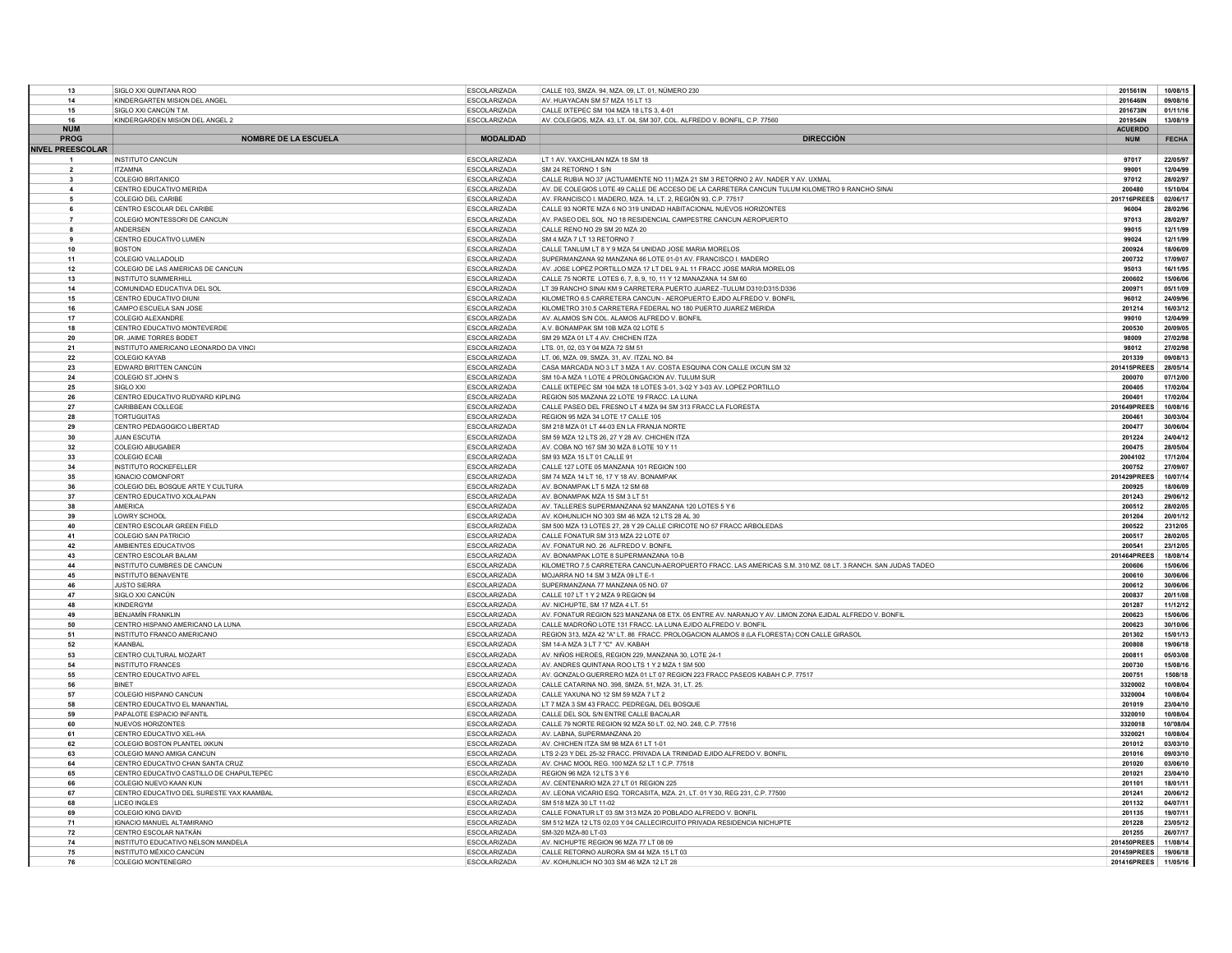| 13                      | SIGLO XXI QUINTANA ROO                                          | ESCOLARIZADA                               | CALLE 103, SMZA. 94, MZA. 09, LT. 01, NÚMERO 230                                                                                                            | 201561IN             | 10/08/15             |
|-------------------------|-----------------------------------------------------------------|--------------------------------------------|-------------------------------------------------------------------------------------------------------------------------------------------------------------|----------------------|----------------------|
| 14                      | KINDERGARTEN MISION DEL ANGEL                                   | <b>ESCOLARIZADA</b>                        | AV. HUAYACAN SM 57 MZA 15 LT 13                                                                                                                             | 201646IN             | 09/08/16             |
| 15                      | SIGLO XXI CANCÚN T.M.                                           | <b>ESCOLARIZADA</b>                        | CALLE IXTEPEC SM 104 MZA 18 LTS 3, 4-01                                                                                                                     | 201673IN             | 01/11/16             |
| 16                      | KINDERGARDEN MISION DEL ANGEL 2                                 | <b>ESCOLARIZADA</b>                        | AV. COLEGIOS, MZA. 43, LT. 04, SM 307, COL. ALFREDO V. BONFIL, C.P. 77560                                                                                   | 201954IN             | 13/08/19             |
| <b>NIIM</b>             |                                                                 |                                            |                                                                                                                                                             | <b>ACUERDO</b>       |                      |
| PROG                    | <b>NOMBRE DE LA ESCUELA</b>                                     | <b>MODALIDAD</b>                           | <b>DIRECCIÓN</b>                                                                                                                                            | <b>NUM</b>           | <b>FECHA</b>         |
| <b>NIVEL PREESCOLAR</b> |                                                                 |                                            |                                                                                                                                                             |                      |                      |
| $\overline{1}$          | <b>INSTITUTO CANCUN</b>                                         | <b>ESCOLARIZADA</b>                        | LT 1 AV. YAXCHILAN MZA 18 SM 18                                                                                                                             | 97017                | 22/05/97             |
| $\overline{2}$          | <b>ITZAMNA</b>                                                  | <b>ESCOLARIZADA</b>                        | SM 24 RETORNO 1 S/N                                                                                                                                         | 99001                | 12/04/99             |
| $\overline{\mathbf{3}}$ | COLEGIO BRITANICO                                               | <b>ESCOLARIZADA</b>                        | CALLE RUBIA NO 37 (ACTUAMENTE NO 11) MZA 21 SM 3 RETORNO 2 AV. NADER Y AV. UXMAL                                                                            | 97012                | 28/02/97             |
| $\overline{4}$          | CENTRO EDUCATIVO MERIDA                                         | <b>ESCOLARIZADA</b>                        | AV. DE COLEGIOS LOTE 49 CALLE DE ACCESO DE LA CARRETERA CANCUN TULUM KILOMETRO 9 RANCHO SINAI                                                               | 200480               | 15/10/04             |
| 5                       | COLEGIO DEL CARIBE                                              | <b>ESCOLARIZADA</b>                        | AV. FRANCISCO I. MADERO, MZA. 14, LT. 2, REGIÓN 93, C.P. 77517                                                                                              | 201716PREES          | 02/06/17             |
|                         | CENTRO ESCOLAR DEL CARIBE                                       | ESCOLARIZADA                               | CALLE 93 NORTE MZA 6 NO 319 UNIDAD HABITACIONAL NUEVOS HORIZONTES                                                                                           | 96004                | 28/02/96<br>28/02/97 |
| $\mathbf{a}$            | COLEGIO MONTESSORI DE CANCUN<br>ANDERSEN                        | <b>ESCOLARIZADA</b>                        | AV. PASEO DEL SOL NO 18 RESIDENCIAL CAMPESTRE CANCUN AEROPUERTO<br>CALLE RENO NO 29 SM 20 MZA 20                                                            | 97013<br>99015       | 12/11/99             |
| ٠q                      | CENTRO EDUCATIVO LUMEN                                          | <b>ESCOLARIZADA</b><br><b>ESCOLARIZADA</b> | SM 4 MZA 7 I T 13 RETORNO 7                                                                                                                                 | 99024                | 12/11/99             |
| 10                      | <b>BOSTON</b>                                                   | <b>ESCOLARIZADA</b>                        | CALLE TANLUM LT 8 Y 9 MZA 54 UNIDAD JOSE MARIA MORELOS                                                                                                      | 200924               | 18/06/09             |
| 11                      | COLEGIO VALLADOLID                                              | <b>ESCOLARIZADA</b>                        | SUPERMANZANA 92 MANZANA 66 LOTE 01-01 AV. FRANCISCO I. MADERO                                                                                               | 200732               | 17/09/07             |
| 12                      | COLEGIO DE LAS AMERICAS DE CANCUN                               | <b>ESCOLARIZADA</b>                        | AV. JOSE LOPEZ PORTILLO MZA 17 LT DEL 9 AL 11 FRACC JOSE MARIA MORELOS                                                                                      | 95013                | 16/11/95             |
| 13                      | <b>INSTITUTO SUMMERHILL</b>                                     | <b>ESCOLARIZADA</b>                        | CALLE 75 NORTE LOTES 6, 7, 8, 9, 10, 11 Y 12 MANAZANA 14 SM 60                                                                                              | 200602               | 15/06/06             |
| 14                      | COMUNIDAD EDUCATIVA DEL SOL                                     | <b>ESCOLARIZADA</b>                        | LT 39 RANCHO SINAI KM 9 CARRETERA PUERTO JUAREZ -TULUM D310:D315:D336                                                                                       | 200971               | 05/11/09             |
| 15                      | CENTRO EDUCATIVO DIUNI                                          | <b>ESCOLARIZADA</b>                        | KILOMETRO 6.5 CARRETERA CANCUN - AEROPUERTO EJIDO ALFREDO V. BONFIL                                                                                         | 96012                | 24/09/96             |
| 16                      | CAMPO ESCUELA SAN JOSE                                          | <b>ESCOLARIZADA</b>                        | KILOMETRO 310.5 CARRETERA FEDERAL NO 180 PUERTO JUAREZ MERIDA                                                                                               | 201214               | 16/03/12             |
| 17                      | COLEGIO ALEXANDRE                                               | ESCOLARIZADA                               | AV. ALAMOS S/N COL. ALAMOS ALFREDO V. BONFIL                                                                                                                | 99010                | 12/04/99             |
| 18                      | CENTRO EDUCATIVO MONTEVERDE                                     | <b>ESCOLARIZADA</b>                        | A.V. BONAMPAK SM 10B MZA 02 LOTE 5                                                                                                                          | 200530               | 20/09/05             |
| 20                      | DR. JAIME TORRES BODET                                          | <b>ESCOLARIZADA</b>                        | SM 29 MZA 01 LT 4 AV. CHICHEN ITZA                                                                                                                          | 98009                | 27/02/98             |
| 21                      | INSTITUTO AMERICANO LEONARDO DA VINCI                           | ESCOLARIZADA                               | LTS, 01, 02, 03 Y 04 MZA 72 SM 51                                                                                                                           | 98012                | 27/02/98             |
| 22                      | <b>COLEGIO KAYAB</b>                                            | ESCOLARIZADA                               | LT. 06, MZA. 09, SMZA. 31, AV. ITZAL NO. 84                                                                                                                 | 201339               | 09/08/13             |
| 23                      | EDWARD BRITTEN CANCÚN                                           | <b>ESCOLARIZADA</b>                        | CASA MARCADA NO 3 LT 3 MZA 1 AV. COSTA ESQUINA CON CALLE IXCUN SM 32                                                                                        | 201415PREES          | 28/05/14             |
| 24                      | COLEGIO ST.JOHN'S                                               | <b>ESCOLARIZADA</b>                        | SM 10-A MZA 1 LOTE 4 PROLONGACION AV. TULUM SUR                                                                                                             | 200070               | 07/12/00             |
| 25                      | SIGLO XXI                                                       | <b>ESCOLARIZADA</b>                        | CALLE IXTEPEC SM 104 MZA 18 LOTES 3-01, 3-02 Y 3-03 AV. LOPEZ PORTILLO                                                                                      | 200405               | 17/02/04             |
| 26                      | CENTRO EDUCATIVO RUDYARD KIPLING                                | ESCOLARIZADA                               | REGION 505 MAZANA 22 LOTE 19 FRACC. LA LUNA                                                                                                                 | 200401               | 17/02/04             |
| 27                      | CARIBBEAN COLLEGE                                               | <b>ESCOLARIZADA</b>                        | CALLE PASEO DEL ERESNO LT 4 MZA 94 SM 313 FRACC LA ELORESTA                                                                                                 | 201649PREES          | 10/08/16             |
| 28                      | <b>TORTUGUITAS</b>                                              | <b>ESCOLARIZADA</b>                        | REGION 95 MZA 34 LOTE 17 CALLE 105                                                                                                                          | 200461               | 30/03/04             |
| 29                      | CENTRO PEDAGOGICO LIBERTAD                                      | <b>ESCOLARIZADA</b>                        | SM 218 MZA 01 LT 44-03 EN LA FRANJA NORTE                                                                                                                   | 200477               | 30/06/04<br>24/04/12 |
| 30<br>32                | <b>JUAN ESCUTIA</b>                                             | <b>ESCOLARIZADA</b>                        | SM 59 MZA 12 LTS 26, 27 Y 28 AV. CHICHEN ITZA                                                                                                               | 201224<br>200475     | 28/05/04             |
| 33                      | <b>COLEGIO ABUGABER</b><br><b>COLEGIO ECAB</b>                  | <b>ESCOLARIZADA</b><br><b>ESCOLARIZADA</b> | AV. COBA NO 167 SM 30 MZA 8 LOTE 10 Y 11<br>SM 93 MZA 15 LT 01 CALLE 91                                                                                     | 2004102              | 17/12/04             |
| 34                      | <b>INSTITUTO ROCKEFELLER</b>                                    | ESCOLARIZADA                               | CALLE 127 LOTE 05 MANZANA 101 REGION 100                                                                                                                    | 200752               | 27/09/07             |
| 35                      | <b>IGNACIO COMONFORT</b>                                        | ESCOLARIZADA                               | SM 74 MZA 14 LT 16, 17 Y 18 AV, BONAMPAK                                                                                                                    | 201429PREES          | 10/07/14             |
| 36                      | COLEGIO DEL BOSQUE ARTE Y CULTURA                               | ESCOLARIZADA                               | AV. BONAMPAK LT 5 MZA 12 SM 68                                                                                                                              | 200925               | 18/06/09             |
| 37                      | CENTRO EDUCATIVO XOLALPAN                                       | <b>ESCOLARIZADA</b>                        | AV. BONAMPAK MZA 15 SM 3 LT 51                                                                                                                              | 201243               | 29/06/12             |
| 38                      | <b>AMERICA</b>                                                  | <b>ESCOLARIZADA</b>                        | AV. TALLERES SUPERMANZANA 92 MANZANA 120 LOTES 5 Y 6                                                                                                        | 200512               | 28/02/05             |
| 39                      | LOWRY SCHOOL                                                    | <b>ESCOLARIZADA</b>                        | AV. KOHUNLICH NO 303 SM 46 MZA 12 LTS 28 AL 30                                                                                                              | 201204               | 20/01/12             |
| 40                      | CENTRO ESCOLAR GREEN FIELD                                      | ESCOLARIZADA                               | SM 500 MZA 13 LOTES 27, 28 Y 29 CALLE CIRICOTE NO 57 FRACC ARBOLEDAS                                                                                        | 200522               | 2312/05              |
| 41                      | COLEGIO SAN PATRICIO                                            | ESCOLARIZADA                               | CALLE FONATUR SM 313 MZA 22 LOTE 07                                                                                                                         | 200517               | 28/02/05             |
| 42                      | AMBIENTES EDUCATIVOS                                            | <b>ESCOLARIZADA</b>                        | AV. FONATUR NO. 26 ALFREDO V. BONFIL                                                                                                                        | 200541               | 23/12/05             |
| 43                      | CENTRO ESCOLAR BALAM                                            | <b>ESCOLARIZADA</b>                        | AV. BONAMPAK LOTE 8 SUPERMANZANA 10-B                                                                                                                       | 201464PREES          | 18/08/14             |
| 44                      | INSTITUTO CUMBRES DE CANCUN                                     | <b>ESCOLARIZADA</b>                        | KILOMETRO 7.5 CARRETERA CANCUN-AEROPUERTO FRACC. LAS AMERICAS S.M. 310 MZ. 08 LT. 3 RANCH. SAN JUDAS TADEO                                                  | 200606               | 15/06/06             |
| 45                      | <b>INSTITUTO BENAVENTE</b>                                      | <b>ESCOLARIZADA</b>                        | MOJARRA NO 14 SM 3 MZA 09 LT E-1                                                                                                                            | 200610               | 30/06/06             |
| 46                      | <b>JUSTO SIFRRA</b>                                             | ESCOLARIZADA                               | SUPERMANZANA 77 MANZANA 05 NO. 07                                                                                                                           | 200612               | 30/06/06             |
| 47                      | SIGLO XXI CANCÚN                                                | <b>ESCOLARIZADA</b>                        | CALLE 107 LT 1 Y 2 MZA 9 REGION 94                                                                                                                          | 200837               | 20/11/08             |
| 48                      | KINDERGYM                                                       | <b>ESCOLARIZADA</b>                        | AV. NICHUPTE, SM 17 MZA 4 LT, 51                                                                                                                            | 201287               | 11/12/12             |
| 49                      | <b>BENJAMÍN FRANKLIN</b>                                        | <b>ESCOLARIZADA</b>                        | AV. FONATUR REGION 523 MANZANA 08 ETX. 05 ENTRE AV. NARANJO Y AV. LIMON ZONA EJIDAL ALFREDO V. BONFIL                                                       | 200623               | 15/06/06<br>30/10/06 |
| 50<br>51                | CENTRO HISPANO AMERICANO LA LUNA<br>INSTITUTO FRANCO AMERICANO  | <b>ESCOLARIZADA</b><br><b>ESCOLARIZADA</b> | CALLE MADROÑO LOTE 131 FRACC. LA LUNA EJIDO ALFREDO V. BONFIL<br>REGION 313, MZA 42 "A" LT. 86 FRACC. PROLOGACION ALAMOS II (LA FLORESTA) CON CALLE GIRASOL | 200623<br>201302     | 15/01/13             |
| 52                      | KAANBAL                                                         | <b>ESCOLARIZADA</b>                        | SM 14-A MZA 3 LT 7 "C" AV. KABAH                                                                                                                            | 200808               | 19/06/18             |
| 53                      | CENTRO CULTURAL MOZART                                          | <b>ESCOLARIZADA</b>                        | AV. NIÑOS HEROES, REGION 229, MANZANA 30, LOTE 24-1                                                                                                         | 200811               | 05/03/08             |
| 54                      | <b>INSTITUTO FRANCES</b>                                        | <b>ESCOLARIZADA</b>                        | AV. ANDRES QUINTANA ROO LTS 1 Y 2 MZA 1 SM 500                                                                                                              | 200730               | 15/08/16             |
| 55                      | CENTRO EDUCATIVO AIFEL                                          | <b>ESCOLARIZADA</b>                        | AV. GONZALO GUERRERO MZA 01 LT 07 REGION 223 FRACC PASEOS KABAH C.P. 77517                                                                                  | 200751               | 1508/18              |
| 56                      | <b>BINET</b>                                                    | <b>ESCOLARIZADA</b>                        | CALLE CATARINA NO. 398, SMZA. 51, MZA. 31, LT. 25.                                                                                                          | 3320002              | 10/08/04             |
| 57                      | COLEGIO HISPANO CANCUN                                          | <b>ESCOLARIZADA</b>                        | CALLE YAXUNA NO 12 SM 59 MZA 7 LT 2                                                                                                                         | 3320004              | 10/08/04             |
| 58                      | CENTRO EDUCATIVO EL MANANTIAL                                   | ESCOLARIZADA                               | LT 7 MZA 3 SM 43 FRACC. PEDREGAL DEL BOSQUE                                                                                                                 | 201019               | 23/04/10             |
| 59                      | PAPALOTE ESPACIO INFANTI                                        | <b>ESCOLARIZADA</b>                        | CALLE DEL SOL S/N ENTRE CALLE BACALAR                                                                                                                       | 3320010              | 10/08/04             |
| 60                      | NUEVOS HORIZONTES                                               | <b>ESCOLARIZADA</b>                        | CALLE 79 NORTE REGION 92 MZA 50 LT. 02, NO. 248, C.P. 77516                                                                                                 | 3320018              | 10/08/04             |
| 61                      | CENTRO EDUCATIVO XEL-HA                                         | <b>ESCOLARIZADA</b>                        | AV. LABNA, SUPERMANZANA 20                                                                                                                                  | 3320021              | 10/08/04             |
| 62                      | COLEGIO BOSTON PLANTEL IXKUN                                    | <b>ESCOLARIZADA</b>                        | AV. CHICHEN ITZA SM 98 MZA 61 LT 1-01                                                                                                                       | 201012               | 03/03/10             |
| 63                      | COLEGIO MANO AMIGA CANCUN                                       | <b>ESCOLARIZADA</b>                        | LTS 2-23 Y DEL 25-32 FRACC. PRIVADA LA TRINIDAD EJIDO ALFREDO V. BONFIL                                                                                     | 201016               | 09/03/10             |
| 64                      | CENTRO EDUCATIVO CHAN SANTA CRUZ                                | ESCOLARIZADA                               | AV. CHAC MOOL REG. 100 MZA 52 LT 1 C.P. 77518                                                                                                               | 201020               | 03/06/10             |
| 65                      | CENTRO EDUCATIVO CASTILLO DE CHAPULTEPEC                        | <b>ESCOLARIZADA</b>                        | REGION 96 MZA 12 LTS 3 Y 6                                                                                                                                  | 201021               | 23/04/10             |
| 66                      | COLEGIO NUEVO KAAN KUN                                          | <b>ESCOLARIZADA</b>                        | AV. CENTENARIO MZA 27 LT 01 REGION 225                                                                                                                      | 201101               | 18/01/11             |
| 67<br>68                | CENTRO EDUCATIVO DEL SURESTE YAX KAAMBAL<br><b>LICEO INGLES</b> | <b>ESCOLARIZADA</b><br><b>ESCOLARIZADA</b> | AV. LEONA VICARIO ESQ. TORCASITA, MZA. 21, LT. 01 Y 30, REG 231, C.P. 77500<br>SM 518 MZA 30 LT 11-02                                                       | 201241<br>201132     | 20/06/12<br>04/07/11 |
| 69                      | <b>COLEGIO KING DAVID</b>                                       | <b>ESCOLARIZADA</b>                        | CALLE FONATUR LT 03 SM 313 MZA 20 POBLADO ALFREDO V. BONFIL                                                                                                 | 201135               | 19/07/11             |
| 71                      | <b>IGNACIO MANUEL ALTAMIRANO</b>                                | <b>ESCOLARIZADA</b>                        | SM 512 MZA 12 LTS 02,03 Y 04 CALLECIRCUITO PRIVADA RESIDENCIA NICHUPTE                                                                                      | 201228               | 23/05/12             |
| 72                      | CENTRO ESCOLAR NATKÁN                                           | <b>ESCOLARIZADA</b>                        | SM-320 MZA-80 LT-03                                                                                                                                         | 201255               | 26/07/17             |
| 74                      | INSTITUTO EDUCATIVO NELSON MANDELA                              | <b>ESCOLARIZADA</b>                        | AV. NICHUPTE REGION 96 MZA 77 LT 08 09                                                                                                                      | 201450PREES          | 11/08/14             |
| 75                      | INSTITUTO MÉXICO CANCÚN                                         | <b>ESCOLARIZADA</b>                        | CALLE RETORNO AURORA SM 44 MZA 15 LT 03                                                                                                                     | 201459PREES 19/06/18 |                      |
| 76                      | COLEGIO MONTENEGRO                                              | <b>ESCOLARIZADA</b>                        | AV. KOHUNLICH NO 303 SM 46 MZA 12 LT 28                                                                                                                     | 201416PREES 11/05/16 |                      |
|                         |                                                                 |                                            |                                                                                                                                                             |                      |                      |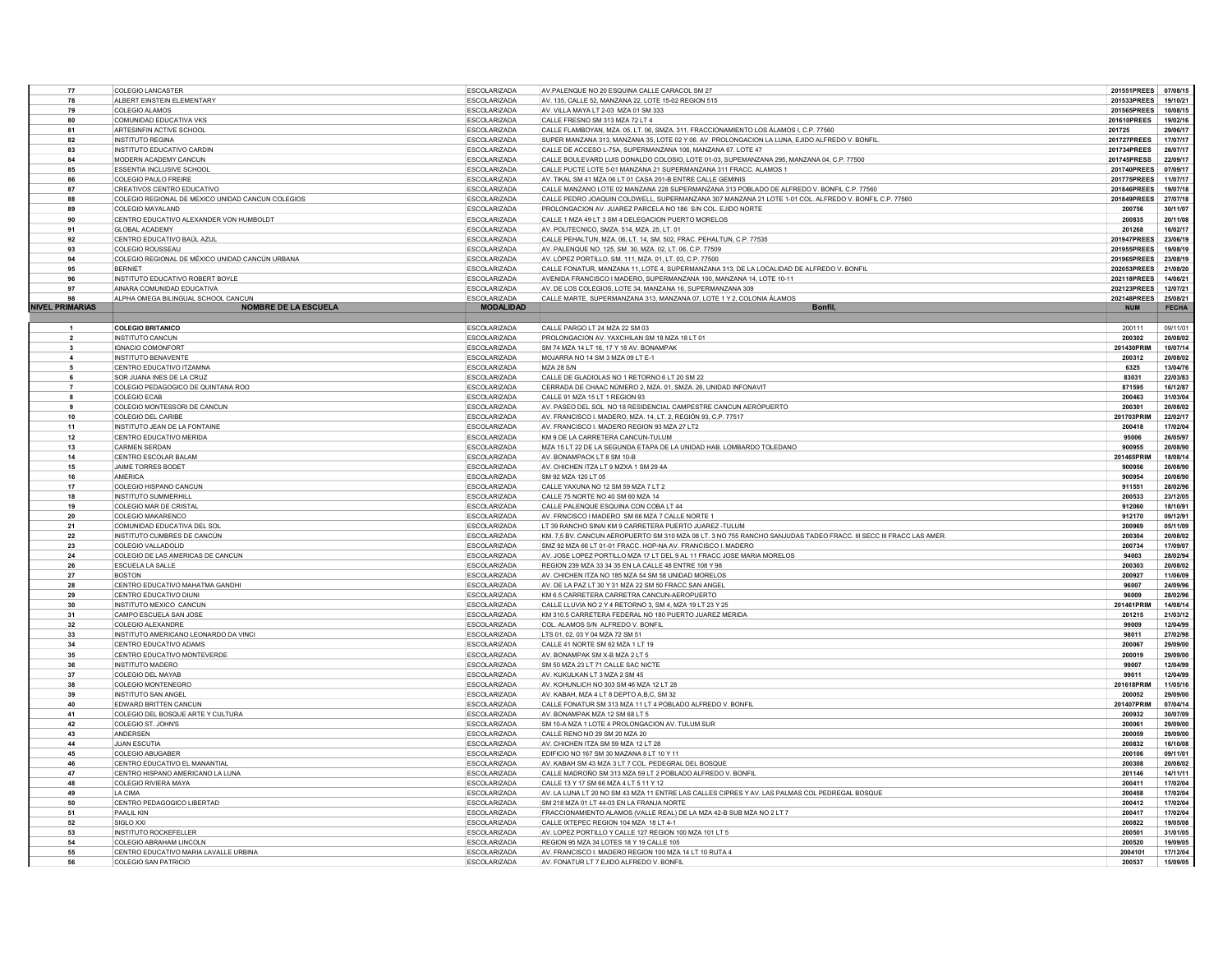| 77                     | <b>COLEGIO LANCASTER</b>                          | <b>ESCOLARIZADA</b> | AV.PALENQUE NO 20 ESQUINA CALLE CARACOL SM 27                                                                     | 201551PREES        | 07/08/1      |
|------------------------|---------------------------------------------------|---------------------|-------------------------------------------------------------------------------------------------------------------|--------------------|--------------|
| 78                     | ALBERT EINSTEIN ELEMENTARY                        | <b>ESCOLARIZADA</b> | AV. 135, CALLE 52, MANZANA 22, LOTE 15-02 REGION 515                                                              | 201533PREES        | 19/10/21     |
| 79                     | <b>COLEGIO ALAMOS</b>                             | <b>ESCOLARIZADA</b> | AV. VILLA MAYA LT 2-03 MZA 01 SM 333                                                                              | 201565PREES        | 10/08/15     |
| 80                     | COMUNIDAD EDUCATIVA VKS                           | <b>ESCOLARIZADA</b> | CALLE FRESNO SM 313 MZA 72 LT 4                                                                                   | 201610PREES        | 19/02/16     |
|                        |                                                   |                     |                                                                                                                   |                    |              |
| 81                     | ARTESINFIN ACTIVE SCHOOL                          | ESCOLARIZADA        | CALLE FLAMBOYAN, MZA. 05, LT. 06, SMZA. 311, FRACCIONAMIENTO LOS ÁLAMOS I, C.P. 77560                             | 201725             | 29/06/17     |
| 82                     | <b>INSTITUTO REGINA</b>                           | <b>ESCOLARIZADA</b> | SUPER MANZANA 313, MANZANA 35, LOTE 02 Y 06. AV. PROLONGACION LA LUNA, EJIDO ALFREDO V. BONFIL.                   | <b>201727PREES</b> | 17/07/17     |
| 83                     | INSTITUTO EDUCATIVO CARDIN                        | <b>ESCOLARIZADA</b> | CALLE DE ACCESO L-75A, SUPERMANZANA 106, MANZANA 67. LOTE 47                                                      | 201734PREES        | 26/07/17     |
| 84                     | MODERN ACADEMY CANCUN                             | <b>ESCOLARIZADA</b> | CALLE BOULEVARD LUIS DONALDO COLOSIO. LOTE 01-03. SUPEMANZANA 295. MANZANA 04. C.P. 77500                         | 201745PRESS        | 22/09/1      |
| 85                     | ESSENTIA INCLUSIVE SCHOOL                         | <b>ESCOLARIZADA</b> | CALLE PUCTE LOTE 5-01 MANZANA 21 SUPERMANZANA 311 FRACC. ALAMOS 1                                                 | 201740PREES        | 07/09/1      |
| <b>R<sub>6</sub></b>   | <b>COLEGIO PAULO FREIRE</b>                       | <b>ESCOLARIZADA</b> | AV. TIKAL SM 41 MZA 06 LT 01 CASA 201-B ENTRE CALLE GEMINIS                                                       | 201775PREES        | 11/07/17     |
| 87                     | CREATIVOS CENTRO EDUCATIVO                        | <b>ESCOLARIZADA</b> | CALLE MANZANO LOTE 02 MANZANA 228 SUPERMANZANA 313 POBLADO DE ALFREDO V. BONFIL C.P. 77560                        | 201846PREES        | 19/07/18     |
| 88                     | COLEGIO REGIONAL DE MEXICO UNIDAD CANCUN COLEGIOS | ESCOLARIZADA        | CALLE PEDRO JOAQUIN COLDWELL, SUPERMANZANA 307 MANZANA 21 LOTE 1-01 COL. ALFREDO V. BONFIL C.P. 77560             | 201849PREES        | 27/07/18     |
| 89                     | COLEGIO MAYALAND                                  | ESCOLARIZADA        | PROLONGACION AV. JUAREZ PARCELA NO 186 S/N COL. EJIDO NORTE                                                       | 200756             | 30/11/07     |
| 90                     | CENTRO EDUCATIVO ALEXANDER VON HUMBOLDT           | <b>ESCOLARIZADA</b> | CALLE 1 MZA 49 LT 3 SM 4 DELEGACION PUERTO MORELOS                                                                | 200835             | 20/11/08     |
|                        |                                                   |                     |                                                                                                                   |                    | 16/02/17     |
| 91                     | <b>GLOBAL ACADEMY</b>                             | <b>ESCOLARIZADA</b> | AV. POLITECNICO, SMZA. 514, MZA. 25, LT. 01                                                                       | 201268             |              |
| 92                     | CENTRO EDUCATIVO BAÚL AZUL                        | <b>ESCOLARIZADA</b> | CALLE PEHALTUN, MZA. 06, LT. 14, SM. 502, FRAC. PEHALTUN, C.P. 77535                                              | 201947PREES        | 23/06/19     |
| 93                     | COLEGIO ROUSSEAU                                  | <b>ESCOLARIZADA</b> | AV. PALENQUE NO. 125, SM. 30, MZA. 02, LT. 06, C.P. 77509                                                         | 201955PREES        | 19/08/1      |
| 94                     | COLEGIO REGIONAL DE MÉXICO UNIDAD CANCÚN URBANA   | <b>ESCOLARIZADA</b> | AV. LÓPEZ PORTILLO, SM. 111, MZA. 01, LT. 03, C.P. 77500                                                          | 201965PREES        | 23/08/1      |
| 95                     | <b>BERNIFT</b>                                    | <b>ESCOLARIZADA</b> | CALLE FONATUR, MANZANA 11, LOTE 4, SUPERMANZANA 313, DE LA LOCALIDAD DE ALFREDO V. BONFIL                         | 202053PREES        | 21/08/20     |
| 96                     | INSTITUTO EDUCATIVO ROBERT BOYLE                  | <b>ESCOLARIZADA</b> | AVENIDA FRANCISCO I MADERO. SUPERMANZANA 100. MANZANA 14. LOTE 10-11                                              | 202118PREES        | 14/06/21     |
| 97                     | AINARA COMUNIDAD EDUCATIVA                        | ESCOLARIZADA        | AV. DE LOS COLEGIOS, LOTE 34, MANZANA 16, SUPERMANZANA 309                                                        | 202123PREES        | 12/07/21     |
|                        | ALPHA OMEGA BILINGUAL SCHOOL CANCUN               | <b>ESCOLARIZADA</b> | CALLE MARTE, SUPERMANZANA 313, MANZANA 07, LOTE 1 Y 2, COLONIA ÁLAMOS                                             | 202148PREES        | 25/08/21     |
| <b>NIVEL PRIMARIAS</b> | <b>NOMBRE DE LA ESCUELA</b>                       | <b>MODALIDAD</b>    | Bonfil.                                                                                                           | <b>NUM</b>         | <b>FECHA</b> |
|                        |                                                   |                     |                                                                                                                   |                    |              |
|                        | <b>COLEGIO BRITANICO</b>                          | <b>ESCOLARIZADA</b> | CALLE PARGO LT 24 MZA 22 SM 03                                                                                    | 200111             | 09/11/01     |
|                        | <b>INSTITUTO CANCUN</b>                           | <b>ESCOLARIZADA</b> | PROLONGACION AV. YAXCHILAN SM 18 MZA 18 LT 01                                                                     | 200302             | 20/08/02     |
|                        | IGNACIO COMONFORT                                 | <b>ESCOLARIZADA</b> | SM 74 MZA 14 LT 16, 17 Y 18 AV, BONAMPAK                                                                          | 201430PRIN         | 10/07/14     |
| $\overline{4}$         | <b>INSTITUTO BENAVENTE</b>                        |                     |                                                                                                                   |                    | 20/08/02     |
|                        |                                                   | <b>ESCOLARIZADA</b> | MOJARRA NO 14 SM 3 MZA 09 LT E-1                                                                                  | 200312             |              |
| 5                      | CENTRO EDUCATIVO ITZAMNA                          | <b>ESCOLARIZADA</b> | <b>MZA 28 S/N</b>                                                                                                 | 6325               | 13/04/76     |
|                        | SOR JUANA INES DE LA CRUZ                         | ESCOLARIZADA        | CALLE DE GLADIOLAS NO 1 RETORNO 6 LT 20 SM 22                                                                     | 83031              | 22/03/83     |
|                        | COLEGIO PEDAGOGICO DE QUINTANA ROO                | <b>ESCOLARIZADA</b> | CERRADA DE CHAAC NÚMERO 2, MZA. 01, SMZA. 26, UNIDAD INFONAVIT                                                    | 871595             | 16/12/87     |
| R                      | <b>COLEGIO ECAB</b>                               | <b>ESCOLARIZADA</b> | CALLE 91 MZA 15 LT 1 REGION 93                                                                                    | 200463             | 31/03/04     |
| $\ddot{\mathbf{q}}$    | COLEGIO MONTESSORI DE CANCUN                      | <b>FSCOLARIZADA</b> | AV. PASEO DEL SOL NO 18 RESIDENCIAL CAMPESTRE CANCUN AEROPUERTO                                                   | 200301             | 20/08/02     |
| 10 <sup>1</sup>        | COLEGIO DEL CARIBE                                | <b>ESCOLARIZADA</b> | AV. FRANCISCO I. MADERO, MZA. 14, LT. 2, REGIÓN 93, C.P. 77517                                                    | 201703PRIM         | 22/02/17     |
| 11                     | INSTITUTO JEAN DE LA FONTAINE                     | <b>ESCOLARIZADA</b> | AV. FRANCISCO I. MADERO REGION 93 MZA 27 LT2                                                                      | 200418             | 17/02/04     |
| 12                     | CENTRO EDUCATIVO MERIDA                           | <b>ESCOLARIZADA</b> | KM 9 DE LA CARRETERA CANCUN-TULUM                                                                                 | 95006              | 26/05/97     |
| 13                     | <b>CARMEN SERDAN</b>                              | <b>ESCOLARIZADA</b> | MZA 15 LT 22 DE LA SEGUNDA ETAPA DE LA UNIDAD HAB. LOMBARDO TOLEDANO                                              | 900955             | 20/08/90     |
| 14                     | <b>CENTRO ESCOLAR BALAM</b>                       | <b>ESCOLARIZADA</b> | AV. BONAMPACK LT 8 SM 10-B                                                                                        | 201465PRIM         | 18/08/14     |
| 15                     | JAIME TORRES BODET                                | <b>ESCOLARIZADA</b> | AV. CHICHEN ITZA LT 9 MZXA 1 SM 29 4A                                                                             | 900956             | 20/08/90     |
| 16                     | AMERICA                                           | <b>ESCOLARIZADA</b> | SM 92 MZA 120 LT 05                                                                                               | 900954             | 20/08/90     |
|                        |                                                   |                     |                                                                                                                   |                    | 28/02/96     |
| 17                     | COLEGIO HISPANO CANCUN                            | <b>ESCOLARIZADA</b> | CALLE YAXUNA NO 12 SM 59 MZA 7 LT 2                                                                               | 911551             |              |
| 18                     | <b>INSTITUTO SUMMERHILL</b>                       | <b>ESCOLARIZADA</b> | CALLE 75 NORTE NO 40 SM 60 MZA 14                                                                                 | 200533             | 23/12/05     |
| 19                     | COLEGIO MAR DE CRISTAL                            | <b>ESCOLARIZADA</b> | CALLE PALENQUE ESQUINA CON COBA LT 44                                                                             | 912060             | 18/10/91     |
| 20                     | COLEGIO MAKARENCO                                 | <b>ESCOLARIZADA</b> | AV. FRNCISCO I MADERO SM 66 MZA 7 CALLE NORTE 1                                                                   | 912170             | 09/12/91     |
| 21                     | COMUNIDAD EDUCATIVA DEL SOL                       | <b>ESCOLARIZADA</b> | LT 39 RANCHO SINAI KM 9 CARRETERA PUERTO JUAREZ -TULUM                                                            | 200969             | 05/11/09     |
| 22                     | INSTITUTO CUMBRES DE CANCÚN                       | <b>ESCOLARIZADA</b> | KM. 7,5 BV. CANCUN AEROPUERTO SM 310 MZA 08 LT. 3 NO 755 RANCHO SANJUDAS TADEO FRACC. III SECC III FRACC LAS AMER | 200304             | 20/08/02     |
| 23                     | COLEGIO VALLADOLID                                | <b>ESCOLARIZADA</b> | SMZ 92 MZA 66 LT 01-01 FRACC. HOP-NA AV. FRANCISCO L MADERO                                                       | 200734             | 17/09/07     |
| 24                     | COLEGIO DE LAS AMERICAS DE CANCUN                 | ESCOLARIZADA        | AV. JOSE LOPEZ PORTILLO MZA 17 LT DEL 9 AL 11 FRACC JOSE MARIA MORELOS                                            | 94003              | 28/02/94     |
| 26                     | ESCUELA LA SALLE                                  | ESCOLARIZADA        | REGION 239 MZA 33 34 35 EN LA CALLE 48 ENTRE 108 Y 98                                                             | 200303             | 20/08/02     |
| 27                     | <b>BOSTON</b>                                     | <b>ESCOLARIZADA</b> | AV. CHICHEN ITZA NO 185 MZA 54 SM 58 UNIDAD MORELOS                                                               | 200927             | 11/06/09     |
| 28                     | CENTRO EDUCATIVO MAHATMA GANDHI                   | <b>ESCOLARIZADA</b> | AV. DE LA PAZ LT 30 Y 31 MZA 22 SM 50 FRACC SAN ANGE                                                              | 96007              | 24/09/96     |
| 29                     | CENTRO EDUCATIVO DIUNI                            | <b>ESCOLARIZADA</b> | KM 6.5 CARRETERA CARRETRA CANCUN-AEROPUERTO                                                                       | 96009              | 28/02/96     |
| 30                     | INSTITUTO MEXICO CANCUN                           | <b>ESCOLARIZADA</b> | CALLE LLUVIA NO 2 Y 4 RETORNO 3, SM 4, MZA 19 LT 23 Y 25                                                          | 201461PRIN         | 14/08/14     |
|                        |                                                   |                     |                                                                                                                   |                    |              |
| 31                     | CAMPO ESCUELA SAN JOSE                            | <b>ESCOLARIZADA</b> | KM 310.5 CARRETERA FEDERAL NO 180 PUERTO JUAREZ MERIDA                                                            | 201215             | 21/03/12     |
| 32                     | COLEGIO ALEXANDRE                                 | ESCOLARIZADA        | COL. ALAMOS S/N ALFREDO V. BONFIL                                                                                 | 99009              | 12/04/99     |
| 33                     | INSTITUTO AMERICANO LEONARDO DA VINCI             | <b>ESCOLARIZADA</b> | LTS 01, 02, 03 Y 04 MZA 72 SM 51                                                                                  | 98011              | 27/02/98     |
| 34                     | CENTRO EDUCATIVO ADAMS                            | ESCOLARIZADA        | CALLE 41 NORTE SM 62 MZA 1 LT 19                                                                                  | 200067             | 29/09/00     |
| 35                     | CENTRO EDUCATIVO MONTEVERDE                       | <b>ESCOLARIZADA</b> | AV. BONAMPAK SM X-B MZA 2 LT 5                                                                                    | 200019             | 29/09/00     |
| 36                     | <b>INSTITUTO MADERO</b>                           | <b>ESCOLARIZADA</b> | SM 50 MZA 23 LT 71 CALLE SAC NICTE                                                                                | 99007              | 12/04/99     |
| 37                     | COLEGIO DEL MAYAB                                 | <b>ESCOLARIZADA</b> | AV. KUKULKAN LT 3 MZA 2 SM 45                                                                                     | 99011              | 12/04/99     |
| 38                     | COLEGIO MONTENEGRO                                | <b>ESCOLARIZADA</b> | AV. KOHUNLICH NO 303 SM 46 MZA 12 LT 28                                                                           | 201618PRIM         | 11/05/16     |
| 39                     | <b>INSTITUTO SAN ANGEL</b>                        | ESCOLARIZADA        | AV. KABAH, MZA 4 LT 8 DEPTO A.B.C. SM 32                                                                          | 200052             | 29/09/00     |
| 40                     | <b>EDWARD BRITTEN CANCUN</b>                      | <b>ESCOLARIZADA</b> | CALLE FONATUR SM 313 MZA 11 LT 4 POBLADO ALFREDO V. BONFIL                                                        | 201407PRIM         | 07/04/14     |
| 41                     | COLEGIO DEL BOSQUE ARTE Y CULTURA                 | <b>ESCOLARIZADA</b> | AV. BONAMPAK MZA 12 SM 68 LT 5                                                                                    | 200932             | 30/07/09     |
| 42                     | COLEGIO ST. JOHN'S                                | ESCOLARIZADA        | SM 10-A MZA 1 LOTE 4 PROLONGACION AV. TULUM SUR                                                                   | 200061             | 29/09/00     |
| 43                     | ANDERSEN                                          | <b>ESCOLARIZADA</b> | CALLE RENO NO 29 SM 20 MZA 20                                                                                     | 200059             | 29/09/00     |
| 44                     | <b>JUAN ESCUTIA</b>                               | <b>ESCOLARIZADA</b> | AV. CHICHEN ITZA SM 59 MZA 12 LT 28                                                                               | 200832             | 16/10/08     |
| 45                     |                                                   |                     |                                                                                                                   |                    |              |
|                        | <b>COLEGIO ABUGABER</b>                           | <b>ESCOLARIZADA</b> | EDIFICIO NO 167 SM 30 MAZANA 8 LT 10 Y 11                                                                         | 200106             | 09/11/01     |
| 46                     | CENTRO EDUCATIVO EL MANANTIAL                     | <b>ESCOLARIZADA</b> | AV. KABAH SM 43 MZA 3 LT 7 COL. PEDEGRAL DEL BOSQUE                                                               | 200308             | 20/08/02     |
| 47                     | CENTRO HISPANO AMERICANO LA LUNA                  | ESCOLARIZADA        | CALLE MADROÑO SM 313 MZA 59 LT 2 POBLADO ALFREDO V. BONFIL                                                        | 201146             | 14/11/11     |
| 48                     | COLEGIO RIVIERA MAYA                              | ESCOLARIZADA        | CALLE 13 Y 17 SM 66 MZA 4 LT 5 11 Y 12                                                                            | 200411             | 17/02/04     |
| 49                     | LA CIMA                                           | <b>ESCOLARIZADA</b> | AV. LA LUNA LT 20 NO SM 43 MZA 11 ENTRE LAS CALLES CIPRES Y AV. LAS PALMAS COL PEDREGAL BOSQUE                    | 200458             | 17/02/04     |
| 50                     | CENTRO PEDAGOGICO LIBERTAD                        | <b>ESCOLARIZADA</b> | SM 218 MZA 01 LT 44-03 EN LA FRANJA NORTE                                                                         | 200412             | 17/02/04     |
| 51                     | <b>PAALIL KIN</b>                                 | <b>ESCOLARIZADA</b> | FRACCIONAMIENTO ALAMOS (VALLE REAL) DE LA MZA 42-B SUB MZA NO 2 LT 7                                              | 200417             | 17/02/04     |
| 52                     | SIGLO XXI                                         | <b>ESCOLARIZADA</b> | CALLE IXTEPEC REGION 104 MZA 18 LT 4-1                                                                            | 200822             | 19/05/08     |
| 53                     | INSTITUTO ROCKEFELLER                             | <b>ESCOLARIZADA</b> | AV. LOPEZ PORTILLO Y CALLE 127 REGION 100 MZA 101 LT 5                                                            | 200501             | 31/01/05     |
| 54                     | COLEGIO ABRAHAM LINCOLN                           | <b>ESCOLARIZADA</b> | REGION 95 MZA 34 LOTES 18 Y 19 CALLE 105                                                                          | 200520             | 19/09/05     |
| 55                     | CENTRO EDUCATIVO MARIA LAVALLE URBINA             | <b>ESCOLARIZADA</b> | AV. FRANCISCO I. MADERO REGION 100 MZA 14 LT 10 RUTA 4                                                            | 2004101            | 17/12/04     |
|                        |                                                   |                     |                                                                                                                   |                    |              |
| 56                     | COLEGIO SAN PATRICIO                              | <b>ESCOLARIZADA</b> | AV. FONATUR LT 7 EJIDO ALFREDO V. BONFIL                                                                          | 200537             | 15/09/05     |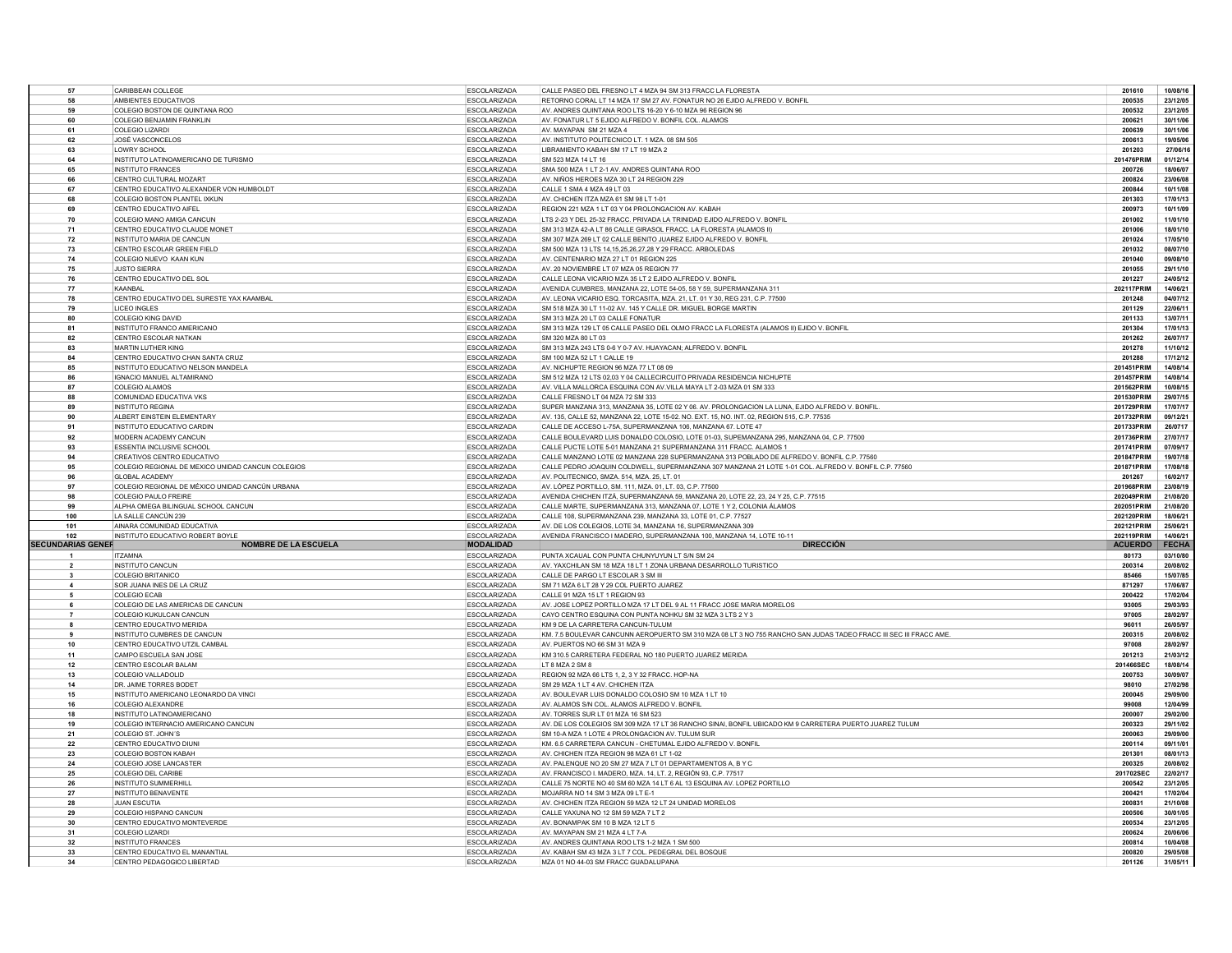| 57                       | CARIBBEAN COLLEGE                                                              | ESCOLARIZADA                               | CALLE PASEO DEL FRESNO LT 4 MZA 94 SM 313 FRACC LA FLORESTA                                                                                     | 201610                   | 10/08/16             |
|--------------------------|--------------------------------------------------------------------------------|--------------------------------------------|-------------------------------------------------------------------------------------------------------------------------------------------------|--------------------------|----------------------|
| 58                       | AMBIENTES EDUCATIVOS                                                           | <b>ESCOLARIZADA</b>                        | RETORNO CORAL LT 14 MZA 17 SM 27 AV. FONATUR NO 26 EJIDO ALFREDO V. BONFIL                                                                      | 200535                   | 23/12/05             |
| 59                       | COLEGIO BOSTON DE QUINTANA ROO                                                 | <b>ESCOLARIZADA</b>                        | AV. ANDRES QUINTANA ROO LTS 16-20 Y 6-10 MZA 96 REGION 96                                                                                       | 200532                   | 23/12/05             |
| 60                       | <b>COLEGIO BENJAMIN FRANKLIN</b>                                               | <b>ESCOLARIZADA</b>                        | AV. FONATUR LT 5 EJIDO ALFREDO V. BONFIL COL. ALAMOS                                                                                            | 200621                   | 30/11/06             |
| 61                       | COLEGIO LIZARDI                                                                | <b>ESCOLARIZADA</b>                        | AV. MAYAPAN SM 21 MZA 4                                                                                                                         | 200639                   | 30/11/06             |
| 62                       | JOSÉ VASCONCELOS                                                               | <b>ESCOLARIZADA</b>                        | AV. INSTITUTO POLITECNICO LT. 1 MZA. 08 SM 505                                                                                                  | 200613                   | 19/05/06             |
| 63                       | <b>LOWRY SCHOOL</b>                                                            | <b>ESCOLARIZADA</b>                        | LIBRAMIENTO KABAH SM 17 LT 19 MZA 2                                                                                                             | 201203                   | 27/06/1              |
| 64                       |                                                                                |                                            |                                                                                                                                                 |                          |                      |
|                          | INSTITUTO LATINOAMERICANO DE TURISMO                                           | <b>ESCOLARIZADA</b>                        | SM 523 MZA 14 LT 16                                                                                                                             | 201476PRIM               | 01/12/14             |
| 65                       | <b>INSTITUTO FRANCES</b>                                                       | <b>ESCOLARIZADA</b>                        | SMA 500 MZA 1 LT 2-1 AV. ANDRES QUINTANA ROO                                                                                                    | 200726                   | 18/06/07             |
| 66                       | CENTRO CULTURAL MOZART                                                         | ESCOLARIZADA                               | AV. NIÑOS HEROES MZA 30 LT 24 REGION 229                                                                                                        | 200824                   | 23/06/08             |
| 67                       | CENTRO EDUCATIVO ALEXANDER VON HUMBOLDT                                        | <b>ESCOLARIZADA</b>                        | CALLE 1 SMA 4 MZA 49 LT 03                                                                                                                      | 200844                   | 10/11/08             |
| 68                       | COLEGIO BOSTON PLANTEL IXKUN                                                   | <b>ESCOLARIZADA</b>                        | AV. CHICHEN ITZA MZA 61 SM 98 LT 1-01                                                                                                           | 201303                   | 17/01/13             |
| 69                       | CENTRO EDUCATIVO AIFEL                                                         | <b>ESCOLARIZADA</b>                        | REGION 221 MZA 1 LT 03 Y 04 PROLONGACION AV. KABAH                                                                                              | 200973                   | 10/11/09             |
| 70                       | COLEGIO MANO AMIGA CANCUN                                                      | ESCOLARIZADA                               | LTS 2-23 Y DEL 25-32 FRACC. PRIVADA LA TRINIDAD EJIDO ALFREDO V. BONFIL                                                                         | 201002                   | 11/01/10             |
| 71                       | CENTRO EDUCATIVO CLAUDE MONET                                                  | <b>ESCOLARIZADA</b>                        | SM 313 MZA 42-A LT 86 CALLE GIRASOL FRACC. LA FLORESTA (ALAMOS II)                                                                              | 201006                   | 18/01/10             |
| 72                       | INSTITUTO MARIA DE CANCUN                                                      | <b>FSCOLARIZADA</b>                        | SM 307 MZA 269 LT 02 CALLE BENITO JUAREZ EJIDO ALEREDO V. BONEIL                                                                                | 201024                   | 17/05/10             |
| 73                       | CENTRO ESCOLAR GREEN FIELD                                                     | <b>ESCOLARIZADA</b>                        | SM 500 MZA 13 LTS 14,15,25,26,27,28 Y 29 FRACC. ARBOLEDAS                                                                                       | 201032                   | 08/07/10             |
| 74                       | COLEGIO NUEVO KAAN KUN                                                         | <b>ESCOLARIZADA</b>                        | AV. CENTENARIO MZA 27 LT 01 REGION 225                                                                                                          | 201040                   | 09/08/10             |
| 75                       | <b>JUSTO SIERRA</b>                                                            | ESCOLARIZADA                               | AV. 20 NOVIEMBRE LT 07 MZA 05 REGION 77                                                                                                         | 201055                   | 29/11/10             |
|                          |                                                                                |                                            |                                                                                                                                                 | 201227                   | 24/05/12             |
| 76                       | CENTRO EDUCATIVO DEL SOL                                                       | ESCOLARIZADA                               | CALLE LEONA VICARIO MZA 35 LT 2 EJIDO ALFREDO V. BONFIL                                                                                         |                          |                      |
| 77                       | KAANBAL                                                                        | <b>ESCOLARIZADA</b>                        | AVENIDA CUMBRES, MANZANA 22, LOTE 54-05, 58 Y 59, SUPERMANZANA 311                                                                              | 202117PRIM               | 14/06/21             |
| 78                       | CENTRO EDUCATIVO DEL SURESTE YAX KAAMBAL                                       | ESCOLARIZADA                               | AV. LEONA VICARIO ESQ. TORCASITA, MZA. 21, LT. 01 Y 30, REG 231, C.P. 77500                                                                     | 201248                   | 04/07/12             |
| 79                       | <b>LICEO INGLES</b>                                                            | <b>ESCOLARIZADA</b>                        | SM 518 MZA 30 LT 11-02 AV. 145 Y CALLE DR. MIGUEL BORGE MARTIN                                                                                  | 201129                   | 22/06/1              |
| 80                       | COLEGIO KING DAVID                                                             | <b>ESCOLARIZADA</b>                        | SM 313 MZA 20 LT 03 CALLE FONATUR                                                                                                               | 201133                   | 13/07/11             |
| 81                       | INSTITUTO FRANCO AMERICANO                                                     | <b>ESCOLARIZADA</b>                        | SM 313 MZA 129 LT 05 CALLE PASEO DEL OLMO FRACC LA FLORESTA (ALAMOS II) EJIDO V. BONFIL                                                         | 201304                   | 17/01/13             |
| 82                       | CENTRO ESCOLAR NATKAN                                                          | <b>ESCOLARIZADA</b>                        | SM 320 MZA 80 LT 03                                                                                                                             | 201262                   | 26/07/17             |
| 83                       | MARTIN LUTHER KING                                                             | ESCOLARIZADA                               | SM 313 MZA 243 LTS 0-6 Y 0-7 AV. HUAYACAN; ALFREDO V. BONFIL                                                                                    | 201278                   | 11/10/12             |
| 84                       | CENTRO EDUCATIVO CHAN SANTA CRUZ                                               | ESCOLARIZADA                               | SM 100 MZA 52 LT 1 CALLE 19                                                                                                                     | 201288                   | 17/12/12             |
| 85                       | INSTITUTO EDUCATIVO NELSON MANDELA                                             | <b>ESCOLARIZADA</b>                        | AV. NICHUPTE REGION 96 MZA 77 LT 08 09                                                                                                          | 201451PRIM               | 14/08/14             |
| 86                       | <b>IGNACIO MANUEL ALTAMIRANO</b>                                               | <b>ESCOLARIZADA</b>                        | SM 512 MZA 12 LTS 02.03 Y 04 CALLECIRCUITO PRIVADA RESIDENCIA NICHUPTE                                                                          | 201457PRIM               | 14/08/14             |
| 87                       | COLEGIO ALAMOS                                                                 | <b>ESCOLARIZADA</b>                        | AV. VILLA MALLORCA ESQUINA CON AV.VILLA MAYA LT 2-03 MZA 01 SM 333                                                                              | 201562PRIM               | 10/08/1              |
| 88                       | COMUNIDAD EDUCATIVA VKS                                                        | ESCOLARIZADA                               | CALLE FRESNO LT 04 MZA 72 SM 333                                                                                                                | 201530PRIM               | 29/07/1              |
| 89                       | <b>INSTITUTO REGINA</b>                                                        | <b>ESCOLARIZADA</b>                        | SUPER MANZANA 313, MANZANA 35, LOTE 02 Y 06, AV, PROLONGACION LA LUNA, EJIDO ALFREDO V, BONFIL                                                  | 201729PRIM               | 17/07/17             |
| 90                       | ALBERT EINSTEIN ELEMENTARY                                                     | <b>ESCOLARIZADA</b>                        | AV. 135, CALLE 52, MANZANA 22, LOTE 15-02. NO. EXT. 15, NO. INT. 02, REGION 515, C.P. 77535                                                     | 201732PRIM               | 09/12/2              |
|                          |                                                                                |                                            |                                                                                                                                                 |                          |                      |
| 91                       | INSTITUTO EDUCATIVO CARDIN                                                     | <b>ESCOLARIZADA</b>                        | CALLE DE ACCESO L-75A, SUPERMANZANA 106, MANZANA 67, LOTE 47                                                                                    | 201733PRIM               | 26/0717              |
| 92                       | MODERN ACADEMY CANCUN                                                          | <b>ESCOLARIZADA</b>                        | CALLE BOULEVARD LUIS DONALDO COLOSIO, LOTE 01-03, SUPEMANZANA 295, MANZANA 04, C.P. 77500                                                       | 201736PRIM               | 27/07/17             |
| 93                       | ESSENTIA INCLUSIVE SCHOOL                                                      | ESCOLARIZADA                               | CALLE PUCTE LOTE 5-01 MANZANA 21 SUPERMANZANA 311 FRACC. ALAMOS 1                                                                               | 201741PRIM               | 07/09/17             |
| 94                       | CREATIVOS CENTRO EDUCATIVO                                                     | <b>ESCOLARIZADA</b>                        | CALLE MANZANO LOTE 02 MANZANA 228 SUPERMANZANA 313 POBLADO DE ALFREDO V. BONFIL C.P. 77560                                                      | 201847PRIM               | 19/07/18             |
| 95                       | COLEGIO REGIONAL DE MEXICO UNIDAD CANCUN COLEGIOS                              | <b>ESCOLARIZADA</b>                        | CALLE PEDRO JOAQUIN COLDWELL, SUPERMANZANA 307 MANZANA 21 LOTE 1-01 COL. ALFREDO V. BONFIL C.P. 77560                                           | 201871PRIM               | 17/08/18             |
| 96                       | <b>GLOBAL ACADEMY</b>                                                          | <b>ESCOLARIZADA</b>                        | AV. POLITECNICO, SMZA, 514, MZA, 25, LT, 01                                                                                                     | 201267                   | 16/02/17             |
|                          |                                                                                |                                            |                                                                                                                                                 |                          |                      |
| 97                       |                                                                                |                                            |                                                                                                                                                 |                          | 23/08/19             |
| 98                       | COLEGIO REGIONAL DE MÉXICO UNIDAD CANCÚN URBANA<br><b>COLEGIO PAULO FREIRE</b> | <b>ESCOLARIZADA</b><br><b>ESCOLARIZADA</b> | AV. LÓPEZ PORTILLO, SM. 111, MZA. 01, LT. 03, C.P. 77500<br>AVENIDA CHICHEN ITZÁ, SUPERMANZANA 59, MANZANA 20, LOTE 22, 23, 24 Y 25, C.P. 77515 | 201968PRIM<br>202049PRIM | 21/08/20             |
| 99                       |                                                                                | <b>ESCOLARIZADA</b>                        | CALLE MARTE, SUPERMANZANA 313, MANZANA 07, LOTE 1 Y 2, COLONIA ÁLAMOS                                                                           | 202051PRIM               | 21/08/20             |
|                          | ALPHA OMEGA BILINGUAL SCHOOL CANCUN                                            |                                            |                                                                                                                                                 |                          |                      |
| 100                      | LA SALLE CANCÚN 239                                                            | ESCOLARIZADA                               | CALLE 108, SUPERMANZANA 239, MANZANA 33, LOTE 01, C.P. 77527                                                                                    | 202120PRIM               | 18/06/2              |
| 101                      | AINARA COMUNIDAD EDUCATIVA                                                     | ESCOLARIZADA                               | AV. DE LOS COLEGIOS, LOTE 34, MANZANA 16, SUPERMANZANA 309                                                                                      | 202121PRIM               | 25/06/21             |
| 102                      | INSTITUTO EDUCATIVO ROBERT BOYLE                                               | <b>ESCOLARIZADA</b>                        | AVENIDA FRANCISCO I MADERO, SUPERMANZANA 100, MANZANA 14, LOTE 10-11                                                                            | 202119PRIM               | 14/06/21             |
| <b>SECUNDARIAS GENER</b> | NOMBRE DE LA ESCUELA                                                           | <b>MODALIDAD</b>                           | <b>DIRECCIÓN</b>                                                                                                                                | <b>ACUERDO</b>           | <b>FECHA</b>         |
|                          | <b>ITZAMNA</b>                                                                 | <b>ESCOLARIZADA</b>                        | PUNTA XCAUAL CON PUNTA CHUNYUYUN LT S/N SM 24                                                                                                   | 80173                    | 03/10/80             |
| $\overline{2}$           | <b>INSTITUTO CANCUN</b>                                                        | <b>ESCOLARIZADA</b>                        | AV. YAXCHILAN SM 18 MZA 18 LT 1 ZONA URBANA DESARROLLO TURISTICO                                                                                | 200314                   | 20/08/02             |
| $\mathbf{3}$             | <b>COLEGIO BRITANICO</b>                                                       | <b>ESCOLARIZADA</b>                        | CALLE DE PARGO LT ESCOLAR 3 SM III                                                                                                              | 85466                    | 15/07/85             |
| $\mathbf{A}$             | SOR JUANA INES DE LA CRUZ                                                      | <b>ESCOLARIZADA</b>                        | SM 71 MZA 6 LT 28 Y 29 COL PUERTO JUAREZ                                                                                                        | 871297                   | 17/06/87             |
| -5                       | COLEGIO ECAB                                                                   | <b>ESCOLARIZADA</b>                        | CALLE 91 MZA 15 LT 1 REGION 93                                                                                                                  | 200422                   | 17/02/04             |
| 6                        | COLEGIO DE LAS AMERICAS DE CANCUN                                              | ESCOLARIZADA                               | AV. JOSE LOPEZ PORTILLO MZA 17 LT DEL 9 AL 11 FRACC JOSE MARIA MORELOS                                                                          | 93005                    | 29/03/93             |
| $\overline{7}$           | COLEGIO KUKULCAN CANCUN                                                        | ESCOLARIZADA                               | CAYO CENTRO ESQUINA CON PUNTA NOHKU SM 32 MZA 3 LTS 2 Y 3                                                                                       | 97005                    | 28/02/97             |
| 8                        | CENTRO EDUCATIVO MERIDA                                                        | <b>ESCOLARIZADA</b>                        | KM 9 DE LA CARRETERA CANCUN-TULUM                                                                                                               | 96011                    | 26/05/97             |
| 9                        | INSTITUTO CUMBRES DE CANCUN                                                    | <b>ESCOLARIZADA</b>                        | KM. 7.5 BOULEVAR CANCUNN AEROPUERTO SM 310 MZA 08 LT 3 NO 755 RANCHO SAN JUDAS TADEO FRACC III SEC III FRACC AME                                | 200315                   | 20/08/02             |
| 10                       | CENTRO EDUCATIVO UTZIL CAMBAL                                                  | <b>ESCOLARIZADA</b>                        | AV. PUERTOS NO 66 SM 31 MZA 9                                                                                                                   | 97008                    | 28/02/97             |
| 11                       | CAMPO ESCUELA SAN JOSE                                                         | <b>ESCOLARIZADA</b>                        | KM 310.5 CARRETERA FEDERAL NO 180 PUERTO JUAREZ MERIDA                                                                                          | 201213                   | 21/03/12             |
| 12                       | CENTRO ESCOLAR BALAM                                                           | <b>ESCOLARIZADA</b>                        | IT 8 M 7 A 2 SM 8                                                                                                                               | 201466SEC                | 18/08/14             |
| 13                       | COLEGIO VALLADOLID                                                             | ESCOLARIZADA                               | REGION 92 MZA 66 LTS 1, 2, 3 Y 32 FRACC, HOP-NA                                                                                                 | 200753                   | 30/09/07             |
|                          |                                                                                |                                            |                                                                                                                                                 |                          |                      |
| 14                       | DR. JAIME TORRES BODET                                                         | ESCOLARIZADA                               | SM 29 MZA 1 LT 4 AV. CHICHEN ITZA                                                                                                               | 98010                    | 27/02/98             |
| 15                       | INSTITUTO AMERICANO LEONARDO DA VINCI                                          | ESCOLARIZADA                               | AV. BOULEVAR LUIS DONALDO COLOSIO SM 10 MZA 1 LT 10                                                                                             | 200045                   | 29/09/00             |
| 16                       | COLEGIO ALEXANDRE                                                              | <b>ESCOLARIZADA</b>                        | AV. ALAMOS S/N COL. ALAMOS ALFREDO V. BONFIL                                                                                                    | 99008                    | 12/04/99             |
| 18                       | INSTITUTO LATINOAMERICANO                                                      | <b>ESCOLARIZADA</b>                        | AV TORRES SUR LT 01 MZA 16 SM 523                                                                                                               | 200007                   | 29/02/00             |
| 19                       | COLEGIO INTERNACIO AMERICANO CANCUN                                            | <b>ESCOLARIZADA</b>                        | AV. DE LOS COLEGIOS SM 309 MZA 17 LT 36 RANCHO SINAI, BONFIL UBICADO KM 9 CARRETERA PUERTO JUAREZ TULUM                                         | 200323                   | 29/11/02             |
| 21                       | COLEGIO ST. JOHN'S                                                             | <b>ESCOLARIZADA</b>                        | SM 10-A MZA 1 LOTE 4 PROLONGACION AV. TULUM SUF                                                                                                 | 200063                   | 29/09/00             |
| 22                       | CENTRO EDUCATIVO DIUNI                                                         | ESCOLARIZADA                               | KM. 6.5 CARRETERA CANCUN - CHETUMAL EJIDO ALFREDO V. BONFIL                                                                                     | 200114                   | 09/11/01             |
| 23                       | <b>COLEGIO BOSTON KABAH</b>                                                    | <b>ESCOLARIZADA</b>                        | AV. CHICHEN ITZA REGION 98 MZA 61 LT 1-02                                                                                                       | 201301                   | 08/01/13             |
| 24                       | COLEGIO JOSE LANCASTER                                                         | <b>ESCOLARIZADA</b>                        | AV. PALENQUE NO 20 SM 27 MZA 7 LT 01 DEPARTAMENTOS A. B Y C                                                                                     | 200325                   | 20/08/02             |
| 25                       | COLEGIO DEL CARIBE                                                             | ESCOLARIZADA                               | AV. FRANCISCO I. MADERO, MZA. 14, LT. 2, REGIÓN 93, C.P. 77517                                                                                  | 201702SEC                | 22/02/17             |
| 26                       | <b>INSTITUTO SUMMERHILI</b>                                                    | <b>ESCOLARIZADA</b>                        | CALLE 75 NORTE NO 40 SM 60 MZA 14 LT 6 AL 13 ESQUINA AV. LOPEZ PORTILLO                                                                         | 200542                   | 23/12/05             |
| 27                       |                                                                                |                                            |                                                                                                                                                 | 200421                   | 17/02/04             |
| 28                       | <b>INSTITUTO BENAVENTE</b><br><b>JUAN ESCUTIA</b>                              | ESCOLARIZADA<br><b>ESCOLARIZADA</b>        | MOJARRA NO 14 SM 3 MZA 09 LT E-1<br>AV. CHICHEN ITZA REGION 59 MZA 12 LT 24 UNIDAD MORELOS                                                      | 200831                   | 21/10/08             |
|                          |                                                                                |                                            |                                                                                                                                                 |                          |                      |
| 29                       | COLEGIO HISPANO CANCUN                                                         | <b>ESCOLARIZADA</b>                        | CALLE YAXUNA NO 12 SM 59 MZA 7 LT 2                                                                                                             | 200506                   | 30/01/05             |
| 30                       | CENTRO EDUCATIVO MONTEVERDE                                                    | <b>ESCOLARIZADA</b>                        | AV. BONAMPAK SM 10 B MZA 12 LT 5                                                                                                                | 200534                   | 23/12/05             |
| 31                       | <b>COLEGIO LIZARDI</b>                                                         | ESCOLARIZADA                               | AV. MAYAPAN SM 21 MZA 4 LT 7-A                                                                                                                  | 200624                   | 20/06/06             |
| 32                       | <b>INSTITUTO FRANCES</b>                                                       | <b>ESCOLARIZADA</b>                        | AV. ANDRES QUINTANA ROO LTS 1-2 MZA 1 SM 500                                                                                                    | 200814                   | 10/04/08             |
| 33<br>34                 | CENTRO EDUCATIVO EL MANANTIAL<br>CENTRO PEDAGOGICO LIBERTAD                    | <b>ESCOLARIZADA</b><br><b>ESCOLARIZADA</b> | AV. KABAH SM 43 MZA 3 LT 7 COL. PEDEGRAL DEL BOSQUE<br>MZA 01 NO 44-03 SM FRACC GUADALUPANA                                                     | 200820<br>201126         | 29/05/08<br>31/05/11 |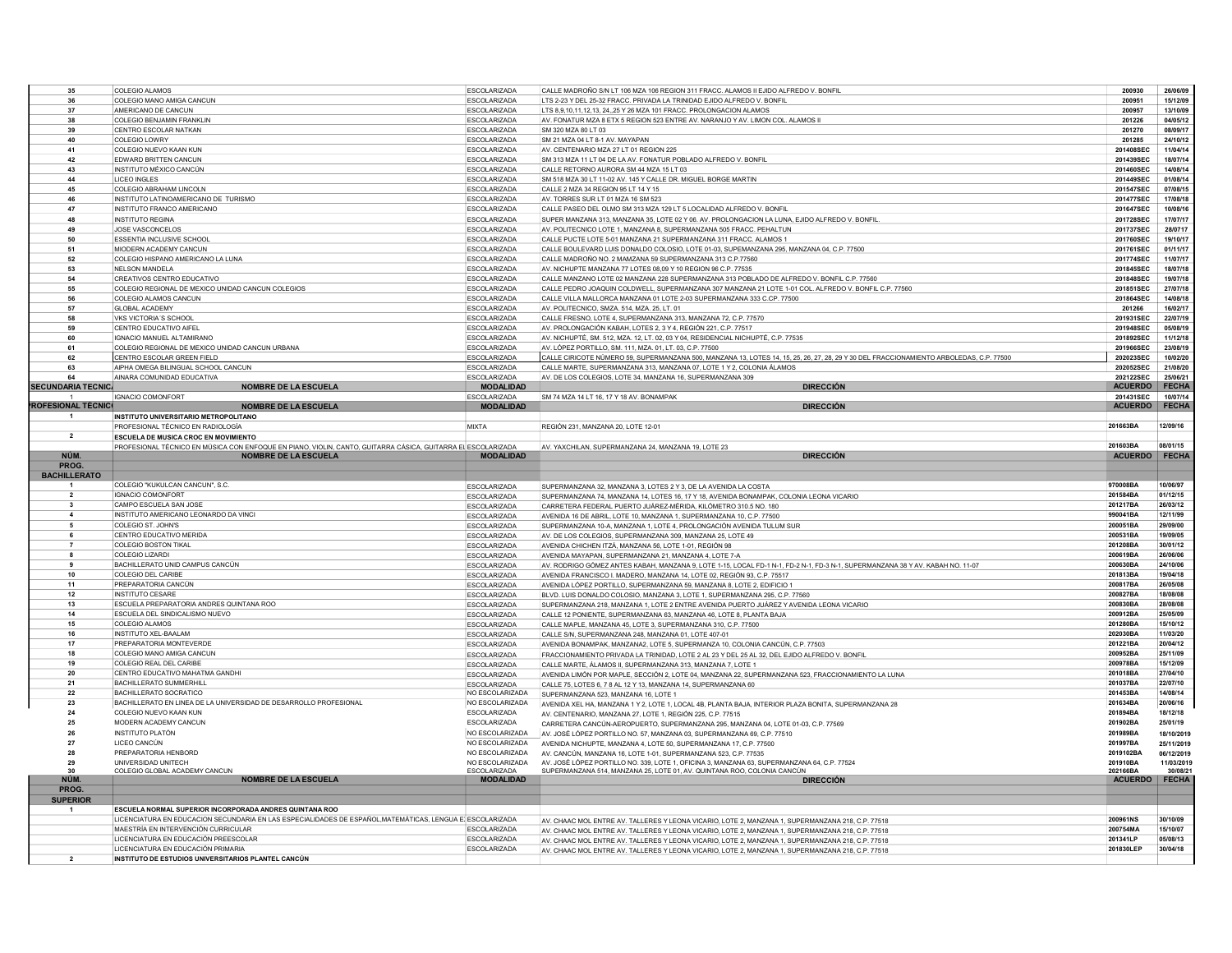| 35                           | COLEGIO ALAMOS                                                                                               | ESCOLARIZADA                               | CALLE MADROÑO S/N LT 106 MZA 106 REGION 311 FRACC. ALAMOS II EJIDO ALFREDO V. BONFIL                                                                                                                   | 200930                      | 26/06/09                 |
|------------------------------|--------------------------------------------------------------------------------------------------------------|--------------------------------------------|--------------------------------------------------------------------------------------------------------------------------------------------------------------------------------------------------------|-----------------------------|--------------------------|
| 36                           | COLEGIO MANO AMIGA CANCUN                                                                                    | <b>ESCOLARIZADA</b>                        | LTS 2-23 Y DEL 25-32 FRACC. PRIVADA LA TRINIDAD EJIDO ALFREDO V. BONFIL                                                                                                                                | 200951                      | 15/12/09                 |
| 37                           | AMERICANO DE CANCUN                                                                                          | <b>ESCOLARIZADA</b>                        | LTS 8.9.10.11.12.13. 2425 Y 26 MZA 101 FRACC, PROLONGACION ALAMOS                                                                                                                                      | 200957                      | 13/10/09                 |
| 38                           | <b>COLEGIO BENJAMIN FRANKLIN</b>                                                                             | <b>ESCOLARIZADA</b>                        | AV. FONATUR MZA 8 ETX 5 REGION 523 ENTRE AV. NARANJO Y AV. LIMON COL. ALAMOS II                                                                                                                        | 201226                      | 04/05/12                 |
| 39                           | CENTRO ESCOLAR NATKAN                                                                                        | <b>ESCOLARIZADA</b>                        | SM 320 MZA 80 LT 03                                                                                                                                                                                    | 201270                      | 08/09/17                 |
| 40                           | COLEGIO LOWRY                                                                                                | <b>ESCOLARIZADA</b>                        | SM 21 MZA 04 LT 8-1 AV. MAYAPAN                                                                                                                                                                        | 201285                      | 24/10/12                 |
| 41<br>42                     | COLEGIO NUEVO KAAN KUN                                                                                       | ESCOLARIZADA                               | AV. CENTENARIO MZA 27 LT 01 REGION 225                                                                                                                                                                 | 201408SEC<br>201439SEC      | 11/04/14<br>18/07/14     |
| 43                           | <b>EDWARD BRITTEN CANCUN</b><br>INSTITUTO MÉXICO CANCÚN                                                      | <b>ESCOLARIZADA</b><br>ESCOLARIZADA        | SM 313 MZA 11 LT 04 DE LA AV. FONATUR POBLADO ALFREDO V. BONFIL<br>CALLE RETORNO AURORA SM 44 MZA 15 LT 03                                                                                             | 201460SEC                   | 14/08/14                 |
| 44                           | <b>LICEO INGLES</b>                                                                                          | ESCOLARIZADA                               | SM 518 MZA 30 LT 11-02 AV, 145 Y CALLE DR, MIGUEL BORGE MARTIN                                                                                                                                         | 201449SEC                   | 01/08/14                 |
| 45                           | COLEGIO ABRAHAM LINCOLN                                                                                      | ESCOLARIZADA                               | CALLE 2 MZA 34 REGION 95 LT 14 Y 15                                                                                                                                                                    | 201547SEC                   | 07/08/15                 |
| 46                           | INSTITUTO LATINOAMERICANO DE TURISMO                                                                         | <b>ESCOLARIZADA</b>                        | AV. TORRES SUR LT 01 MZA 16 SM 523                                                                                                                                                                     | 201477SEC                   | 17/08/18                 |
| 47                           | INSTITUTO FRANCO AMERICANO                                                                                   | ESCOLARIZADA                               | CALLE PASEO DEL OLMO SM 313 MZA 129 LT 5 LOCALIDAD ALFREDO V. BONFIL                                                                                                                                   | 201647SEC                   | 10/08/16                 |
| 48                           | <b>INSTITUTO REGINA</b>                                                                                      | <b>ESCOLARIZADA</b>                        | SUPER MANZANA 313, MANZANA 35, LOTE 02 Y 06. AV. PROLONGACION LA LUNA, EJIDO ALFREDO V. BONFIL                                                                                                         | 201728SEC                   | 17/07/17                 |
| 49                           | JOSE VASCONCELOS                                                                                             | ESCOLARIZADA                               | AV POLITECNICO LOTE 1 MANZANA 8 SUPERMANZANA 505 FRACC. PEHALTUN                                                                                                                                       | 201737SEC                   | 28/0717                  |
| 50                           | <b>ESSENTIA INCLUSIVE SCHOOL</b>                                                                             | <b>ESCOLARIZADA</b>                        | CALLE PUCTE LOTE 5-01 MANZANA 21 SUPERMANZANA 311 FRACC. ALAMOS 1                                                                                                                                      | 201760SEC                   | 19/10/17                 |
| 51                           | MIODERN ACADEMY CANCUN                                                                                       | <b>ESCOLARIZADA</b>                        | CALLE BOULEVARD LUIS DONALDO COLOSIO, LOTE 01-03, SUPEMANZANA 295, MANZANA 04, C.P. 77500                                                                                                              | 201761SEC                   | 01/11/17                 |
| 52                           | COLEGIO HISPANO AMERICANO LA LUNA                                                                            | <b>ESCOLARIZADA</b>                        | CALLE MADROÑO NO. 2 MAMZANA 59 SUPERMANZANA 313 C.P.77560                                                                                                                                              | 201774SEC                   | 11/07/17                 |
| 53                           | NELSON MANDELA                                                                                               | ESCOLARIZADA                               | AV. NICHUPTE MANZANA 77 LOTES 08,09 Y 10 REGION 96 C.P. 77535                                                                                                                                          | 201845SEC                   | 18/07/18                 |
| 54                           | CREATIVOS CENTRO EDUCATIVO                                                                                   | <b>ESCOLARIZADA</b>                        | CALLE MANZANO LOTE 02 MANZANA 228 SUPERMANZANA 313 POBLADO DE ALFREDO V. BONFIL C.P. 77560                                                                                                             | 201848SEC                   | 19/07/18                 |
| 55                           | COLEGIO REGIONAL DE MEXICO UNIDAD CANCUN COLEGIOS                                                            | <b>ESCOLARIZADA</b>                        | CALLE PEDRO JOAQUIN COLDWELL, SUPERMANZANA 307 MANZANA 21 LOTE 1-01 COL. ALFREDO V. BONFIL C.P. 77560                                                                                                  | 201851SEC                   | 27/07/18                 |
| 56                           | COLEGIO ALAMOS CANCUN                                                                                        | <b>ESCOLARIZADA</b>                        | CALLE VILLA MALLORCA MANZANA 01 LOTE 2-03 SUPERMANZANA 333 C.CP. 77500                                                                                                                                 | 201864SEC                   | 14/08/18                 |
| 57                           | <b>GLOBAL ACADEMY</b>                                                                                        | <b>ESCOLARIZADA</b>                        | AV. POLITECNICO, SMZA, 514, MZA, 25, LT, 01                                                                                                                                                            | 201266                      | 16/02/17                 |
| 58                           | VKS VICTORIA'S SCHOOL                                                                                        | <b>ESCOLARIZADA</b>                        | CALLE FRESNO, LOTE 4, SUPERMANZANA 313, MANZANA 72, C.P. 77570                                                                                                                                         | 201931SEC                   | 22/07/19                 |
| 59                           | CENTRO EDUCATIVO AIFEL                                                                                       | <b>ESCOLARIZADA</b>                        | AV. PROLONGACIÓN KABAH, LOTES 2, 3 Y 4, REGIÓN 221, C.P. 77517                                                                                                                                         | 201948SEC                   | 05/08/19                 |
| 60                           | IGNACIO MANUEL ALTAMIRANO                                                                                    | ESCOLARIZADA                               | AV. NICHUPTÉ, SM. 512, MZA. 12, LT. 02, 03 Y 04, RESIDENCIAL NICHUPTÉ, C.P. 77535                                                                                                                      | 201892SEC                   | 11/12/18                 |
| 61                           | COLEGIO REGIONAL DE MEXICO UNIDAD CANCUN URBANA                                                              | ESCOLARIZADA                               | AV. LÓPEZ PORTILLO, SM. 111, MZA, 01, LT, 03, C.P. 77500                                                                                                                                               | 201966SEC                   | 23/08/19                 |
| 62                           | CENTRO ESCOLAR GREEN FIELD                                                                                   | <b>ESCOLARIZADA</b>                        | CALLE CIRICOTE NÚMERO 59, SUPERMANZANA 500, MANZANA 13, LOTES 14, 15, 25, 26, 27, 28, 29 Y 30 DEL FRACCIONAMIENTO ARBOLEDAS, C.P. 77500                                                                | 202023SEC                   | 10/02/20                 |
| 63<br>64                     | AIPHA OMEGA BILINGUAL SCHOOL CANCUN                                                                          | <b>ESCOLARIZADA</b><br><b>ESCOLARIZADA</b> | CALLE MARTE, SUPERMANZANA 313, MANZANA 07, LOTE 1 Y 2, COLONIA ÁLAMOS                                                                                                                                  | 202052SEC                   | 21/08/20                 |
| <b>SECUNDARIA TECNIC</b>     | AINARA COMUNIDAD EDUCATIVA<br><b>NOMBRE DE LA ESCUELA</b>                                                    | <b>MODALIDAD</b>                           | AV. DE LOS COLEGIOS, LOTE 34, MANZANA 16, SUPERMANZANA 309<br><b>DIRECCIÓN</b>                                                                                                                         | 202122SEC<br><b>ACUERDO</b> | 25/06/21<br><b>FECHA</b> |
|                              | IGNACIO COMONFORT                                                                                            | <b>ESCOLARIZADA</b>                        | SM 74 MZA 14 LT 16, 17 Y 18 AV. BONAMPAK                                                                                                                                                               | 201431SEC                   | 10/07/14                 |
| 'ROFESIONAL TÉCNIC           | <b>NOMBRE DE LA ESCUELA</b>                                                                                  | <b>MODALIDAD</b>                           | <b>DIRECCIÓN</b>                                                                                                                                                                                       | <b>ACUERDO</b>              | <b>FECHA</b>             |
| -1                           | <b>INSTITUTO UNIVERSITARIO METROPOLITANO</b>                                                                 |                                            |                                                                                                                                                                                                        |                             |                          |
|                              | PROFESIONAL TÉCNICO EN RADIOLOGÍA                                                                            | <b>MIXTA</b>                               | REGIÓN 231, MANZANA 20, LOTE 12-01                                                                                                                                                                     | 201663BA                    | 12/09/16                 |
| $\overline{2}$               | <b>ESCUELA DE MUSICA CROC EN MOVIMIENTO</b>                                                                  |                                            |                                                                                                                                                                                                        |                             |                          |
|                              | PROFESIONAL TÉCNICO EN MÚSICA CON ENFOQUE EN PIANO, VIOLIN, CANTO, GUITARRA CÁSICA, GUITARRA EL ESCOLARIZADA |                                            | AV. YAXCHILAN, SUPERMANZANA 24, MANZANA 19, LOTE 23                                                                                                                                                    | 201603BA                    | 08/01/15                 |
| NÚM.                         | <b>NOMBRE DE LA ESCUELA</b>                                                                                  | <b>MODALIDAD</b>                           | <b>DIRECCIÓN</b>                                                                                                                                                                                       | <b>ACUERDO</b>              | <b>FECHA</b>             |
| PROG.<br><b>BACHILLERATO</b> |                                                                                                              |                                            |                                                                                                                                                                                                        |                             |                          |
|                              |                                                                                                              |                                            |                                                                                                                                                                                                        |                             |                          |
|                              |                                                                                                              |                                            |                                                                                                                                                                                                        |                             |                          |
|                              | COLEGIO "KUKULCAN CANCUN", S.C.                                                                              | <b>ESCOLARIZADA</b>                        | SUPERMANZANA 32, MANZANA 3, LOTES 2 Y 3, DE LA AVENIDA LA COSTA                                                                                                                                        | 970008BA                    | 10/06/97                 |
| $\overline{2}$               | <b>IGNACIO COMONFORT</b>                                                                                     | <b>ESCOLARIZADA</b>                        | SUPERMANZANA 74. MANZANA 14. LOTES 16. 17 Y 18. AVENIDA BONAMPAK, COLONIA LEONA VICARIO                                                                                                                | 201584BA                    | 01/12/15                 |
| 3                            | CAMPO ESCUELA SAN JOSE                                                                                       | <b>ESCOLARIZADA</b>                        | CARRETERA FEDERAL PUERTO JUÁREZ-MÉRIDA, KILÓMETRO 310.5 NO. 180                                                                                                                                        | 201217BA                    | 26/03/12                 |
| $\overline{a}$               | INSTITUTO AMERICANO LEONARDO DA VINCI                                                                        | ESCOLARIZADA                               | AVENIDA 16 DE ABRIL, LOTE 10, MANZANA 1, SUPERMANZANA 10, C.P. 77500                                                                                                                                   | 990041BA                    | 12/11/99                 |
| 5<br>6                       | COLEGIO ST. JOHN'S                                                                                           | <b>ESCOLARIZADA</b>                        | SUPERMANZANA 10-A, MANZANA 1, LOTE 4, PROLONGACIÓN AVENIDA TULUM SUR                                                                                                                                   | 200051BA                    | 29/09/00                 |
| $\overline{7}$               | CENTRO EDUCATIVO MERIDA                                                                                      | ESCOLARIZADA                               | AV. DE LOS COLEGIOS, SUPERMANZANA 309, MANZANA 25, LOTE 49                                                                                                                                             | 200531BA                    | 19/09/05                 |
| 8                            | COLEGIO BOSTON TIKAL<br>COLEGIO LIZARDI                                                                      | ESCOLARIZADA                               | AVENIDA CHICHEN ITZÁ, MANZANA 56, LOTE 1-01, REGIÓN 98                                                                                                                                                 | 201208BA<br>200619BA        | 30/01/12<br>26/06/06     |
| 9                            |                                                                                                              | ESCOLARIZADA                               | AVENIDA MAYAPAN, SUPERMANZANA 21, MANZANA 4, LOTE 7-A                                                                                                                                                  | 200630BA                    | 24/10/06                 |
| 10                           | BACHILLERATO UNID CAMPUS CANCÚN<br><b>COLEGIO DEL CARIBE</b>                                                 | <b>ESCOLARIZADA</b>                        | AV. RODRIGO GÓMEZ ANTES KABAH, MANZANA 9, LOTE 1-15, LOCAL FD-1 N-1, FD-2 N-1, FD-3 N-1, SUPERMANZANA 38 Y AV. KABAH NO. 11-07                                                                         | 201813BA                    | 19/04/18                 |
| 11                           | PREPARATORIA CANCÚN                                                                                          | <b>ESCOLARIZADA</b><br><b>ESCOLARIZADA</b> | AVENIDA FRANCISCO I. MADERO, MANZANA 14, LOTE 02, REGIÓN 93, C.P. 75517<br>AVENIDA LÓPEZ PORTILLO, SUPERMANZANA 59, MANZANA 8, LOTE 2, EDIFICIO 1                                                      | 200817BA                    | 26/05/08                 |
| 12                           | <b>INSTITUTO CESARE</b>                                                                                      | <b>ESCOLARIZADA</b>                        | BLVD. LUIS DONALDO COLOSIO, MANZANA 3, LOTE 1, SUPERMANZANA 295, C.P. 77560                                                                                                                            | 200827BA                    | 18/08/08                 |
| 13                           | ESCUELA PREPARATORIA ANDRES QUINTANA ROO                                                                     | <b>ESCOLARIZADA</b>                        | SUPERMANZANA 218, MANZANA 1, LOTE 2 ENTRE AVENIDA PUERTO JUÁREZ Y AVENIDA LEONA VICARIO                                                                                                                | 200830BA                    | 28/08/08                 |
| 14                           | ESCUELA DEL SINDICALISMO NUEVO                                                                               | <b>FSCOLARIZADA</b>                        | CALLE 12 PONIENTE, SUPERMANZANA 63, MANZANA 46, LOTE 8, PLANTA BAJA                                                                                                                                    | 200912BA                    | 25/05/09                 |
| 15                           | COLEGIO ALAMOS                                                                                               | <b>ESCOLARIZADA</b>                        | CALLE MAPLE, MANZANA 45, LOTE 3, SUPERMANZANA 310, C.P. 77500                                                                                                                                          | 201280BA                    | 15/10/12                 |
| 16                           | <b>INSTITUTO XEL-BAALAM</b>                                                                                  | ESCOLARIZADA                               | CALLE S/N, SUPERMANZANA 248, MANZANA 01, LOTE 407-01                                                                                                                                                   | 202030BA                    | 11/03/20                 |
| 17                           | PREPARATORIA MONTEVERDE                                                                                      | ESCOLARIZADA                               | AVENIDA BONAMPAK, MANZANA2, LOTE 5, SUPERMANZA 10, COLONIA CANCÚN, C.P. 77503                                                                                                                          | 201221BA                    | 20/04/12                 |
| 18                           | COLEGIO MANO AMIGA CANCUN                                                                                    | <b>ESCOLARIZADA</b>                        | FRACCIONAMIENTO PRIVADA LA TRINIDAD. LOTE 2 AL 23 Y DEL 25 AL 32. DEL EJIDO ALFREDO V. BONFIL                                                                                                          | 200952BA                    | 25/11/09                 |
| 19                           | COLEGIO REAL DEL CARIBE                                                                                      | <b>ESCOLARIZADA</b>                        | CALLE MARTE, ÁLAMOS II, SUPERMANZANA 313, MANZANA 7, LOTE 1                                                                                                                                            | 200978BA                    | 15/12/09                 |
| 20                           | CENTRO EDUCATIVO MAHATMA GANDHI                                                                              | <b>ESCOLARIZADA</b>                        | AVENIDA LIMÓN POR MAPLE, SECCIÓN 2, LOTE 04, MANZANA 22, SUPERMANZANA 523, FRACCIONAMIENTO LA LUNA                                                                                                     | 201018BA                    | 27/04/10                 |
| 21                           | <b>BACHILLERATO SUMMERHILL</b>                                                                               | <b>ESCOLARIZADA</b>                        | CALLE 75, LOTES 6, 7 8 AL 12 Y 13, MANZANA 14, SUPERMANZANA 60                                                                                                                                         | 201037BA                    | 22/07/10                 |
| 22                           | <b>BACHILLERATO SOCRATICO</b>                                                                                | NO ESCOLARIZADA                            | SUPERMANZANA 523, MANZANA 16, LOTE 1                                                                                                                                                                   | 201453BA                    | 14/08/14                 |
| 23<br>24                     | BACHILLERATO EN LINEA DE LA UNIVERSIDAD DE DESARROLLO PROFESIONAL<br>COLEGIO NUEVO KAAN KUN                  | NO ESCOLARIZADA<br>ESCOLARIZADA            | AVENIDA XEL HA, MANZANA 1 Y 2, LOTE 1, LOCAL 4B, PLANTA BAJA, INTERIOR PLAZA BONITA, SUPERMANZANA 28                                                                                                   | 201634BA<br>201894BA        | 20/06/16<br>18/12/18     |
|                              | MODERN ACADEMY CANCUN                                                                                        |                                            | AV CENTENARIO MANZANA 27 LOTE 1 REGIÓN 225 C.P. 77515                                                                                                                                                  |                             | 25/01/19                 |
| 25<br>26                     | <b>INSTITUTO PLATÓN</b>                                                                                      | ESCOLARIZADA<br>NO ESCOLARIZADA            | CARRETERA CANCÚN-AEROPUERTO, SUPERMANZANA 295, MANZANA 04, LOTE 01-03, C.P. 77569                                                                                                                      | 201902BA<br>201989BA        | 18/10/2019               |
| 27                           | LICEO CANCÚN                                                                                                 | NO ESCOLARIZADA                            | AV. JOSÉ LÓPEZ PORTILLO NO. 57, MANZANA 03, SUPERMANZANA 69, C.P. 77510<br>AVENIDA NICHUPTE, MANZANA 4, LOTE 50, SUPERMANZANA 17, C.P. 77500                                                           | 201997BA                    | 25/11/201                |
| 28                           | PREPARATORIA HENBORD                                                                                         | NO ESCOLARIZADA                            | AV. CANCÚN, MANZANA 16, LOTE 1-01, SUPERMANZANA 523, C.P. 77535                                                                                                                                        | 2019102BA                   | 06/12/2019               |
| 29                           | UNIVERSIDAD UNITECH                                                                                          | NO ESCOLARIZADA                            | AV. JOSÉ LÓPEZ PORTILLO NO. 339, LOTE 1, OFICINA 3, MANZANA 63, SUPERMANZANA 64, C.P. 77524                                                                                                            | 201910BA                    | 11/03/2019               |
| 30                           | COLEGIO GLOBAL ACADEMY CANCUN                                                                                | ESCOLARIZADA                               | SUPERMANZANA 514, MANZANA 25, LOTE 01, AV. QUINTANA ROO, COLONIA CANCÚN                                                                                                                                | 202166BA                    | 30/08/2                  |
| NÚM.                         | <b>NOMBRE DE LA ESCUELA</b>                                                                                  | <b>MODALIDAD</b>                           | <b>DIRECCIÓN</b>                                                                                                                                                                                       | <b>ACUERDO</b>              | <b>FECHA</b>             |
| <b>PROG</b>                  |                                                                                                              |                                            |                                                                                                                                                                                                        |                             |                          |
| <b>SUPERIOR</b>              |                                                                                                              |                                            |                                                                                                                                                                                                        |                             |                          |
|                              | ESCUELA NORMAL SUPERIOR INCORPORADA ANDRES QUINTANA ROO                                                      |                                            |                                                                                                                                                                                                        |                             |                          |
|                              | LICENCIATURA EN EDUCACION SECUNDARIA EN LAS ESPECIALIDADES DE ESPAÑOL, MATEMÁTICAS, LENGUA E ESCOLARIZADA    |                                            | AV. CHAAC MOL ENTRE AV. TALLERES Y LEONA VICARIO, LOTE 2, MANZANA 1, SUPERMANZANA 218, C.P. 77518                                                                                                      | 200961NS                    | 30/10/09                 |
|                              | MAESTRÍA EN INTERVENCIÓN CURRICULAR                                                                          | <b>ESCOLARIZADA</b><br><b>ESCOLARIZADA</b> | AV. CHAAC MOL ENTRE AV. TALLERES Y LEONA VICARIO, LOTE 2, MANZANA 1, SUPERMANZANA 218, C.P. 77518                                                                                                      | 200754MA                    | 15/10/07<br>05/08/13     |
|                              | LICENCIATURA EN EDUCACIÓN PREESCOLAR<br>LICENCIATURA EN EDUCACIÓN PRIMARIA                                   | <b>ESCOLARIZADA</b>                        | AV. CHAAC MOL ENTRE AV. TALLERES Y LEONA VICARIO, LOTE 2, MANZANA 1, SUPERMANZANA 218, C.P. 77518<br>AV. CHAAC MOL ENTRE AV. TALLERES Y LEONA VICARIO, LOTE 2, MANZANA 1, SUPERMANZANA 218, C.P. 77518 | 201341LP<br>201830LEP       | 30/04/18                 |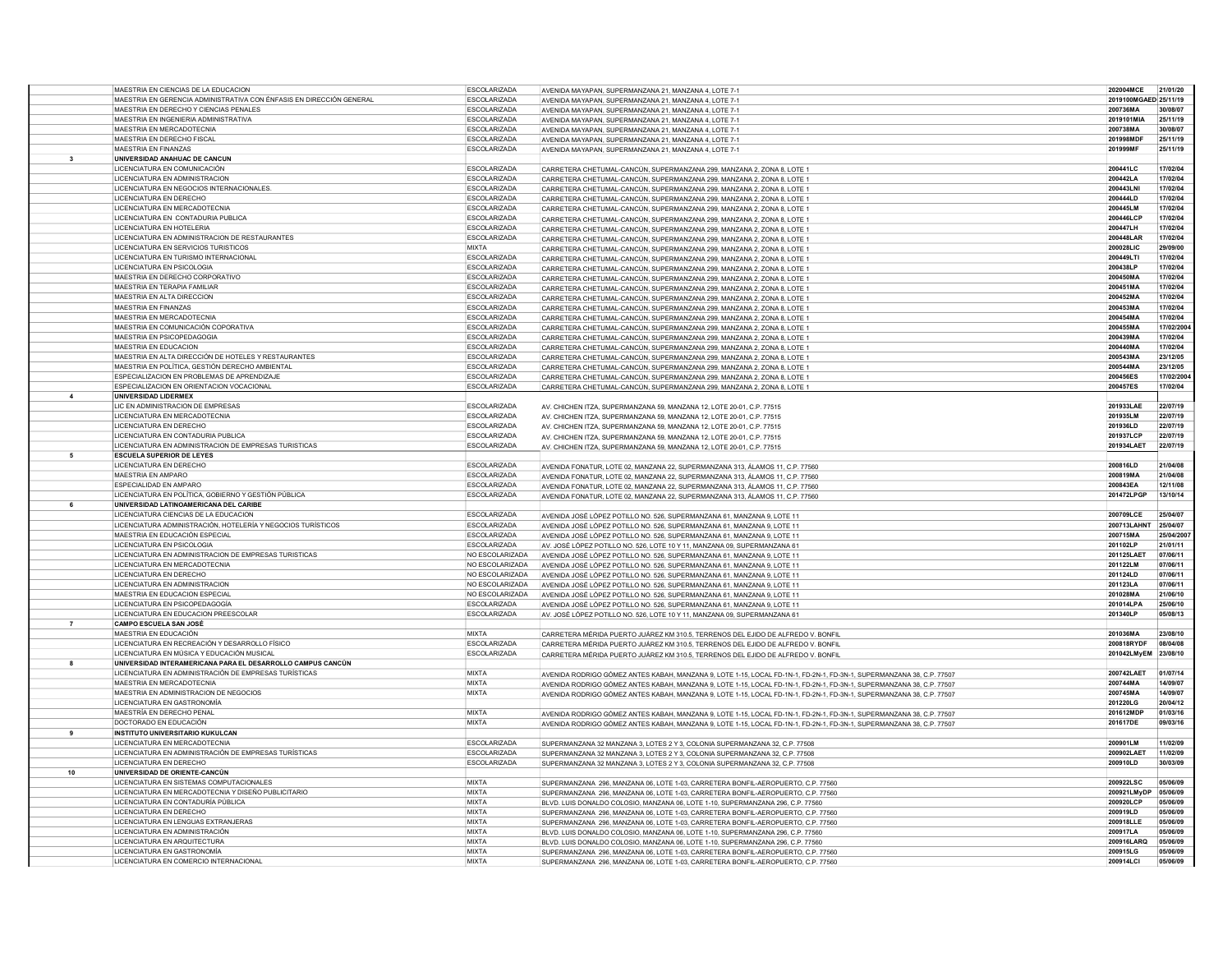|                | MAESTRIA EN CIENCIAS DE LA EDUCACION                                          | <b>ESCOLARIZADA</b>          | AVENIDA MAYAPAN, SUPERMANZANA 21, MANZANA 4, LOTE 7-1                                                                                                                | 202004MCE             | 21/01/20             |
|----------------|-------------------------------------------------------------------------------|------------------------------|----------------------------------------------------------------------------------------------------------------------------------------------------------------------|-----------------------|----------------------|
|                | MAESTRIA EN GERENCIA ADMINISTRATIVA CON ÉNFASIS EN DIRECCIÓN GENERAL          | <b>ESCOLARIZADA</b>          |                                                                                                                                                                      | 2019100MGAED 25/11/19 |                      |
|                | MAESTRIA EN DERECHO Y CIENCIAS PENALES                                        | <b>ESCOLARIZADA</b>          | AVENIDA MAYAPAN, SUPERMANZANA 21, MANZANA 4, LOTE 7-1                                                                                                                | 200736MA              | 30/08/07             |
|                |                                                                               |                              | AVENIDA MAYAPAN, SUPERMANZANA 21, MANZANA 4, LOTE 7-1                                                                                                                |                       |                      |
|                | MAESTRIA EN INGENIERIA ADMINISTRATIVA                                         | ESCOLARIZADA                 | AVENIDA MAYAPAN, SUPERMANZANA 21, MANZANA 4, LOTE 7-1                                                                                                                | 2019101MIA            | 25/11/19             |
|                | MAESTRIA EN MERCADOTECNIA                                                     | <b>ESCOLARIZADA</b>          | AVENIDA MAYAPAN, SUPERMANZANA 21, MANZANA 4, LOTE 7-1                                                                                                                | 200738MA              | 30/08/07             |
|                | MAESTRIA EN DERECHO FISCAL                                                    | <b>ESCOLARIZADA</b>          | AVENIDA MAYAPAN, SUPERMANZANA 21, MANZANA 4, LOTE 7-1                                                                                                                | 201998MDF             | 25/11/19             |
|                | <b>MAESTRIA EN FINANZAS</b>                                                   | <b>ESCOLARIZADA</b>          | AVENIDA MAYAPAN, SUPERMANZANA 21, MANZANA 4, LOTE 7-1                                                                                                                | 201999MF              | 25/11/19             |
| $\mathbf{3}$   | UNIVERSIDAD ANAHUAC DE CANCUN                                                 |                              |                                                                                                                                                                      |                       |                      |
|                | LICENCIATURA EN COMUNICACIÓN                                                  | <b>ESCOLARIZADA</b>          | CARRETERA CHETUMAL-CANCÚN. SUPERMANZANA 299. MANZANA 2. ZONA 8. LOTE 1                                                                                               | 200441LC              | 17/02/04             |
|                | LICENCIATURA EN ADMINISTRACION                                                | <b>ESCOLARIZADA</b>          | CARRETERA CHETUMAL-CANCÚN SUPERMANZANA 299 MANZANA 2. ZONA 8. LOTE 1                                                                                                 | 200442LA              | 17/02/04             |
|                | LICENCIATURA EN NEGOCIOS INTERNACIONALES                                      | <b>ESCOLARIZADA</b>          | CARRETERA CHETUMAL-CANCÚN, SUPERMANZANA 299, MANZANA 2, ZONA 8, LOTE 1                                                                                               | 200443LN              | 17/02/04             |
|                | LICENCIATURA EN DERECHO                                                       | <b>ESCOLARIZADA</b>          | CARRETERA CHETUMAL-CANCÚN, SUPERMANZANA 299, MANZANA 2, ZONA 8, LOTE 1                                                                                               | 200444LD              | 17/02/04             |
|                | LICENCIATURA EN MERCADOTECNIA                                                 | <b>ESCOLARIZADA</b>          | CARRETERA CHETUMAL-CANCÚN, SUPERMANZANA 299, MANZANA 2, ZONA 8, LOTE 1                                                                                               | 200445LM              | 17/02/04             |
|                | LICENCIATURA EN CONTADURIA PUBLICA                                            | <b>ESCOLARIZADA</b>          |                                                                                                                                                                      | 200446LCP             | 17/02/04             |
|                |                                                                               |                              | CARRETERA CHETUMAL-CANCÚN, SUPERMANZANA 299, MANZANA 2, ZONA 8, LOTE 1                                                                                               |                       |                      |
|                | LICENCIATURA EN HOTELERIA                                                     | <b>ESCOLARIZADA</b>          | CARRETERA CHETUMAL-CANCÚN SUPERMANZANA 299 MANZANA 2. ZONA 8. LOTE 1                                                                                                 | 200447LH              | 17/02/04             |
|                | LICENCIATURA EN ADMINISTRACION DE RESTAURANTES                                | <b>ESCOLARIZADA</b>          | CARRETERA CHETUMAL-CANCÚN, SUPERMANZANA 299, MANZANA 2, ZONA 8, LOTE 1                                                                                               | 200448LAR             | 17/02/04             |
|                | LICENCIATURA EN SERVICIOS TURISTICOS                                          | <b>MIXTA</b>                 | CARRETERA CHETUMAL-CANCÚN, SUPERMANZANA 299, MANZANA 2, ZONA 8, LOTE 1                                                                                               | 200028LIC             | 29/09/00             |
|                | LICENCIATURA EN TURISMO INTERNACIONAL                                         | <b>ESCOLARIZADA</b>          | CARRETERA CHETUMAL-CANCÚN, SUPERMANZANA 299, MANZANA 2, ZONA 8, LOTE 1                                                                                               | 200449LTI             | 17/02/04             |
|                | LICENCIATURA EN PSICOLOGIA                                                    | <b>ESCOLARIZADA</b>          | CARRETERA CHETUMAL-CANCÚN. SUPERMANZANA 299. MANZANA 2. ZONA 8. LOTE 1                                                                                               | 200438LP              | 17/02/04             |
|                | MAESTRIA EN DERECHO CORPORATIVO                                               | <b>ESCOLARIZADA</b>          | CARRETERA CHETUMAL-CANCÚN, SUPERMANZANA 299, MANZANA 2, ZONA 8, LOTE 1                                                                                               | 200450MA              | 17/02/04             |
|                | MAESTRIA EN TERAPIA FAMILIAR                                                  | ESCOLARIZADA                 | CARRETERA CHETUMAL-CANCÚN, SUPERMANZANA 299, MANZANA 2, ZONA 8, LOTE 1                                                                                               | 200451MA              | 17/02/04             |
|                | MAESTRIA EN ALTA DIRECCION                                                    | <b>FSCOLARIZADA</b>          |                                                                                                                                                                      | 200452MA              | 17/02/04             |
|                |                                                                               |                              | CARRETERA CHETUMAL-CANCÚN, SUPERMANZANA 299, MANZANA 2, ZONA 8, LOTE 1                                                                                               |                       |                      |
|                | <b>MAESTRIA EN FINANZAS</b>                                                   | <b>ESCOLARIZADA</b>          | CARRETERA CHETUMAL-CANCÚN, SUPERMANZANA 299, MANZANA 2, ZONA 8, LOTE 1                                                                                               | 200453MA              | 17/02/04             |
|                | MAESTRIA EN MERCADOTECNIA                                                     | <b>ESCOLARIZADA</b>          | CARRETERA CHETUMAL-CANCÚN. SUPERMANZANA 299. MANZANA 2. ZONA 8. LOTE 1                                                                                               | 200454MA              | 17/02/04             |
|                | MAESTRIA EN COMUNICACIÓN COPORATIVA                                           | ESCOLARIZADA                 | CARRETERA CHETUMAL-CANCÚN. SUPERMANZANA 299. MANZANA 2. ZONA 8. LOTE 1                                                                                               | 200455MA              | 17/02/200            |
|                | MAESTRIA EN PSICOPEDAGOGIA                                                    | <b>ESCOLARIZADA</b>          | CARRETERA CHETUMAL-CANCÚN. SUPERMANZANA 299. MANZANA 2. ZONA 8. LOTE 1                                                                                               | 200439MA              | 17/02/04             |
|                | MAESTRIA EN EDUCACION                                                         | <b>ESCOLARIZADA</b>          | CARRETERA CHETUMAL-CANCÚN, SUPERMANZANA 299, MANZANA 2, ZONA 8, LOTE 1                                                                                               | 200440MA              | 17/02/04             |
|                | MAESTRIA EN ALTA DIRECCIÓN DE HOTELES Y RESTAURANTES                          | <b>ESCOLARIZADA</b>          | CARRETERA CHETUMAL-CANCÚN, SUPERMANZANA 299, MANZANA 2, ZONA 8, LOTE 1                                                                                               | 200543MA              | 23/12/05             |
|                | MAESTRIA EN POLÍTICA, GESTIÓN DERECHO AMBIENTAL                               | <b>ESCOLARIZADA</b>          | CARRETERA CHETUMAL-CANCÚN, SUPERMANZANA 299, MANZANA 2, ZONA 8, LOTE 1                                                                                               | 200544MA              | 23/12/05             |
|                | ESPECIALIZACION EN PROBLEMAS DE APRENDIZAJE                                   | ESCOLARIZADA                 | CARRETERA CHETUMAL-CANCÚN, SUPERMANZANA 299, MANZANA 2, ZONA 8, LOTE 1                                                                                               | 200456ES              | 17/02/2004           |
|                | ESPECIALIZACIÓN EN ORIENTACIÓN VOCACIÓNAL                                     | <b>ESCOLARIZADA</b>          |                                                                                                                                                                      |                       | 17/02/04             |
|                | UNIVERSIDAD LIDERMEX                                                          |                              | CARRETERA CHETUMAL-CANCÚN, SUPERMANZANA 299, MANZANA 2, ZONA 8, LOTE 1                                                                                               | 200457ES              |                      |
| $\overline{4}$ |                                                                               |                              |                                                                                                                                                                      |                       |                      |
|                | LIC EN ADMINISTRACION DE EMPRESAS                                             | <b>ESCOLARIZADA</b>          | AV. CHICHEN ITZA, SUPERMANZANA 59, MANZANA 12, LOTE 20-01, C.P. 77515                                                                                                | 201933LAE             | 22/07/19             |
|                | LICENCIATURA EN MERCADOTECNIA                                                 | <b>ESCOLARIZADA</b>          | AV. CHICHEN ITZA, SUPERMANZANA 59, MANZANA 12, LOTE 20-01, C.P. 77515                                                                                                | 201935LM              | 22/07/19             |
|                | LICENCIATURA EN DERECHO                                                       | <b>ESCOLARIZADA</b>          | AV. CHICHEN ITZA, SUPERMANZANA 59, MANZANA 12, LOTE 20-01, C.P. 77515                                                                                                | 201936LD              | 22/07/19             |
|                | LICENCIATURA EN CONTADURIA PUBLICA                                            | ESCOLARIZADA                 | AV. CHICHEN ITZA, SUPERMANZANA 59, MANZANA 12, LOTE 20-01, C.P. 77515                                                                                                | 201937LCP             | 22/07/19             |
|                | LICENCIATURA EN ADMINISTRACION DE EMPRESAS TURISTICAS                         | <b>ESCOLARIZADA</b>          | AV. CHICHEN ITZA, SUPERMANZANA 59, MANZANA 12, LOTE 20-01, C.P. 77515                                                                                                | 201934LAET            | 22/07/19             |
| 5              | <b>ESCUELA SUPERIOR DE LEYES</b>                                              |                              |                                                                                                                                                                      |                       |                      |
|                | <b>LICENCIATURA EN DERECHO</b>                                                | <b>FSCOLARIZADA</b>          |                                                                                                                                                                      | 200816LD              | 21/04/08             |
|                | MAESTRIA EN AMPARO                                                            | <b>ESCOLARIZADA</b>          | AVENIDA FONATUR, LOTE 02, MANZANA 22, SUPERMANZANA 313, ÁLAMOS 11, C.P. 77560                                                                                        | 200819MA              | 21/04/08             |
|                |                                                                               |                              | AVENIDA FONATUR, LOTE 02, MANZANA 22, SUPERMANZANA 313, ÁLAMOS 11, C.P. 77560                                                                                        |                       |                      |
|                | ESPECIALIDAD EN AMPARO                                                        | <b>ESCOLARIZADA</b>          | AVENIDA FONATUR, LOTE 02, MANZANA 22, SUPERMANZANA 313, ÁLAMOS 11, C.P. 77560                                                                                        | 200843EA              | 12/11/08             |
|                | LICENCIATURA EN POLÍTICA, GOBIERNO Y GESTIÓN PÚBLICA                          | <b>ESCOLARIZADA</b>          |                                                                                                                                                                      | 201472LPGF            | 13/10/14             |
|                |                                                                               |                              | AVENIDA FONATUR, LOTE 02, MANZANA 22, SUPERMANZANA 313, ÁLAMOS 11, C.P. 77560                                                                                        |                       |                      |
|                | UNIVERSIDAD LATINOAMERICANA DEL CARIBE                                        |                              |                                                                                                                                                                      |                       |                      |
|                | LICENCIATURA CIENCIAS DE LA EDUCACION                                         | <b>ESCOLARIZADA</b>          |                                                                                                                                                                      | 200709LCE             | 25/04/07             |
|                | LICENCIATURA ADMINISTRACIÓN, HOTELERÍA Y NEGOCIOS TURÍSTICOS                  | <b>ESCOLARIZADA</b>          | AVENIDA JOSÉ LÓPEZ POTILLO NO. 526, SUPERMANZANA 61, MANZANA 9, LOTE 11                                                                                              | 200713LAHNT           | 25/04/07             |
|                |                                                                               |                              | AVENIDA JOSÉ LÓPEZ POTILLO NO. 526, SUPERMANZANA 61, MANZANA 9, LOTE 11                                                                                              |                       |                      |
|                | MAESTRIA EN EDUCACIÓN ESPECIAL                                                | <b>ESCOLARIZADA</b>          | AVENIDA JOSÉ LÓPEZ POTILLO NO. 526, SUPERMANZANA 61, MANZANA 9, LOTE 11                                                                                              | 200715MA              | 25/04/200            |
|                | LICENCIATURA EN PSICOLOGIA                                                    | <b>ESCOLARIZADA</b>          | AV. JOSÉ LÓPEZ POTILLO NO. 526, LOTE 10 Y 11, MANZANA 09, SUPERMANZANA 61                                                                                            | 201102LP              | 21/01/11             |
|                | LICENCIATURA EN ADMINISTRACION DE EMPRESAS TURISTICAS                         | NO ESCOLARIZADA              | AVENIDA JOSÉ LÓPEZ POTILLO NO. 526. SUPERMANZANA 61. MANZANA 9. LOTE 11                                                                                              | 201125LAET            | 07/06/11             |
|                | LICENCIATURA EN MERCADOTECNIA                                                 | NO ESCOLARIZADA              | AVENIDA JOSÉ LÓPEZ POTILLO NO. 526, SUPERMANZANA 61, MANZANA 9, LOTE 11                                                                                              | 201122LM              | 07/06/11             |
|                | LICENCIATURA EN DERECHO                                                       | NO ESCOLARIZADA              | AVENIDA JOSÉ LÓPEZ POTILLO NO. 526. SUPERMANZANA 61. MANZANA 9. LOTE 11                                                                                              | 201124LD              | 07/06/11             |
|                | LICENCIATURA EN ADMINISTRACION                                                | NO ESCOLARIZADA              | AVENIDA JOSÉ LÓPEZ POTILLO NO. 526, SUPERMANZANA 61, MANZANA 9, LOTE 11                                                                                              | 201123LA              | 07/06/11             |
|                | MAESTRIA EN EDUCACION ESPECIAL                                                | NO ESCOLARIZADA              | AVENIDA JOSÉ LÓPEZ POTILLO NO. 526. SUPERMANZANA 61. MANZANA 9. LOTE 11                                                                                              | 201028MA              | 21/06/10             |
|                | LICENCIATURA EN PSICOPEDAGOGÍA                                                | <b>ESCOLARIZADA</b>          | AVENIDA JOSÉ LÓPEZ POTILLO NO. 526, SUPERMANZANA 61, MANZANA 9, LOTE 11                                                                                              | 201014LPA             | 25/06/10             |
|                | LICENCIATURA EN EDUCACION PREESCOLAR                                          | <b>ESCOLARIZADA</b>          | AV. JOSÉ LÓPEZ POTILLO NO. 526, LOTE 10 Y 11, MANZANA 09, SUPERMANZANA 61                                                                                            | 201340LP              | 05/08/13             |
| $\overline{7}$ | <b>CAMPO ESCUELA SAN JOSÉ</b>                                                 |                              |                                                                                                                                                                      |                       |                      |
|                | MAESTRIA EN EDUCACIÓN                                                         | <b>MIXTA</b>                 |                                                                                                                                                                      | 201036MA              | 23/08/10             |
|                |                                                                               | <b>ESCOLARIZADA</b>          | CARRETERA MÉRIDA PUERTO JUÁREZ KM 310.5, TERRENOS DEL EJIDO DE ALFREDO V. BONFIL                                                                                     | 200818RYDF            | 08/04/08             |
|                | LICENCIATURA EN RECREACIÓN Y DESARROLLO FÍSICO                                |                              | CARRETERA MÉRIDA PUERTO JUÁREZ KM 310.5. TERRENOS DEL EJIDO DE ALFREDO V. BONFIL                                                                                     |                       |                      |
|                | LICENCIATURA EN MÚSICA Y EDUCACIÓN MUSICAL                                    | <b>ESCOLARIZADA</b>          | CARRETERA MÉRIDA PUERTO JUÁREZ KM 310.5 TERRENOS DEL EJIDO DE ALEREDO V. BONEIL                                                                                      | 201042LMyEM 23/08/10  |                      |
|                | UNIVERSIDAD INTERAMERICANA PARA EL DESARROLLO CAMPUS CANCÚN                   |                              |                                                                                                                                                                      |                       |                      |
|                | LICENCIATURA EN ADMINISTRACIÓN DE EMPRESAS TURÍSTICAS                         | <b>MIXTA</b>                 | AVENIDA RODRIGO GÓMEZ ANTES KABAH, MANZANA 9, LOTE 1-15, LOCAL FD-1N-1, FD-2N-1, FD-3N-1, SUPERMANZANA 38, C.P. 77507                                                | 200742LAET            | 01/07/14             |
|                | MAESTRIA EN MERCADOTECNIA                                                     | <b>MIXTA</b>                 | AVENIDA RODRIGO GÓMEZ ANTES KABAH, MANZANA 9, LOTE 1-15, LOCAL FD-1N-1, FD-2N-1, FD-3N-1, SUPERMANZANA 38, C.P. 77507                                                | 200744MA              | 14/09/07             |
|                | MAESTRIA EN ADMINISTRACION DE NEGOCIOS                                        | <b>MIXTA</b>                 | AVENIDA RODRIGO GÓMEZ ANTES KABAH, MANZANA 9, LOTE 1-15, LOCAL FD-1N-1, FD-2N-1, FD-3N-1, SUPERMANZANA 38, C.P. 77507                                                | 200745MA              | 14/09/07             |
|                | LICENCIATURA EN GASTRONOMÍA                                                   |                              |                                                                                                                                                                      | 201220LG              | 20/04/12             |
|                | MAESTRÍA EN DERECHO PENAL                                                     | <b>MIXTA</b>                 | AVENIDA RODRIGO GÓMEZ ANTES KABAH, MANZANA 9, LOTE 1-15, LOCAL FD-1N-1, FD-2N-1, FD-3N-1, SUPERMANZANA 38, C.P. 77507                                                | 201612MDP             | 01/03/16             |
|                | DOCTORADO EN EDUCACIÓN                                                        | <b>MIXTA</b>                 |                                                                                                                                                                      | 201617DE              | 09/03/16             |
| 9              | <b>INSTITUTO UNIVERSITARIO KUKULCAN</b>                                       |                              | AVENIDA RODRIGO GÓMEZ ANTES KABAH, MANZANA 9, LOTE 1-15, LOCAL FD-1N-1, FD-2N-1, FD-3N-1, SUPERMANZANA 38, C.P. 77507                                                |                       |                      |
|                |                                                                               |                              |                                                                                                                                                                      |                       |                      |
|                | LICENCIATURA EN MERCADOTECNIA                                                 | <b>ESCOLARIZADA</b>          | SUPERMANZANA 32 MANZANA 3, LOTES 2 Y 3, COLONIA SUPERMANZANA 32, C.P. 77508                                                                                          | 200901LM              | 11/02/09             |
|                | LICENCIATURA EN ADMINISTRACIÓN DE EMPRESAS TURÍSTICAS                         | <b>ESCOLARIZADA</b>          | SUPERMANZANA 32 MANZANA 3, LOTES 2 Y 3, COLONIA SUPERMANZANA 32, C.P. 77508                                                                                          | 200902LAET            | 11/02/09             |
|                | LICENCIATURA EN DERECHO                                                       | <b>ESCOLARIZADA</b>          | SUPERMANZANA 32 MANZANA 3, LOTES 2 Y 3, COLONIA SUPERMANZANA 32, C.P. 77508                                                                                          | 200910LD              | 30/03/09             |
| 10             | UNIVERSIDAD DE ORIENTE-CANCÚN                                                 |                              |                                                                                                                                                                      |                       |                      |
|                | LICENCIATURA EN SISTEMAS COMPUTACIONALES                                      | <b>MIXTA</b>                 | SUPERMANZANA 296, MANZANA 06, LOTE 1-03, CARRETERA BONFIL-AEROPUERTO, C.P. 77560                                                                                     | 200922LSC             | 05/06/09             |
|                | LICENCIATURA EN MERCADOTECNIA Y DISEÑO PUBLICITARIO                           | <b>MIXTA</b>                 | SUPERMANZANA 296, MANZANA 06, LOTE 1-03, CARRETERA BONFIL-AEROPUERTO, C.P. 77560                                                                                     | 200921LMyDP           | 05/06/09             |
|                | LICENCIATURA EN CONTADURÍA PÚBLICA                                            | <b>MIXTA</b>                 | BLVD. LUIS DONALDO COLOSIO, MANZANA 06, LOTE 1-10, SUPERMANZANA 296, C.P. 77560                                                                                      | 200920LCP             | 05/06/09             |
|                | <b>LICENCIATURA EN DERECHO</b>                                                | <b>MIXTA</b>                 |                                                                                                                                                                      | 200919LD              | 05/06/09             |
|                | LICENCIATURA EN LENGUAS EXTRANJERAS                                           | <b>MIXTA</b>                 | SUPERMANZANA 296, MANZANA 06, LOTE 1-03, CARRETERA BONFIL-AEROPUERTO, C.P. 77560                                                                                     | 200918LLE             | 05/06/09             |
|                |                                                                               |                              | SUPERMANZANA 296, MANZANA 06, LOTE 1-03, CARRETERA BONFIL-AEROPUERTO, C.P. 77560                                                                                     |                       |                      |
|                | LICENCIATURA EN ADMINISTRACIÓN                                                | <b>MIXTA</b>                 | BLVD. LUIS DONALDO COLOSIO, MANZANA 06, LOTE 1-10, SUPERMANZANA 296, C.P. 77560                                                                                      | 200917LA              | 05/06/09             |
|                | LICENCIATURA EN ARQUITECTURA                                                  | <b>MIXTA</b>                 | BLVD, LUIS DONALDO COLOSIO, MANZANA 06, LOTE 1-10, SUPERMANZANA 296, C.P. 77560                                                                                      | 200916LARQ            | 05/06/09             |
|                | <b>I ICENCIATURA EN GASTRONOMÍA</b><br>LICENCIATURA EN COMERCIO INTERNACIONAL | <b>MIXTA</b><br><b>MIXTA</b> | SUPERMANZANA 296, MANZANA 06, LOTE 1-03, CARRETERA BONFIL-AEROPUERTO, C.P. 77560<br>SUPERMANZANA 296, MANZANA 06, LOTE 1-03, CARRETERA BONFIL-AEROPUERTO, C.P. 77560 | 200915LG<br>200914LCI | 05/06/09<br>05/06/09 |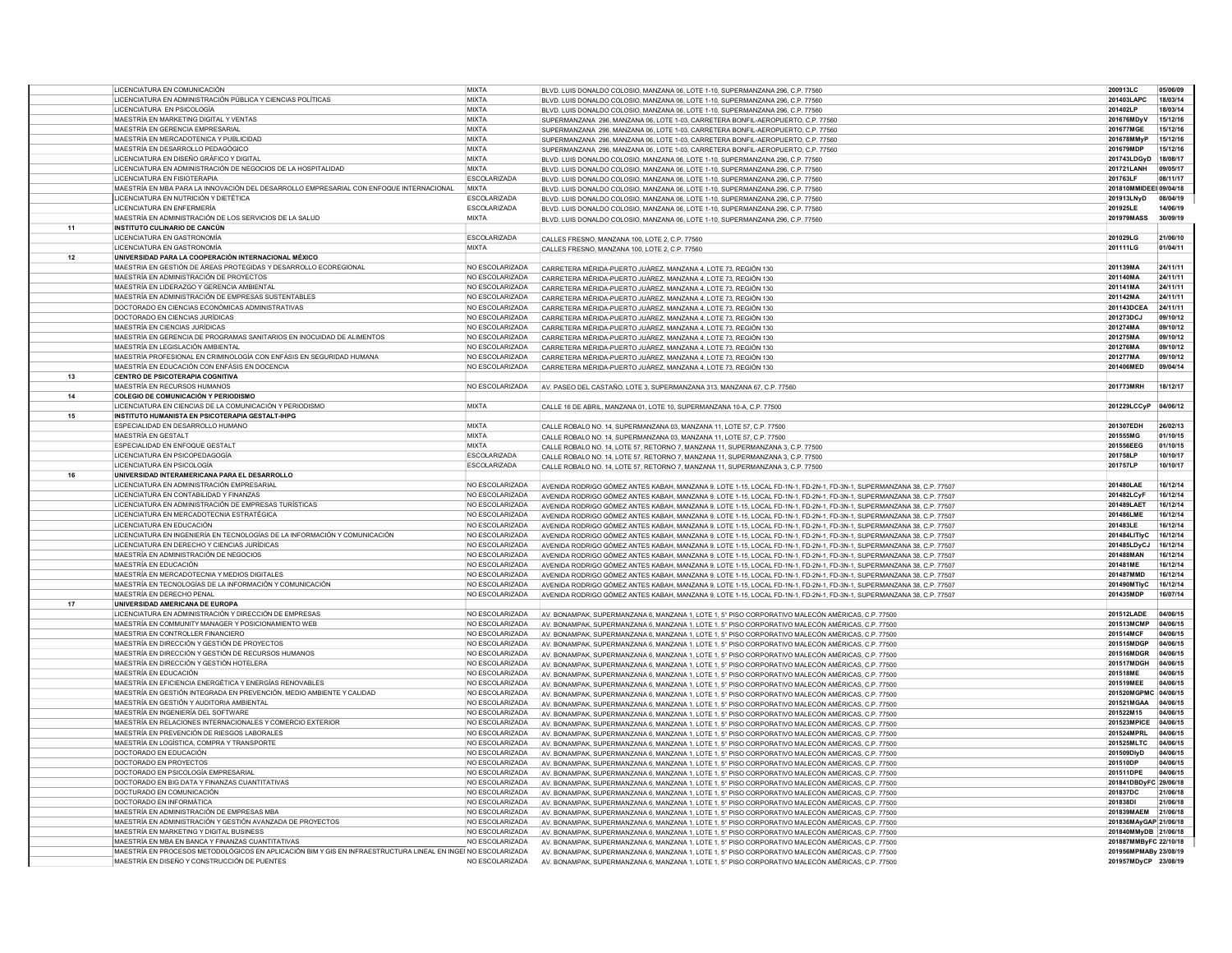|    | LICENCIATURA EN COMUNICACIÓN                                                                                  | <b>MIXTA</b>        |                                                                                                                       | 200913LC               | 05/06/09 |
|----|---------------------------------------------------------------------------------------------------------------|---------------------|-----------------------------------------------------------------------------------------------------------------------|------------------------|----------|
|    |                                                                                                               |                     | BLVD. LUIS DONALDO COLOSIO, MANZANA 06, LOTE 1-10, SUPERMANZANA 296, C.P. 77560                                       |                        |          |
|    | LICENCIATURA EN ADMINISTRACIÓN PÚBLICA Y CIENCIAS POLÍTICAS                                                   | <b>MIXTA</b>        | BLVD. LUIS DONALDO COLOSIO, MANZANA 06, LOTE 1-10, SUPERMANZANA 296, C.P. 77560                                       | 201403LAPC             | 18/03/14 |
|    | LICENCIATURA EN PSICOLOGÍA                                                                                    | <b>MIXTA</b>        | BLVD, LUIS DONALDO COLOSIO, MANZANA 06, LOTE 1-10, SUPERMANZANA 296, C.P. 77560                                       | 201402LP               | 18/03/14 |
|    | MAESTRÍA EN MARKETING DIGITAL Y VENTAS                                                                        | <b>MIXTA</b>        |                                                                                                                       | 201676MDvV             | 15/12/16 |
|    |                                                                                                               |                     | SUPERMANZANA 296, MANZANA 06, LOTE 1-03, CARRETERA BONFIL-AEROPUERTO, C.P. 77560                                      |                        |          |
|    | MAESTRÍA EN GERENCIA EMPRESARIAL                                                                              | <b>MIXTA</b>        | SUPERMANZANA 296, MANZANA 06, LOTE 1-03, CARRETERA BONFIL-AEROPUERTO, C.P. 77560                                      | 201677MGE              | 15/12/16 |
|    | MAESTRÍA EN MERCADOTENICA Y PUBLICIDAD                                                                        | <b>MIXTA</b>        | SUPERMANZANA 296, MANZANA 06, LOTE 1-03, CARRETERA BONFIL-AEROPUERTO, C.P. 77560                                      | 201678MMyF             | 15/12/16 |
|    | MAESTRÍA EN DESARROLLO PEDAGÓGICO                                                                             | <b>MIXTA</b>        | SUPERMANZANA 296, MANZANA 06, LOTE 1-03, CARRETERA BONFIL-AEROPUERTO, C.P. 77560                                      | 201679MDP              | 15/12/16 |
|    | LICENCIATURA EN DISEÑO GRÁFICO Y DIGITAL                                                                      | <b>MIXTA</b>        | BLVD. LUIS DONALDO COLOSIO, MANZANA 06, LOTE 1-10, SUPERMANZANA 296, C.P. 77560                                       | 201743LDGvD 18/08/17   |          |
|    |                                                                                                               | <b>MIXTA</b>        |                                                                                                                       | 201721LANH             | 09/05/17 |
|    | LICENCIATURA EN ADMINISTRACIÓN DE NEGOCIOS DE LA HOSPITALIDAD                                                 |                     | BLVD LUIS DONALDO COLOSIO, MANZANA 06 LOTE 1-10, SUPERMANZANA 296 C.P. 77560                                          |                        |          |
|    | LICENCIATURA EN FISIOTERAPIA                                                                                  | <b>ESCOLARIZADA</b> | BLVD. LUIS DONALDO COLOSIO, MANZANA 06, LOTE 1-10, SUPERMANZANA 296, C.P. 77560                                       | 201763LF               | 08/11/17 |
|    | MAESTRÍA EN MBA PARA LA INNOVACIÓN DEL DESARROLLO EMPRESARIAL CON ENFOQUE INTERNACIONAL                       | <b>MIXTA</b>        | BLVD, LUIS DONALDO COLOSIO, MANZANA 06, LOTE 1-10, SUPERMANZANA 296, C.P. 77560                                       | 201810MMIDEEI 09/04/18 |          |
|    | LICENCIATURA EN NUTRICIÓN Y DIETÉTICA                                                                         | <b>ESCOLARIZADA</b> | BLVD. LUIS DONALDO COLOSIO, MANZANA 06, LOTE 1-10, SUPERMANZANA 296, C.P. 77560                                       | 201913LNyD             | 08/04/19 |
|    | LICENCIATURA EN ENFERMERÍA                                                                                    | ESCOLARIZADA        |                                                                                                                       | 201925LE               | 14/06/19 |
|    |                                                                                                               |                     | BLVD. LUIS DONALDO COLOSIO, MANZANA 06, LOTE 1-10, SUPERMANZANA 296, C.P. 77560                                       |                        |          |
|    | MAESTRÍA EN ADMINISTRACIÓN DE LOS SERVICIOS DE LA SALUD                                                       | <b>MIXTA</b>        | BLVD. LUIS DONALDO COLOSIO, MANZANA 06, LOTE 1-10, SUPERMANZANA 296, C.P. 77560                                       | 201979MASS             | 30/09/19 |
| 11 | <b>INSTITUTO CULINARIO DE CANCÚN</b>                                                                          |                     |                                                                                                                       |                        |          |
|    | <b>LICENCIATURA EN GASTRONOMÍA</b>                                                                            | ESCOLARIZADA        | CALLES FRESNO, MANZANA 100, LOTE 2, C.P. 77560                                                                        | 201029LG               | 21/06/10 |
|    | LICENCIATURA EN GASTRONOMÍA                                                                                   | <b>MIXTA</b>        |                                                                                                                       | 201111LG               | 01/04/11 |
|    |                                                                                                               |                     | CALLES FRESNO, MANZANA 100, LOTE 2, C.P. 77560                                                                        |                        |          |
| 12 | UNIVERSIDAD PARA LA COOPERACIÓN INTERNACIONAL MÉXICO                                                          |                     |                                                                                                                       |                        |          |
|    | MAESTRIA EN GESTIÓN DE ÁREAS PROTEGIDAS Y DESARROLLO ECOREGIONAL                                              | NO ESCOLARIZADA     | CARRETERA MÉRIDA-PUERTO JUÁREZ, MANZANA 4, LOTE 73, REGIÓN 130                                                        | 201139MA               | 24/11/11 |
|    | MAESTRÍA EN ADMINISTRACIÓN DE PROYECTOS                                                                       | NO ESCOLARIZADA     | CARRETERA MÉRIDA-PUERTO JUÁREZ, MANZANA 4, LOTE 73, REGIÓN 130                                                        | 201140MA               | 24/11/11 |
|    | MAESTRÍA EN LIDERAZGO Y GERENCIA AMBIENTAL                                                                    | NO ESCOLARIZADA     | CARRETERA MÉRIDA-PUERTO JUÁREZ, MANZANA 4, LOTE 73, REGIÓN 130                                                        | 201141MA               | 24/11/11 |
|    |                                                                                                               |                     |                                                                                                                       |                        |          |
|    | MAESTRÍA EN ADMINISTRACIÓN DE EMPRESAS SUSTENTABLES                                                           | NO ESCOLARIZADA     | CARRETERA MÉRIDA-PUERTO JUÁREZ, MANZANA 4, LOTE 73, REGIÓN 130                                                        | 201142MA               | 24/11/11 |
|    | DOCTORADO EN CIENCIAS ECONÓMICAS ADMINISTRATIVAS                                                              | NO ESCOLARIZADA     | CARRETERA MÉRIDA-PUERTO JUÁREZ, MANZANA 4, LOTE 73, REGIÓN 130                                                        | 201143DCEA             | 24/11/11 |
|    | DOCTORADO EN CIENCIAS JURÍDICAS                                                                               | NO ESCOLARIZADA     | CARRETERA MÉRIDA-PUERTO JUÁREZ, MANZANA 4, LOTE 73, REGIÓN 130                                                        | 201273DCJ              | 09/10/12 |
|    | MAESTRÍA EN CIENCIAS JURÍDICAS                                                                                | NO ESCOLARIZADA     | CARRETERA MÉRIDA-PUERTO JUÁREZ, MANZANA 4, LOTE 73, REGIÓN 130                                                        | 201274MA               | 09/10/12 |
|    | MAESTRÍA EN GERENCIA DE PROGRAMAS SANITARIOS EN INOCUIDAD DE ALIMENTOS                                        | NO ESCOLARIZADA     |                                                                                                                       | 201275MA               | 09/10/12 |
|    |                                                                                                               |                     | CARRETERA MÉRIDA-PUERTO JUÁREZ, MANZANA 4, LOTE 73, REGIÓN 130                                                        |                        |          |
|    | MAESTRÍA EN LEGISLACIÓN AMBIENTAL                                                                             | NO ESCOLARIZADA     | CARRETERA MÉRIDA-PUERTO JUÁREZ, MANZANA 4, LOTE 73, REGIÓN 130                                                        | 201276MA               | 09/10/12 |
|    | MAESTRÍA PROFESIONAL EN CRIMINOLOGÍA CON ENFÁSIS EN SEGURIDAD HUMANA                                          | NO ESCOLARIZADA     | CARRETERA MÉRIDA-PUERTO JUÁREZ, MANZANA 4, LOTE 73, REGIÓN 130                                                        | 201277MA               | 09/10/12 |
|    | MAESTRÍA EN EDUCACIÓN CON ENFÁSIS EN DOCENCIA                                                                 | NO ESCOLARIZADA     | CARRETERA MÉRIDA-PUERTO JUÁREZ, MANZANA 4, LOTE 73, REGIÓN 130                                                        | 201406MED              | 09/04/14 |
| 13 | <b>CENTRO DE PSICOTERAPIA COGNITIVA</b>                                                                       |                     |                                                                                                                       |                        |          |
|    |                                                                                                               |                     |                                                                                                                       |                        |          |
|    | MAESTRÍA EN RECURSOS HUMANOS                                                                                  | NO ESCOLARIZADA     | AV. PASEO DEL CASTAÑO, LOTE 3, SUPERMANZANA 313, MANZANA 67, C.P. 77560                                               | 201773MRH              | 18/12/17 |
| 14 | <b>COLEGIO DE COMUNICACIÓN Y PERIODISMO</b>                                                                   |                     |                                                                                                                       |                        |          |
|    | LICENCIATURA EN CIENCIAS DE LA COMUNICACIÓN Y PERIODISMO                                                      | <b>MIXTA</b>        | CALLE 16 DE ABRIL, MANZANA 01, LOTE 10, SUPERMANZANA 10-A, C.P. 77500                                                 | 201229LCCvP            | 04/06/12 |
| 15 | INSTITUTO HUMANISTA EN PSICOTERAPIA GESTALT-IHPG                                                              |                     |                                                                                                                       |                        |          |
|    |                                                                                                               |                     |                                                                                                                       |                        |          |
|    | ESPECIALIDAD EN DESARROLLO HUMANO                                                                             | <b>MIXTA</b>        | CALLE ROBALO NO. 14. SUPERMANZANA 03. MANZANA 11. LOTE 57, C.P. 77500                                                 | 201307EDH              | 26/02/13 |
|    | MAESTRÍA EN GESTALT                                                                                           | <b>MIXTA</b>        | CALLE ROBALO NO. 14. SUPERMANZANA 03. MANZANA 11. LOTE 57, C.P. 77500                                                 | 201555MG               | 01/10/15 |
|    | ESPECIALIDAD EN ENFOQUE GESTALT                                                                               | <b>MIXTA</b>        | CALLE ROBALO NO. 14, LOTE 57, RETORNO 7, MANZANA 11, SUPERMANZANA 3, C.P. 77500                                       | 201556EEG              | 01/10/15 |
|    | LICENCIATURA EN PSICOPEDAGOGÍA                                                                                | <b>FSCOLARIZADA</b> | CALLE ROBALO NO. 14, LOTE 57, RETORNO 7, MANZANA 11, SUPERMANZANA 3, C.P. 77500                                       | 201758LP               | 10/10/17 |
|    | LICENCIATURA EN PSICOLOGÍA                                                                                    | <b>ESCOLARIZADA</b> |                                                                                                                       | 201757LP               | 10/10/17 |
|    |                                                                                                               |                     | CALLE ROBALO NO. 14, LOTE 57, RETORNO 7, MANZANA 11, SUPERMANZANA 3, C.P. 77500                                       |                        |          |
| 16 | UNIVERSIDAD INTERAMERICANA PARA EL DESARROLLO                                                                 |                     |                                                                                                                       |                        |          |
|    | LICENCIATURA EN ADMINISTRACIÓN EMPRESARIAL                                                                    | NO ESCOLARIZADA     | AVENIDA RODRIGO GÓMEZ ANTES KABAH, MANZANA 9, LOTE 1-15, LOCAL FD-1N-1, FD-2N-1, FD-3N-1, SUPERMANZANA 38, C.P. 77507 | 201480LAE              | 16/12/14 |
|    | LICENCIATURA EN CONTABILIDAD Y FINANZAS                                                                       | NO ESCOLARIZADA     | AVENIDA RODRIGO GÓMEZ ANTES KABAH, MANZANA 9, LOTE 1-15, LOCAL FD-1N-1, FD-2N-1, FD-3N-1, SUPERMANZANA 38, C.P. 77507 | 201482LCyF             | 16/12/14 |
|    | LICENCIATURA EN ADMINISTRACIÓN DE EMPRESAS TURÍSTICAS                                                         | NO ESCOLARIZADA     |                                                                                                                       | 201489LAET             | 16/12/14 |
|    |                                                                                                               |                     | AVENIDA RODRIGO GÓMEZ ANTES KABAH, MANZANA 9, LOTE 1-15, LOCAL FD-1N-1, FD-2N-1, FD-3N-1, SUPERMANZANA 38, C.P. 77507 |                        |          |
|    | LICENCIATURA EN MERCADOTECNIA ESTRATÉGICA                                                                     | NO ESCOLARIZADA     | AVENIDA RODRIGO GÓMEZ ANTES KABAH, MANZANA 9, LOTE 1-15, LOCAL FD-1N-1, FD-2N-1, FD-3N-1, SUPERMANZANA 38, C.P. 77507 | 201486LME              | 16/12/14 |
|    | LICENCIATURA EN EDUCACIÓN                                                                                     | NO ESCOLARIZADA     | AVENIDA RODRIGO GÓMEZ ANTES KABAH, MANZANA 9, LOTE 1-15, LOCAL FD-1N-1, FD-2N-1, FD-3N-1, SUPERMANZANA 38, C.P. 77507 | 201483LE               | 16/12/14 |
|    | LICENCIATURA EN INGENIERÍA EN TECNOLOGÍAS DE LA INFORMACIÓN Y COMUNICACIÓN                                    | NO ESCOLARIZADA     | AVENIDA RODRIGO GÓMEZ ANTES KABAH, MANZANA 9, LOTE 1-15, LOCAL FD-1N-1, FD-2N-1, FD-3N-1, SUPERMANZANA 38, C.P. 77507 | 201484LITIyC           | 16/12/14 |
|    | LICENCIATURA EN DERECHO Y CIENCIAS JURÍDICAS                                                                  | NO ESCOLARIZADA     | AVENIDA RODRIGO GÓMEZ ANTES KABAH, MANZANA 9, LOTE 1-15, LOCAL FD-1N-1, FD-2N-1, FD-3N-1, SUPERMANZANA 38, C.P. 77507 | 201485LDyCJ            | 16/12/14 |
|    | MAESTRÍA EN ADMINISTRACIÓN DE NEGOCIOS                                                                        | NO ESCOLARIZADA     |                                                                                                                       | 201488MAN              | 16/12/14 |
|    |                                                                                                               |                     | AVENIDA RODRIGO GÓMEZ ANTES KABAH, MANZANA 9, LOTE 1-15, LOCAL FD-1N-1, FD-2N-1, FD-3N-1, SUPERMANZANA 38, C.P. 77507 |                        |          |
|    | MAESTRÍA EN EDUCACIÓN                                                                                         | NO ESCOLARIZADA     | AVENIDA RODRIGO GÓMEZ ANTES KABAH, MANZANA 9, LOTE 1-15, LOCAL FD-1N-1, FD-2N-1, FD-3N-1, SUPERMANZANA 38, C.P. 77507 | 201481ME               | 16/12/14 |
|    | MAESTRÍA EN MERCADOTECNIA Y MEDIOS DIGITALES                                                                  | NO ESCOLARIZADA     | AVENIDA RODRIGO GÓMEZ ANTES KABAH, MANZANA 9, LOTE 1-15, LOCAL FD-1N-1, FD-2N-1, FD-3N-1, SUPERMANZANA 38, C.P. 77507 | 201487MMD              | 16/12/14 |
|    | MAESTRÍA EN TECNOLOGÍAS DE LA INFORMACIÓN Y COMUNICACIÓN                                                      | NO ESCOLARIZADA     | AVENIDA RODRIGO GÓMEZ ANTES KABAH, MANZANA 9, LOTE 1-15, LOCAL FD-1N-1, FD-2N-1, FD-3N-1, SUPERMANZANA 38, C.P. 77507 | 201490MTlyC            | 16/12/14 |
|    | MAESTRÍA EN DERECHO PENAL                                                                                     | NO ESCOLARIZADA     |                                                                                                                       | 201435MDP              | 16/07/14 |
|    |                                                                                                               |                     | AVENIDA RODRIGO GÓMEZ ANTES KABAH, MANZANA 9, LOTE 1-15, LOCAL FD-1N-1, FD-2N-1, FD-3N-1, SUPERMANZANA 38, C.P. 77507 |                        |          |
| 17 | UNIVERSIDAD AMERICANA DE EUROPA                                                                               |                     |                                                                                                                       |                        |          |
|    | LICENCIATURA EN ADMINISTRACIÓN Y DIRECCIÓN DE EMPRESAS                                                        | NO ESCOLARIZADA     | AV. BONAMPAK, SUPERMANZANA 6, MANZANA 1, LOTE 1, 5° PISO CORPORATIVO MALECÓN AMÉRICAS, C.P. 77500                     | 201512LADE             | 04/06/15 |
|    | MAESTRÍA EN COMMUNITY MANAGER Y POSICIONAMIENTO WEB                                                           | NO ESCOLARIZADA     | AV. BONAMPAK, SUPERMANZANA 6, MANZANA 1, LOTE 1, 5° PISO CORPORATIVO MALECÓN AMÉRICAS, C.P. 77500                     | 201513MCMP             | 04/06/15 |
|    | MAESTRIA EN CONTROLLER FINANCIERO                                                                             | NO ESCOLARIZADA     | AV. BONAMPAK, SUPERMANZANA 6, MANZANA 1, LOTE 1, 5° PISO CORPORATIVO MALECÓN AMÉRICAS, C.P. 77500                     | 201514MCF              | 04/06/15 |
|    | MAESTRÍA EN DIRECCIÓN Y GESTIÓN DE PROYECTOS                                                                  | NO ESCOLARIZADA     |                                                                                                                       | 201515MDGP             | 04/06/15 |
|    |                                                                                                               |                     | AV. BONAMPAK, SUPERMANZANA 6, MANZANA 1, LOTE 1, 5° PISO CORPORATIVO MALECÓN AMÉRICAS, C.P. 77500                     |                        |          |
|    | MAESTRÍA EN DIRECCIÓN Y GESTIÓN DE RECURSOS HUMANOS                                                           | NO ESCOLARIZADA     | AV. BONAMPAK, SUPERMANZANA 6, MANZANA 1, LOTE 1, 5° PISO CORPORATIVO MALECÓN AMÉRICAS, C.P. 77500                     | 201516MDGR             | 04/06/15 |
|    | MAESTRÍA EN DIRECCIÓN Y GESTIÓN HOTELERA                                                                      | NO ESCOLARIZADA     | AV. BONAMPAK, SUPERMANZANA 6, MANZANA 1, LOTE 1, 5° PISO CORPORATIVO MALECÓN AMÉRICAS, C.P. 77500                     | 201517MDGH             | 04/06/15 |
|    | MAESTRÍA EN EDUCACIÓN                                                                                         | NO ESCOLARIZADA     | AV. BONAMPAK, SUPERMANZANA 6, MANZANA 1, LOTE 1, 5° PISO CORPORATIVO MALECÓN AMÉRICAS, C.P. 77500                     | 201518ME               | 04/06/15 |
|    | MAESTRÍA EN EFICIENCIA ENERGÉTICA Y ENERGÍAS RENOVABLES                                                       | NO ESCOLARIZADA     |                                                                                                                       | 201519MEE              | 04/06/15 |
|    |                                                                                                               |                     | AV. BONAMPAK, SUPERMANZANA 6, MANZANA 1, LOTE 1, 5° PISO CORPORATIVO MALECÓN AMÉRICAS, C.P. 77500                     |                        |          |
|    | MAESTRÍA EN GESTIÓN INTEGRADA EN PREVENCIÓN, MEDIO AMBIENTE Y CALIDAD                                         | NO ESCOLARIZADA     | AV. BONAMPAK, SUPERMANZANA 6, MANZANA 1, LOTE 1, 5° PISO CORPORATIVO MALECÓN AMÉRICAS, C.P. 77500                     | 201520MGPMC 04/06/15   |          |
|    | MAESTRÍA EN GESTIÓN Y AUDITORIA AMBIENTAL                                                                     | NO ESCOLARIZADA     | AV. BONAMPAK, SUPERMANZANA 6, MANZANA 1, LOTE 1, 5° PISO CORPORATIVO MALECÓN AMÉRICAS, C.P. 77500                     | 201521MGAA             | 04/06/15 |
|    | MAESTRÍA EN INGENIERÍA DEL SOFTWARE                                                                           | NO ESCOLARIZADA     | AV. BONAMPAK, SUPERMANZANA 6, MANZANA 1, LOTE 1, 5° PISO CORPORATIVO MALECÓN AMÉRICAS, C.P. 77500                     | 201522M15              | 04/06/15 |
|    | MAESTRÍA EN RELACIONES INTERNACIONALES Y COMERCIO EXTERIOR                                                    | NO ESCOLARIZADA     | AV. BONAMPAK, SUPERMANZANA 6, MANZANA 1, LOTE 1, 5° PISO CORPORATIVO MALECÓN AMÉRICAS, C.P. 77500                     | 201523MPICE            | 04/06/15 |
|    | MAESTRÍA EN PREVENCIÓN DE RIESGOS LABORALES                                                                   | NO ESCOLARIZADA     |                                                                                                                       | 201524MPRL             | 04/06/15 |
|    |                                                                                                               |                     | AV. BONAMPAK, SUPERMANZANA 6, MANZANA 1, LOTE 1, 5° PISO CORPORATIVO MALECÓN AMÉRICAS, C.P. 77500                     |                        |          |
|    | MAESTRÍA EN LOGÍSTICA. COMPRA Y TRANSPORTE                                                                    | NO ESCOLARIZADA     | AV. BONAMPAK, SUPERMANZANA 6, MANZANA 1, LOTE 1, 5° PISO CORPORATIVO MALECÓN AMÉRICAS, C.P. 77500                     | 201525MLTC             | 04/06/15 |
|    | DOCTORADO EN EDUCACIÓN                                                                                        | NO ESCOLARIZADA     | AV. BONAMPAK, SUPERMANZANA 6, MANZANA 1, LOTE 1, 5° PISO CORPORATIVO MALECÓN AMÉRICAS, C.P. 77500                     | 201509DlyD             | 04/06/15 |
|    | DOCTORADO EN PROYECTOS                                                                                        | NO ESCOLARIZADA     | AV. BONAMPAK, SUPERMANZANA 6, MANZANA 1, LOTE 1, 5° PISO CORPORATIVO MALECÓN AMÉRICAS, C.P. 77500                     | 201510DP               | 04/06/15 |
|    | DOCTORADO EN PSICOLOGÍA EMPRESARIAL                                                                           | NO ESCOLARIZADA     | AV. BONAMPAK, SUPERMANZANA 6, MANZANA 1, LOTE 1, 5° PISO CORPORATIVO MALECÓN AMÉRICAS, C.P. 77500                     | 201511DPE              | 04/06/15 |
|    |                                                                                                               |                     |                                                                                                                       |                        |          |
|    | DOCTORADO EN BIG DATA Y FINANZAS CUANTITATIVAS                                                                | NO ESCOLARIZADA     | AV. BONAMPAK, SUPERMANZANA 6, MANZANA 1, LOTE 1, 5° PISO CORPORATIVO MALECÓN AMÉRICAS, C.P. 77500                     | 201841DBDyFC 29/06/18  |          |
|    | DOCTURADO EN COMUNICACIÓN                                                                                     | NO ESCOLARIZADA     | AV. BONAMPAK, SUPERMANZANA 6, MANZANA 1, LOTE 1, 5° PISO CORPORATIVO MALECÓN AMÉRICAS, C.P. 77500                     | 201837DC               | 21/06/18 |
|    | DOCTORADO EN INFORMÁTICA                                                                                      | NO ESCOLARIZADA     | AV. BONAMPAK, SUPERMANZANA 6, MANZANA 1, LOTE 1, 5° PISO CORPORATIVO MALECÓN AMÉRICAS, C.P. 77500                     | 201838DI               | 21/06/18 |
|    | MAESTRÍA EN ADMINISTRACIÓN DE EMPRESAS MBA                                                                    | NO ESCOLARIZADA     | AV. BONAMPAK, SUPERMANZANA 6, MANZANA 1, LOTE 1, 5° PISO CORPORATIVO MALECÓN AMÉRICAS, C.P. 77500                     | 201839MAEM 21/06/18    |          |
|    | MAESTRÍA EN ADMINISTRACIÓN Y GESTIÓN AVANZADA DE PROYECTOS                                                    | NO ESCOLARIZADA     |                                                                                                                       | 201836MAvGAP 21/06/18  |          |
|    |                                                                                                               |                     | AV. BONAMPAK, SUPERMANZANA 6, MANZANA 1, LOTE 1, 5° PISO CORPORATIVO MALECÓN AMÉRICAS, C.P. 77500                     |                        |          |
|    | MAESTRÍA EN MARKETING Y DIGITAL BUSINESS                                                                      | NO ESCOLARIZADA     | AV. BONAMPAK, SUPERMANZANA 6, MANZANA 1, LOTE 1, 5° PISO CORPORATIVO MALECÓN AMÉRICAS, C.P. 77500                     | 201840MMyDB 21/06/18   |          |
|    | MAESTRÍA EN MBA EN BANCA Y FINANZAS CUANTITATIVAS                                                             | NO ESCOLARIZADA     | AV. BONAMPAK, SUPERMANZANA 6, MANZANA 1, LOTE 1, 5° PISO CORPORATIVO MALECÓN AMÉRICAS, C.P. 77500                     | 201887MMByFC 22/10/18  |          |
|    | MAESTRÍA EN PROCESOS METODOLÓGICOS EN APLICACIÓN BIM Y GIS EN INFRAESTRUCTURA LINEAL EN INGEI NO ESCOLARIZADA |                     | AV. BONAMPAK, SUPERMANZANA 6, MANZANA 1, LOTE 1, 5° PISO CORPORATIVO MALECÓN AMÉRICAS, C.P. 77500                     | 201956MPMABy 23/08/19  |          |
|    | MAESTRÍA EN DISEÑO Y CONSTRUCCIÓN DE PUENTES                                                                  | NO ESCOLARIZADA     |                                                                                                                       | 201957MDyCP 23/08/19   |          |
|    |                                                                                                               |                     | AV. BONAMPAK, SUPERMANZANA 6, MANZANA 1, LOTE 1, 5° PISO CORPORATIVO MALECÓN AMÉRICAS, C.P. 77500                     |                        |          |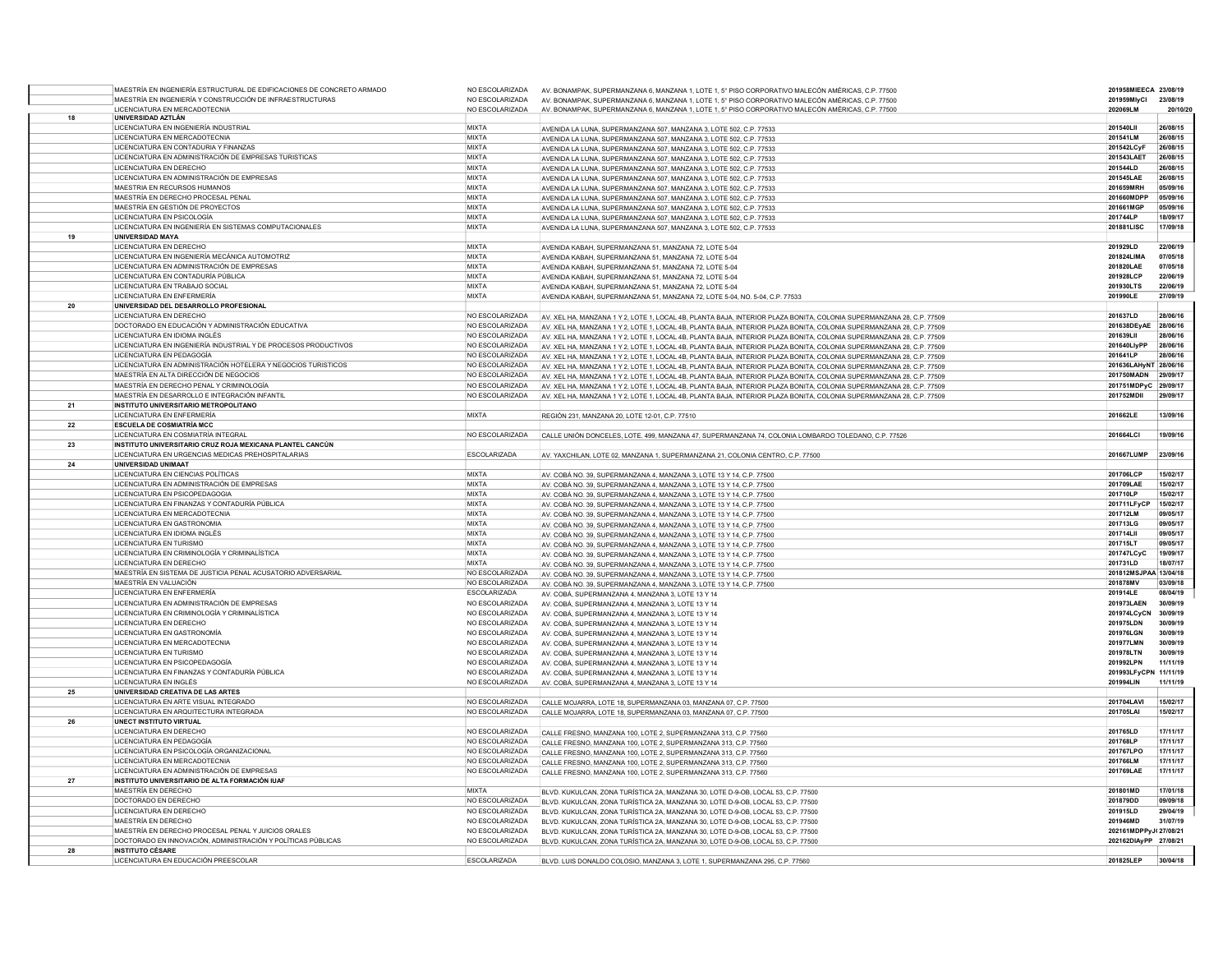|    | MAESTRÍA EN INGENIERÍA ESTRUCTURAL DE EDIFICACIONES DE CONCRETO ARMADO | NO ESCOLARIZADA     | AV. BONAMPAK, SUPERMANZANA 6, MANZANA 1, LOTE 1, 5° PISO CORPORATIVO MALECÓN AMÉRICAS, C.P. 77500                    | 201958MIEECA 23/08/19 |            |
|----|------------------------------------------------------------------------|---------------------|----------------------------------------------------------------------------------------------------------------------|-----------------------|------------|
|    | MAESTRÍA EN INGENIERÍA Y CONSTRUCCIÓN DE INFRAESTRUCTURAS              | NO ESCOLARIZADA     | AV. BONAMPAK, SUPERMANZANA 6, MANZANA 1, LOTE 1, 5° PISO CORPORATIVO MALECÓN AMÉRICAS, C.P. 77500                    | 201959MIvCl           | 23/08/19   |
|    | LICENCIATURA EN MERCADOTECNIA                                          | NO ESCOLARIZADA     | AV. BONAMPAK, SUPERMANZANA 6, MANZANA 1, LOTE 1, 5° PISO CORPORATIVO MALECÓN AMÉRICAS, C.P. 77500                    | 202069LM              | 20/10/20   |
| 18 | UNIVERSIDAD AZTLÁN                                                     |                     |                                                                                                                      |                       |            |
|    | LICENCIATURA EN INGENIERÍA INDUSTRIAL                                  | <b>MIXTA</b>        | AVENIDA LA LUNA, SUPERMANZANA 507, MANZANA 3, LOTE 502, C.P. 77533                                                   | 201540LII             | 26/08/15   |
|    | LICENCIATURA EN MERCADOTECNIA                                          | <b>MIXTA</b>        | AVENIDA LA LUNA, SUPERMANZANA 507, MANZANA 3, LOTE 502, C.P. 77533                                                   | 201541LM              | 26/08/15   |
|    | LICENCIATURA EN CONTADURIA Y FINANZAS                                  | <b>MIXTA</b>        | AVENIDA LA LUNA, SUPERMANZANA 507, MANZANA 3, LOTE 502, C.P. 77533                                                   | 201542LCyF            | 26/08/15   |
|    | LICENCIATURA EN ADMINISTRACIÓN DE EMPRESAS TURISTICAS                  | <b>MIXTA</b>        | AVENIDA LA LUNA, SUPERMANZANA 507, MANZANA 3, LOTE 502, C.P. 77533                                                   | 201543LAET            | 26/08/15   |
|    | <b>LICENCIATURA EN DERECHO</b>                                         | <b>MIXTA</b>        | AVENIDA LA LUNA, SUPERMANZANA 507, MANZANA 3, LOTE 502, C.P. 77533                                                   | 201544LD              | 26/08/15   |
|    | LICENCIATURA EN ADMINISTRACIÓN DE EMPRESAS                             | MIXTA               | AVENIDA LA LUNA, SUPERMANZANA 507, MANZANA 3, LOTE 502, C.P. 77533                                                   | 201545LAE             | 26/08/15   |
|    | MAESTRIA EN RECURSOS HUMANOS                                           | <b>MIXTA</b>        | AVENIDA LA LUNA, SUPERMANZANA 507, MANZANA 3, LOTE 502, C.P. 77533                                                   | 201659MRH             | 05/09/16   |
|    | MAESTRÍA EN DERECHO PROCESAL PENAL                                     | <b>MIXTA</b>        | AVENIDA LA LUNA, SUPERMANZANA 507, MANZANA 3, LOTE 502, C.P. 77533                                                   | 201660MDPP            | 05/09/1    |
|    | MAESTRÍA EN GESTIÓN DE PROYECTOS                                       | <b>MIXTA</b>        | AVENIDA LA LUNA, SUPERMANZANA 507, MANZANA 3, LOTE 502, C.P. 77533                                                   | 201661MGF             | 05/09/16   |
|    | <b>LICENCIATURA EN PSICOLOGÍA</b>                                      | MIXTA               | AVENIDA LA LUNA, SUPERMANZANA 507, MANZANA 3, LOTE 502, C.P. 77533                                                   | 201744LP              | 18/09/17   |
|    | LICENCIATURA EN INGENIERÍA EN SISTEMAS COMPUTACIONALES                 | <b>MIXTA</b>        | AVENIDA LA LUNA, SUPERMANZANA 507, MANZANA 3, LOTE 502, C.P. 77533                                                   | 201881LISC            | 17/09/18   |
| 19 | <b>UNIVERSIDAD MAYA</b>                                                |                     |                                                                                                                      |                       |            |
|    | LICENCIATURA EN DERECHO                                                | <b>MIXTA</b>        | AVENIDA KABAH, SUPERMANZANA 51, MANZANA 72, LOTE 5-04                                                                | 201929LD              | 22/06/19   |
|    | LICENCIATURA EN INGENIERÍA MECÁNICA AUTOMOTRIZ                         | <b>MIXTA</b>        | AVENIDA KABAH, SUPERMANZANA 51, MANZANA 72, LOTE 5-04                                                                | 201824LIMA            | 07/05/18   |
|    | LICENCIATURA EN ADMINISTRACIÓN DE EMPRESAS                             | <b>MIXTA</b>        | AVENIDA KABAH, SUPERMANZANA 51, MANZANA 72, LOTE 5-04                                                                | 201820LAE             | 07/05/18   |
|    | LICENCIATURA EN CONTADURÍA PÚBLICA                                     | <b>MIXTA</b>        |                                                                                                                      | 201928LCP             | 22/06/19   |
|    | LICENCIATURA EN TRABAJO SOCIAL                                         | <b>MIXTA</b>        | AVENIDA KABAH, SUPERMANZANA 51, MANZANA 72, LOTE 5-04                                                                | 201930LTS             | 22/06/19   |
|    | LICENCIATURA EN ENFERMERÍA                                             | <b>MIXTA</b>        | AVENIDA KABAH, SUPERMANZANA 51, MANZANA 72, LOTE 5-04                                                                | 201990LE              | 27/09/19   |
| 20 |                                                                        |                     | AVENIDA KABAH, SUPERMANZANA 51, MANZANA 72, LOTE 5-04, NO. 5-04, C.P. 77533                                          |                       |            |
|    | UNIVERSIDAD DEL DESARROLLO PROFESIONAL                                 |                     |                                                                                                                      |                       |            |
|    | LICENCIATURA EN DERECHO                                                | NO ESCOLARIZADA     | AV. XEL HA, MANZANA 1 Y 2, LOTE 1, LOCAL 4B, PLANTA BAJA, INTERIOR PLAZA BONITA, COLONIA SUPERMANZANA 28, C.P. 77509 | 201637LD              | 28/06/16   |
|    | DOCTORADO EN EDUCACIÓN Y ADMINISTRACIÓN EDUCATIVA                      | NO ESCOLARIZADA     | AV. XEL HA, MANZANA 1 Y 2, LOTE 1, LOCAL 4B, PLANTA BAJA, INTERIOR PLAZA BONITA, COLONIA SUPERMANZANA 28, C.P. 77509 | 201638DEvAE 28/06/16  |            |
|    | LICENCIATURA EN IDIOMA INGLÉS                                          | NO ESCOLARIZADA     | AV. XEL HA, MANZANA 1 Y 2, LOTE 1, LOCAL 4B, PLANTA BAJA, INTERIOR PLAZA BONITA, COLONIA SUPERMANZANA 28, C.P. 77509 | 201639LII             | 28/06/16   |
|    | LICENCIATURA EN INGENIERÍA INDUSTRIAL Y DE PROCESOS PRODUCTIVOS        | NO ESCOLARIZADA     | AV. XEL HA, MANZANA 1 Y 2, LOTE 1, LOCAL 4B, PLANTA BAJA, INTERIOR PLAZA BONITA, COLONIA SUPERMANZANA 28, C.P. 77509 | 201640LlyPP           | 28/06/16   |
|    | LICENCIATURA EN PEDAGOGÍA                                              | NO ESCOLARIZADA     | AV. XEL HA, MANZANA 1 Y 2, LOTE 1, LOCAL 4B, PLANTA BAJA, INTERIOR PLAZA BONITA, COLONIA SUPERMANZANA 28, C.P. 77509 | 201641LP              | 28/06/16   |
|    | LICENCIATURA EN ADMINISTRACIÓN HOTELERA Y NEGOCIOS TURISTICOS          | NO ESCOLARIZADA     | AV. XEL HA, MANZANA 1 Y 2, LOTE 1, LOCAL 4B, PLANTA BAJA, INTERIOR PLAZA BONITA, COLONIA SUPERMANZANA 28, C.P. 77509 | 201636LAHyNT 28/06/16 |            |
|    | MAESTRÍA EN ALTA DIRECCIÓN DE NEGOCIOS                                 | NO ESCOLARIZADA     | AV. XEL HA, MANZANA 1 Y 2, LOTE 1, LOCAL 4B, PLANTA BAJA, INTERIOR PLAZA BONITA, COLONIA SUPERMANZANA 28, C.P. 77509 | 201750MADN            | 29/09/17   |
|    | MAESTRÍA EN DERECHO PENAL Y CRIMINOLOGÍA                               | NO ESCOLARIZADA     | AV. XEL HA, MANZANA 1 Y 2, LOTE 1, LOCAL 4B, PLANTA BAJA, INTERIOR PLAZA BONITA, COLONIA SUPERMANZANA 28, C.P. 77509 | 201751MDPvC 29/09/17  |            |
|    | MAESTRÍA EN DESARROLLO E INTEGRACIÓN INFANTIL                          | NO ESCOLARIZADA     | AV. XEL HA, MANZANA 1 Y 2, LOTE 1, LOCAL 4B, PLANTA BAJA, INTERIOR PLAZA BONITA, COLONIA SUPERMANZANA 28, C.P. 77509 | 201752MDII            | 29/09/17   |
| 21 | <b>INSTITUTO UNIVERSITARIO METROPOLITANO</b>                           |                     |                                                                                                                      |                       |            |
|    | LICENCIATURA EN ENFERMERÍA                                             | <b>MIXTA</b>        | REGIÓN 231, MANZANA 20, LOTE 12-01, C.P. 77510                                                                       | 201662LE              | 13/09/16   |
| 22 | <b>ESCUELA DE COSMIATRÍA MCC</b>                                       |                     |                                                                                                                      |                       |            |
|    | LICENCIATURA EN COSMIATRÍA INTEGRAL                                    | NO ESCOLARIZADA     | CALLE UNIÓN DONCELES, LOTE. 499, MANZANA 47, SUPERMANZANA 74, COLONIA LOMBARDO TOLEDANO, C.P. 77526                  | 201664LCI             | 19/09/16   |
| 23 | INSTITUTO UNIVERSITARIO CRUZ ROJA MEXICANA PLANTEL CANCÚN              |                     |                                                                                                                      |                       |            |
|    | LICENCIATURA EN URGENCIAS MEDICAS PREHOSPITALARIAS                     | <b>ESCOLARIZADA</b> | AV. YAXCHILAN, LOTE 02, MANZANA 1, SUPERMANZANA 21, COLONIA CENTRO, C.P. 77500                                       | 201667LUMP            | 23/09/16   |
| 24 | <b>UNIVERSIDAD UNIMAAT</b>                                             |                     |                                                                                                                      |                       |            |
|    | LICENCIATURA EN CIENCIAS POLÍTICAS                                     | <b>MIXTA</b>        | AV, COBÁ NO. 39, SUPERMANZANA 4, MANZANA 3, LOTE 13 Y 14, C.P. 77500                                                 | 201706LCP             | 15/02/17   |
|    | LICENCIATURA EN ADMINISTRACIÓN DE EMPRESAS                             | MIXTA               | AV. COBÁ NO. 39, SUPERMANZANA 4, MANZANA 3, LOTE 13 Y 14, C.P. 77500                                                 | 201709LAE             | 15/02/17   |
|    | LICENCIATURA EN PSICOPEDAGOGIA                                         | MIXTA               | AV, COBÁ NO, 39, SUPERMANZANA 4, MANZANA 3, LOTE 13 Y 14, C.P. 77500                                                 | 201710LP              | 15/02/17   |
|    | LICENCIATURA EN FINANZAS Y CONTADURÍA PÚBLICA                          | <b>MIXTA</b>        | AV. COBÁ NO. 39, SUPERMANZANA 4, MANZANA 3, LOTE 13 Y 14, C.P. 77500                                                 | 201711LFvCP           | 15/02/17   |
|    | LICENCIATURA EN MERCADOTECNIA                                          | <b>MIXTA</b>        | AV. COBÁ NO. 39. SUPERMANZANA 4. MANZANA 3. LOTE 13 Y 14. C.P. 77500                                                 | 201712LM              | 09/05/17   |
|    | LICENCIATURA EN GASTRONOMIA                                            | <b>MIXTA</b>        | AV. COBÁ NO. 39. SUPERMANZANA 4. MANZANA 3. LOTE 13 Y 14, C.P. 77500                                                 | 201713LG              | 09/05/17   |
|    | LICENCIATURA EN IDIOMA INGLÉS                                          | MIXTA               | AV. COBÁ NO. 39, SUPERMANZANA 4, MANZANA 3, LOTE 13 Y 14, C.P. 77500                                                 | 201714LII             | 09/05/17   |
|    | LICENCIATURA EN TURISMO                                                | <b>MIXTA</b>        | AV. COBÁ NO. 39. SUPERMANZANA 4. MANZANA 3. LOTE 13 Y 14, C.P. 77500                                                 | 201715LT              | 09/05/17   |
|    | LICENCIATURA EN CRIMINOLOGÍA Y CRIMINALÍSTICA                          | <b>MIXTA</b>        |                                                                                                                      | 201747LCyC            | 19/09/17   |
|    | LICENCIATURA EN DERECHO                                                | <b>MIXTA</b>        | AV. COBÁ NO. 39, SUPERMANZANA 4, MANZANA 3, LOTE 13 Y 14, C.P. 77500                                                 |                       | 18/07/17   |
|    |                                                                        |                     | AV. COBÁ NO. 39, SUPERMANZANA 4, MANZANA 3, LOTE 13 Y 14, C.P. 77500                                                 | 201731LD              |            |
|    | MAESTRÍA EN SISTEMA DE JUSTICIA PENAL ACUSATORIO ADVERSARIAL           | NO ESCOLARIZADA     | AV, COBÁ NO, 39, SUPERMANZANA 4, MANZANA 3, LOTE 13 Y 14, C.P. 77500                                                 | 201812MSJP            | A 13/04/18 |
|    | MAESTRÍA EN VALUACIÓN                                                  | NO ESCOLARIZADA     | AV. COBÁ NO. 39, SUPERMANZANA 4, MANZANA 3, LOTE 13 Y 14, C.P. 77500                                                 | 201878MV              | 03/09/18   |
|    | <b>LICENCIATURA EN ENFERMERÍA</b>                                      | <b>FSCOLARIZADA</b> | AV. COBÁ. SUPERMANZANA 4. MANZANA 3. LOTE 13 Y 14                                                                    | 201914LE              | 08/04/19   |
|    | LICENCIATURA EN ADMINISTRACIÓN DE EMPRESAS                             | NO ESCOLARIZADA     | AV. COBÁ, SUPERMANZANA 4, MANZANA 3, LOTE 13 Y 14                                                                    | 201973LAEN            | 30/09/19   |
|    | LICENCIATURA EN CRIMINOLOGÍA Y CRIMINALÍSTICA                          | NO ESCOLARIZADA     | AV. COBÁ. SUPERMANZANA 4. MANZANA 3. LOTE 13 Y 14                                                                    | 201974LCyCN           | 30/09/19   |
|    | <b>LICENCIATURA EN DERECHO</b>                                         | NO ESCOLARIZADA     | AV. COBÁ, SUPERMANZANA 4, MANZANA 3, LOTE 13 Y 14                                                                    | 201975LDN             | 30/09/19   |
|    | LICENCIATURA EN GASTRONOMÍA                                            | NO ESCOLARIZADA     | AV. COBÁ, SUPERMANZANA 4, MANZANA 3, LOTE 13 Y 14                                                                    | 201976LGN             | 30/09/19   |
|    | LICENCIATURA EN MERCADOTECNIA                                          | NO ESCOLARIZADA     | AV. COBÁ, SUPERMANZANA 4, MANZANA 3, LOTE 13 Y 14                                                                    | 201977LMN             | 30/09/19   |
|    | LICENCIATURA EN TURISMO                                                | NO ESCOLARIZADA     | AV. COBÁ. SUPERMANZANA 4. MANZANA 3. LOTE 13 Y 14                                                                    | 201978LTN             | 30/09/19   |
|    | LICENCIATURA EN PSICOPEDAGOGÍA                                         | NO ESCOLARIZADA     | AV. COBÁ. SUPERMANZANA 4. MANZANA 3. LOTE 13 Y 14                                                                    | 201992LPN             | 11/11/19   |
|    | LICENCIATURA EN FINANZAS Y CONTADURÍA PÚBLICA                          | NO ESCOLARIZADA     | AV. COBÁ. SUPERMANZANA 4. MANZANA 3. LOTE 13 Y 14                                                                    | 201993LFyCPN 11/11/19 |            |
|    | <b>LICENCIATURA EN INGLÉS</b>                                          | NO ESCOLARIZADA     | AV. COBÁ, SUPERMANZANA 4, MANZANA 3, LOTE 13 Y 14                                                                    | 201994LIN             | 11/11/19   |
| 25 | UNIVERSIDAD CREATIVA DE LAS ARTES                                      |                     |                                                                                                                      |                       |            |
|    | LICENCIATURA EN ARTE VISUAL INTEGRADO                                  | NO ESCOLARIZADA     | CALLE MOJARRA, LOTE 18, SUPERMANZANA 03, MANZANA 07, C.P. 77500                                                      | 201704LAVI            | 15/02/17   |
|    | LICENCIATURA EN ARQUITECTURA INTEGRADA                                 | NO ESCOLARIZADA     | CALLE MOJARRA, LOTE 18, SUPERMANZANA 03, MANZANA 07, C.P. 77500                                                      | 201705LAI             | 15/02/17   |
| 26 | UNECT INSTITUTO VIRTUAL                                                |                     |                                                                                                                      |                       |            |
|    | <b>LICENCIATURA EN DERECHO</b>                                         | NO ESCOLARIZADA     | CALLE FRESNO, MANZANA 100, LOTE 2, SUPERMANZANA 313, C.P. 77560                                                      | 201765LD              | 17/11/17   |
|    | LICENCIATURA EN PEDAGOGÍA                                              | NO ESCOLARIZADA     | CALLE FRESNO, MANZANA 100, LOTE 2, SUPERMANZANA 313, C.P. 77560                                                      | 201768LP              | 17/11/17   |
|    | LICENCIATURA EN PSICOLOGÍA ORGANIZACIONAL                              | NO ESCOLARIZADA     | CALLE FRESNO, MANZANA 100, LOTE 2, SUPERMANZANA 313, C.P. 77560                                                      | 201767LPO             | 17/11/17   |
|    | LICENCIATURA EN MERCADOTECNIA                                          | NO ESCOLARIZADA     | CALLE FRESNO, MANZANA 100, LOTE 2, SUPERMANZANA 313, C.P. 77560                                                      | 201766LM              | 17/11/17   |
|    | LICENCIATURA EN ADMINISTRACIÓN DE EMPRESAS                             | NO ESCOLARIZADA     | CALLE FRESNO, MANZANA 100, LOTE 2, SUPERMANZANA 313, C.P. 77560                                                      | 201769LAE             | 17/11/17   |
| 27 | INSTITUTO UNIVERSITARIO DE ALTA FORMACIÓN IUAF                         |                     |                                                                                                                      |                       |            |
|    | MAESTRÍA EN DERECHO                                                    | <b>MIXTA</b>        | BLVD. KUKULCAN, ZONA TURÍSTICA 2A, MANZANA 30, LOTE D-9-OB, LOCAL 53, C.P. 77500                                     | 201801MD              | 17/01/18   |
|    | DOCTORADO EN DERECHO                                                   | NO ESCOLARIZADA     | BLVD, KUKULCAN, ZONA TURÍSTICA 2A, MANZANA 30, LOTE D-9-OB, LOCAL 53, C.P. 77500                                     | 201879DD              | 09/09/18   |
|    | LICENCIATURA EN DERECHO                                                | NO ESCOLARIZADA     | BLVD, KUKULCAN, ZONA TURÍSTICA 2A, MANZANA 30, LOTE D-9-OB, LOCAL 53, C.P. 77500                                     | 201915LD              | 29/04/19   |
|    | MAESTRÍA EN DERECHO                                                    | NO ESCOLARIZADA     | BLVD, KUKULCAN, ZONA TURÍSTICA 2A, MANZANA 30, LOTE D-9-OB, LOCAL 53, C.P. 77500                                     | 201946MD              | 31/07/19   |
|    | MAESTRÍA EN DERECHO PROCESAL PENAL Y JUICIOS ORALES                    | NO ESCOLARIZADA     |                                                                                                                      | 202161MDPPyJ(27/08/21 |            |
|    | DOCTORADO EN INNOVACIÓN, ADMINISTRACIÓN Y POLÍTICAS PÚBLICAS           | NO ESCOLARIZADA     | BLVD. KUKULCAN, ZONA TURÍSTICA 2A, MANZANA 30, LOTE D-9-OB, LOCAL 53, C.P. 77500                                     | 202162DIAyPP 27/08/21 |            |
| 28 | <b>INSTITUTO CÉSARE</b>                                                |                     | BLVD. KUKULCAN, ZONA TURÍSTICA 2A, MANZANA 30, LOTE D-9-OB, LOCAL 53, C.P. 77500                                     |                       |            |
|    |                                                                        | <b>ESCOLARIZADA</b> |                                                                                                                      | 201825LEP             | 30/04/18   |
|    | LICENCIATURA EN EDUCACIÓN PREESCOLAR                                   |                     | BLVD. LUIS DONALDO COLOSIO, MANZANA 3, LOTE 1, SUPERMANZANA 295, C.P. 77560                                          |                       |            |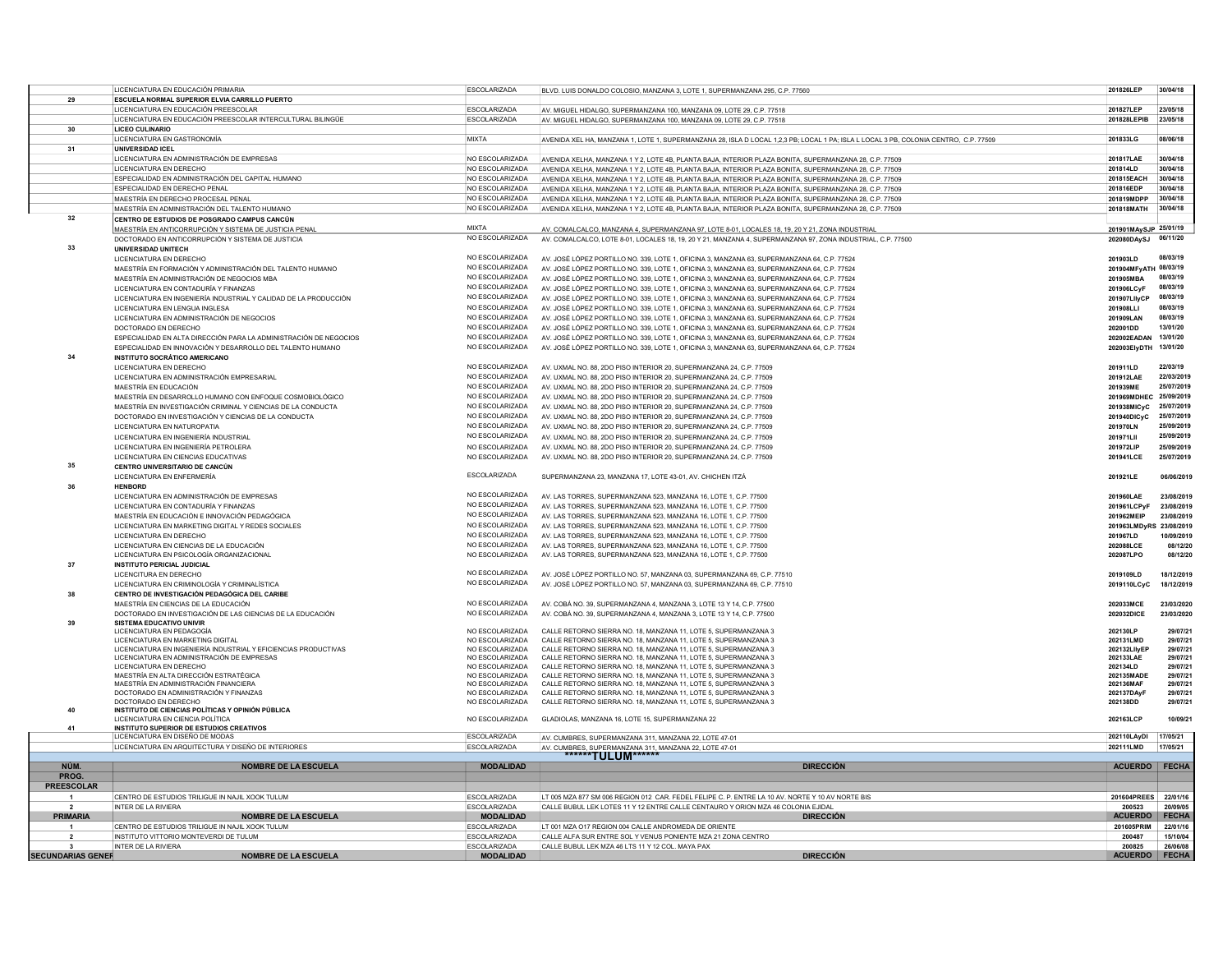|                          | LICENCIATURA EN EDUCACIÓN PRIMARIA                                    | <b>ESCOLARIZADA</b>                | BLVD. LUIS DONALDO COLOSIO, MANZANA 3, LOTE 1, SUPERMANZANA 295, C.P. 77560                                                          | 201826LEP               | 30/04/18             |
|--------------------------|-----------------------------------------------------------------------|------------------------------------|--------------------------------------------------------------------------------------------------------------------------------------|-------------------------|----------------------|
| 29                       | ESCUELA NORMAL SUPERIOR ELVIA CARRILLO PUERTO                         |                                    |                                                                                                                                      |                         |                      |
|                          | LICENCIATURA EN EDUCACIÓN PREESCOLAR                                  | <b>FSCOLARIZADA</b>                | AV. MIGUEL HIDALGO, SUPERMANZANA 100, MANZANA 09, LOTE 29, C.P. 77518                                                                | 201827LEP               | 23/05/18             |
|                          | LICENCIATURA EN EDUCACIÓN PREESCOLAR INTERCULTURAL BILINGÜE           | ESCOLARIZADA                       | AV. MIGUEL HIDALGO, SUPERMANZANA 100, MANZANA 09, LOTE 29, C.P. 77518                                                                | 201828LEPIB             | 23/05/18             |
| 30                       | <b>LICEO CULINARIO</b>                                                |                                    |                                                                                                                                      |                         |                      |
|                          | LICENCIATURA EN GASTRONOMÍA                                           | <b>MIXTA</b>                       | AVENIDA XEL HA, MANZANA 1, LOTE 1, SUPERMANZANA 28, ISLA D LOCAL 1,2,3 PB; LOCAL 1 PA; ISLA L LOCAL 3 PB, COLONIA CENTRO, C.P. 77509 | 201833LG                | 08/06/18             |
| 31                       | <b>UNIVERSIDAD ICEL</b>                                               |                                    |                                                                                                                                      |                         |                      |
|                          | LICENCIATURA EN ADMINISTRACIÓN DE EMPRESAS                            | NO ESCOLARIZADA                    |                                                                                                                                      | 201817LAE               | 30/04/18             |
|                          | LICENCIATURA EN DERECHO                                               | NO ESCOLARIZADA                    | AVENIDA XELHA, MANZANA 1 Y 2, LOTE 4B, PLANTA BAJA, INTERIOR PLAZA BONITA, SUPERMANZANA 28, C.P. 77509                               | 201814LD                | 30/04/18             |
|                          | ESPECIALIDAD EN ADMINISTRACIÓN DEL CAPITAL HUMANO                     | NO ESCOLARIZADA                    | AVENIDA XELHA, MANZANA 1 Y 2, LOTE 4B, PLANTA BAJA, INTERIOR PLAZA BONITA, SUPERMANZANA 28, C.P. 77509                               | 201815EACH              | 30/04/18             |
|                          |                                                                       |                                    | AVENIDA XELHA, MANZANA 1 Y 2, LOTE 4B, PLANTA BAJA, INTERIOR PLAZA BONITA, SUPERMANZANA 28, C.P. 77509                               |                         |                      |
|                          | ESPECIALIDAD EN DERECHO PENAL                                         | NO ESCOLARIZADA                    | AVENIDA XELHA, MANZANA 1 Y 2, LOTE 4B, PLANTA BAJA, INTERIOR PLAZA BONITA, SUPERMANZANA 28, C.P. 77509                               | 201816EDP               | 30/04/18             |
|                          | MAESTRÍA EN DERECHO PROCESAL PENAL                                    | NO ESCOLARIZADA                    | AVENIDA XELHA, MANZANA 1 Y 2, LOTE 4B, PLANTA BAJA, INTERIOR PLAZA BONITA, SUPERMANZANA 28, C.P. 77509                               | 201819MDPP              | 30/04/18             |
| 32                       | MAESTRÍA EN ADMINISTRACIÓN DEL TALENTO HUMANO                         | NO ESCOLARIZADA                    | AVENIDA XELHA, MANZANA 1 Y 2, LOTE 4B, PLANTA BAJA, INTERIOR PLAZA BONITA, SUPERMANZANA 28, C.P. 77509                               | 201818MATH              | 30/04/18             |
|                          | CENTRO DE ESTUDIOS DE POSGRADO CAMPUS CANCÚN                          | <b>MIXTA</b>                       |                                                                                                                                      |                         |                      |
|                          | MAESTRÍA EN ANTICORRUPCIÓN Y SISTEMA DE JUSTICIA PENAL                |                                    | AV. COMALCALCO, MANZANA 4, SUPERMANZANA 97, LOTE 8-01, LOCALES 18, 19, 20 Y 21, ZONA INDUSTRIAL                                      | 201901MAySJP 25/01/19   |                      |
|                          | DOCTORADO EN ANTICORRUPCIÓN Y SISTEMA DE JUSTICIA                     | NO ESCOLARIZADA                    | AV. COMALCALCO, LOTE 8-01, LOCALES 18, 19, 20 Y 21, MANZANA 4, SUPERMANZANA 97, ZONA INDUSTRIAL, C.P. 77500                          | 202080DAvSJ             | 06/11/20             |
| 33                       | <b>UNIVERSIDAD UNITECH</b>                                            | NO ESCOLARIZADA                    |                                                                                                                                      |                         |                      |
|                          | LICENCIATURA EN DERECHO                                               |                                    | AV. JOSÉ LÓPEZ PORTILLO NO. 339, LOTE 1, OFICINA 3, MANZANA 63, SUPERMANZANA 64, C.P. 77524                                          | 201903LD                | 08/03/19             |
|                          | MAESTRÍA EN FORMACIÓN Y ADMINISTRACIÓN DEL TALENTO HUMANO             | NO ESCOLARIZADA                    | AV. JOSÉ LÓPEZ PORTILLO NO. 339. LOTE 1, OFICINA 3, MANZANA 63, SUPERMANZANA 64, C.P. 77524                                          | 201904MFyATH 08/03/19   |                      |
|                          | MAESTRÍA EN ADMINISTRACIÓN DE NEGOCIOS MBA                            | NO ESCOLARIZADA                    | AV. JOSÉ LÓPEZ PORTILLO NO. 339. LOTE 1, OFICINA 3, MANZANA 63, SUPERMANZANA 64, C.P. 77524                                          | 201905MBA               | 08/03/19             |
|                          | LICENCIATURA EN CONTADURÍA Y FINANZAS                                 | NO ESCOLARIZADA                    | AV. JOSÉ LÓPEZ PORTILLO NO. 339, LOTE 1, OFICINA 3, MANZANA 63, SUPERMANZANA 64, C.P. 77524                                          | 201906LCvF              | 08/03/19             |
|                          | LICENCIATURA EN INGENIERÍA INDUSTRIAL Y CALIDAD DE LA PRODUCCIÓN      | NO ESCOLARIZADA                    | AV. JOSÉ LÓPEZ PORTILLO NO. 339, LOTE 1, OFICINA 3, MANZANA 63, SUPERMANZANA 64, C.P. 77524                                          | 201907LllyCF            | 08/03/19             |
|                          | LICENCIATURA EN LENGUA INGLESA                                        | NO ESCOLARIZADA                    | AV. JOSÉ LÓPEZ PORTILLO NO. 339, LOTE 1, OFICINA 3, MANZANA 63, SUPERMANZANA 64, C.P. 77524                                          | 201908LLI               | 08/03/19             |
|                          | LICENCIATURA EN ADMINISTRACIÓN DE NEGOCIOS                            | NO ESCOLARIZADA                    | AV. JOSÉ LÓPEZ PORTILLO NO. 339. LOTE 1, OFICINA 3, MANZANA 63, SUPERMANZANA 64, C.P. 77524                                          | 201909LAN               | 08/03/19             |
|                          | DOCTORADO EN DERECHO                                                  | NO ESCOLARIZADA                    | AV. JOSÉ LÓPEZ PORTILLO NO. 339, LOTE 1, OFICINA 3, MANZANA 63, SUPERMANZANA 64, C.P. 77524                                          | 202001DD                | 13/01/20             |
|                          | ESPECIALIDAD EN ALTA DIRECCIÓN PARA LA ADMINISTRACIÓN DE NEGOCIOS     | NO ESCOLARIZADA                    | AV, JOSÉ LÓPEZ PORTILLO NO. 339. LOTE 1. OFICINA 3. MANZANA 63. SUPERMANZANA 64. C.P. 77524                                          | 202002EADAN             | 13/01/20             |
|                          | ESPECIALIDAD EN INNOVACIÓN Y DESARROLLO DEL TALENTO HUMANO            | NO ESCOLARIZADA                    | AV. JOSÉ LÓPEZ PORTILLO NO. 339, LOTE 1, OFICINA 3, MANZANA 63, SUPERMANZANA 64, C.P. 77524                                          | 202003ElyDTH            | 13/01/20             |
| 34                       | <b>INSTITUTO SOCRÁTICO AMERICANO</b>                                  |                                    |                                                                                                                                      |                         |                      |
|                          | LICENCIATURA EN DERECHO                                               | NO ESCOLARIZADA                    | AV, UXMAL NO. 88, 2DO PISO INTERIOR 20, SUPERMANZANA 24, C.P. 77509                                                                  | 201911LD                | 22/03/19             |
|                          | LICENCIATURA EN ADMINISTRACIÓN EMPRESARIAL                            | NO ESCOLARIZADA                    | AV UXMAL NO 88 2DO PISO INTERIOR 20 SUPERMANZANA 24 C.P. 77509                                                                       | 201912LAE               | 22/03/2019           |
|                          | MAESTRÍA EN EDUCACIÓN                                                 | NO ESCOLARIZADA                    | AV. UXMAL NO. 88, 2DO PISO INTERIOR 20, SUPERMANZANA 24, C.P. 77509                                                                  | 201939ME                | 25/07/2019           |
|                          | MAESTRÍA EN DESARROLLO HUMANO CON ENFOQUE COSMOBIOLÓGICO              | NO ESCOLARIZADA                    | AV. UXMAL NO. 88, 2DO PISO INTERIOR 20, SUPERMANZANA 24, C.P. 77509                                                                  | 201969MDHEC             | 25/09/2019           |
|                          | MAESTRÍA EN INVESTIGACIÓN CRIMINAL Y CIENCIAS DE LA CONDUCTA          | NO ESCOLARIZADA                    | AV, UXMAL NO. 88, 2DO PISO INTERIOR 20, SUPERMANZANA 24, C.P. 77509                                                                  | 201938MICyC             | 25/07/2019           |
|                          | DOCTORADO EN INVESTIGACIÓN Y CIENCIAS DE LA CONDUCTA                  | NO ESCOLARIZADA                    | AV UXMAL NO 88 2DO PISO INTERIOR 20 SUPERMANZANA 24 C.P. 77509                                                                       | 201940DICvC             | 25/07/2019           |
|                          | LICENCIATURA EN NATUROPATIA                                           | NO ESCOLARIZADA                    | AV, UXMAL NO. 88, 2DO PISO INTERIOR 20, SUPERMANZANA 24, C.P. 77509                                                                  | 201970LN                | 25/09/2019           |
|                          | LICENCIATURA EN INGENIERÍA INDUSTRIAL                                 | NO ESCOLARIZADA                    | AV. UXMAL NO. 88, 2DO PISO INTERIOR 20, SUPERMANZANA 24, C.P. 77509                                                                  | 201971LII               | 25/09/2019           |
|                          | LICENCIATURA EN INGENIERÍA PETROLERA                                  | NO ESCOLARIZADA                    | AV. UXMAL NO. 88, 2DO PISO INTERIOR 20, SUPERMANZANA 24, C.P. 77509                                                                  | 201972LIP               | 25/09/2019           |
|                          | LICENCIATURA EN CIENCIAS EDUCATIVAS                                   | NO ESCOLARIZADA                    | AV, UXMAL NO, 88, 2DO PISO INTERIOR 20, SUPERMANZANA 24, C.P. 77509                                                                  | 201941LCE               | 25/07/2019           |
| 35                       | CENTRO UNIVERSITARIO DE CANCÚN                                        |                                    |                                                                                                                                      |                         |                      |
|                          | LICENCIATURA EN ENFERMERÍA                                            | ESCOLARIZADA                       | SUPERMANZANA 23, MANZANA 17, LOTE 43-01, AV. CHICHEN ITZÁ                                                                            | 201921LE                | 06/06/2019           |
| 36                       | <b>HENBORD</b>                                                        |                                    |                                                                                                                                      |                         |                      |
|                          | LICENCIATURA EN ADMINISTRACIÓN DE EMPRESAS                            | NO ESCOLARIZADA                    | AV. LAS TORRES, SUPERMANZANA 523, MANZANA 16, LOTE 1, C.P. 77500                                                                     | 201960LAE               | 23/08/2019           |
|                          | LICENCIATURA EN CONTADURÍA Y FINANZAS                                 | NO ESCOLARIZADA                    | AV. LAS TORRES, SUPERMANZANA 523, MANZANA 16, LOTE 1, C.P. 77500                                                                     | 201961LCPv              | 23/08/2019           |
|                          | MAESTRÍA EN EDUCACIÓN E INNOVACIÓN PEDAGÓGICA                         | NO ESCOLARIZADA                    | AV LAS TORRES, SUPERMANZANA 523, MANZANA 16, LOTE 1, C.P. 77500                                                                      | 201962MEIP              | 23/08/2019           |
|                          | LICENCIATURA EN MARKETING DIGITAL Y REDES SOCIALES                    | NO ESCOLARIZADA                    | AV. LAS TORRES, SUPERMANZANA 523, MANZANA 16, LOTE 1, C.P. 77500                                                                     | 201963LMDvRS 23/08/2019 |                      |
|                          | LICENCIATURA EN DERECHO                                               | NO ESCOLARIZADA                    | AV. LAS TORRES, SUPERMANZANA 523, MANZANA 16, LOTE 1, C.P. 77500                                                                     | 201967LD                | 10/09/2019           |
|                          | LICENCIATURA EN CIENCIAS DE LA EDUCACIÓN                              | NO ESCOLARIZADA                    | AV. LAS TORRES, SUPERMANZANA 523, MANZANA 16, LOTE 1, C.P. 77500                                                                     | 202088LCE               | 08/12/20             |
|                          | LICENCIATURA EN PSICOLOGÍA ORGANIZACIONAL                             | NO ESCOLARIZADA                    | AV. LAS TORRES, SUPERMANZANA 523, MANZANA 16, LOTE 1, C.P. 77500                                                                     | 202087LPO               | 08/12/20             |
| 37                       | <b>INSTITUTO PERICIAL JUDICIAL</b>                                    |                                    |                                                                                                                                      |                         |                      |
|                          | LICENCITURA EN DERECHO                                                | NO ESCOLARIZADA                    | AV. JOSÉ LÓPEZ PORTILLO NO. 57, MANZANA 03, SUPERMANZANA 69, C.P. 77510                                                              | 2019109LD               | 18/12/2019           |
|                          | LICENCIATURA EN CRIMINOLOGÍA Y CRIMINALÍSTICA                         | NO ESCOLARIZADA                    | AV. JOSÉ LÓPEZ PORTILLO NO. 57, MANZANA 03, SUPERMANZANA 69, C.P. 77510                                                              | 2019110LCyC             | 18/12/2019           |
| 38                       | CENTRO DE INVESTIGACIÓN PEDAGÓGICA DEL CARIBE                         |                                    |                                                                                                                                      |                         |                      |
|                          | MAESTRÍA EN CIENCIAS DE LA EDUCACIÓN                                  | NO ESCOLARIZADA                    | AV. COBÁ NO. 39, SUPERMANZANA 4, MANZANA 3, LOTE 13 Y 14, C.P. 77500                                                                 | 202033MCE               | 23/03/2020           |
|                          | DOCTORADO EN INVESTIGACIÓN DE LAS CIENCIAS DE LA EDUCACIÓN            | NO ESCOLARIZADA                    | AV, COBÁ NO. 39, SUPERMANZANA 4, MANZANA 3, LOTE 13 Y 14, C.P. 77500                                                                 | 202032DICE              | 23/03/2020           |
| 39                       | <b>SISTEMA EDUCATIVO UNIVIR</b>                                       |                                    |                                                                                                                                      |                         |                      |
|                          | LICENCIATURA EN PEDAGOGÍA                                             | NO ESCOLARIZADA                    | CALLE RETORNO SIERRA NO. 18. MANZANA 11. LOTE 5. SUPERMANZANA 3                                                                      | 202130LP                | 29/07/21             |
|                          | LICENCIATURA EN MARKETING DIGITAL                                     | NO ESCOLARIZADA                    | CALLE RETORNO SIERRA NO. 18. MANZANA 11. LOTE 5. SUPERMANZANA 3                                                                      | 202131LMD               | 29/07/21             |
|                          | LICENCIATURA EN INGENIERÍA INDUSTRIAL Y FEICIENCIAS PRODUCTIVAS       | NO ESCOLARIZADA                    | CALLE RETORNO SIERRA NO 18 MANZANA 11 LOTE 5 SUPERMANZANA 3                                                                          | 202132LIIvEF            | 29/07/21             |
|                          | LICENCIATURA EN ADMINISTRACIÓN DE EMPRESAS<br>LICENCIATURA EN DERECHO | NO ESCOLARIZADA<br>NO ESCOLARIZADA | CALLE RETORNO SIERRA NO. 18, MANZANA 11, LOTE 5, SUPERMANZANA 3<br>CALLE RETORNO SIERRA NO. 18, MANZANA 11, LOTE 5, SUPERMANZANA 3   | 202133LAE<br>202134LD   | 29/07/21<br>29/07/21 |
|                          | MAESTRÍA EN ALTA DIRECCIÓN ESTRATÉGICA                                | NO ESCOLARIZADA                    | CALLE RETORNO SIERRA NO. 18, MANZANA 11, LOTE 5, SUPERMANZANA 3                                                                      | 202135MADE              | 29/07/21             |
|                          | MAESTRÍA EN ADMINISTRACIÓN FINANCIERA                                 | NO ESCOLARIZADA                    | CALLE RETORNO SIERRA NO. 18, MANZANA 11, LOTE 5, SUPERMANZANA 3                                                                      | 202136MAF               | 29/07/21             |
|                          | DOCTORADO EN ADMINISTRACIÓN Y FINANZAS                                | NO ESCOLARIZADA                    | CALLE RETORNO SIERRA NO. 18, MANZANA 11, LOTE 5, SUPERMANZANA 3                                                                      | 202137DAyF              | 29/07/21             |
|                          | DOCTORADO EN DERECHO                                                  | NO ESCOLARIZADA                    | CALLE RETORNO SIERRA NO. 18, MANZANA 11, LOTE 5, SUPERMANZANA 3                                                                      | 202138DD                | 29/07/21             |
| 40                       | INSTITUTO DE CIENCIAS POLÍTICAS Y OPINIÓN PÚBLICA                     |                                    |                                                                                                                                      |                         |                      |
|                          | LICENCIATURA EN CIENCIA POLÍTICA                                      | NO ESCOLARIZADA                    | GLADIOLAS, MANZANA 16, LOTE 15, SUPERMANZANA 22                                                                                      | 202163LCP               | 10/09/21             |
| 41                       | <b>INSTITUTO SUPERIOR DE ESTUDIOS CREATIVOS</b>                       |                                    |                                                                                                                                      |                         |                      |
|                          | LICENCIATURA EN DISEÑO DE MODAS                                       | ESCOLARIZADA                       | AV. CUMBRES, SUPERMANZANA 311, MANZANA 22, LOTE 47-01                                                                                | 202110LAyDI             | 17/05/21             |
|                          | LICENCIATURA EN ARQUITECTURA Y DISEÑO DE INTERIORES                   | <b>ESCOLARIZADA</b>                | AV. CUMBRES, SUPERMANZANA 311, MANZANA 22, LOTE 47-01                                                                                | 202111LMD               | 17/05/21             |
|                          |                                                                       |                                    | *******TULUM******                                                                                                                   |                         |                      |
| NÚM.                     | <b>NOMBRE DE LA ESCUELA</b>                                           | <b>MODALIDAD</b>                   | <b>DIRECCIÓN</b>                                                                                                                     | <b>ACUERDO</b>          | <b>FECHA</b>         |
| PROG.                    |                                                                       |                                    |                                                                                                                                      |                         |                      |
| <b>PREESCOLAR</b>        |                                                                       |                                    |                                                                                                                                      |                         |                      |
|                          | CENTRO DE ESTUDIOS TRILIGUE IN NAJIL XOOK TULUM                       | <b>ESCOLARIZADA</b>                | LT 005 MZA 877 SM 006 REGION 012 CAR. FEDEL FELIPE C. P. ENTRE LA 10 AV. NORTE Y 10 AV NORTE BIS                                     | 201604PREES 22/01/16    |                      |
|                          | INTER DE LA RIVIERA                                                   | <b>ESCOLARIZADA</b>                | CALLE BUBUL LEK LOTES 11 Y 12 ENTRE CALLE CENTAURO Y ORION MZA 46 COLONIA EJIDA                                                      | 200523                  | 20/09/05             |
| <b>PRIMARIA</b>          | <b>NOMBRE DE LA ESCUELA</b>                                           | <b>MODALIDAD</b>                   | <b>DIRECCIÓN</b>                                                                                                                     | <b>ACUERDO</b>          | <b>FECHA</b>         |
| 1                        | CENTRO DE ESTUDIOS TRILIGUE IN NAJIL XOOK TULUM                       | <b>ESCOLARIZADA</b>                | LT 001 MZA O17 REGION 004 CALLE ANDROMEDA DE ORIENTE                                                                                 | 201605PRIM              | 22/01/16             |
| $\overline{2}$           | INSTITUTO VITTORIO MONTEVERDI DE TULUM                                | <b>FSCOLARIZADA</b>                | CALLE ALEA SUR ENTRE SOL Y VENUS PONIENTE MZA 21 ZONA CENTRO                                                                         | 200487                  | 15/10/04             |
| 3                        | <b>INTER DE LA RIVIERA</b>                                            | <b>FSCOLARIZADA</b>                | CALLE BUBUL LEK MZA 46 LTS 11 Y 12 COL. MAYA PAX                                                                                     | 200825                  | 26/06/08             |
| <b>SECUNDARIAS GENEF</b> | <b>NOMBRE DE LA ESCUELA</b>                                           | <b>MODALIDAD</b>                   | <b>DIRECCIÓN</b>                                                                                                                     | <b>ACUERDO</b>          | <b>FECHA</b>         |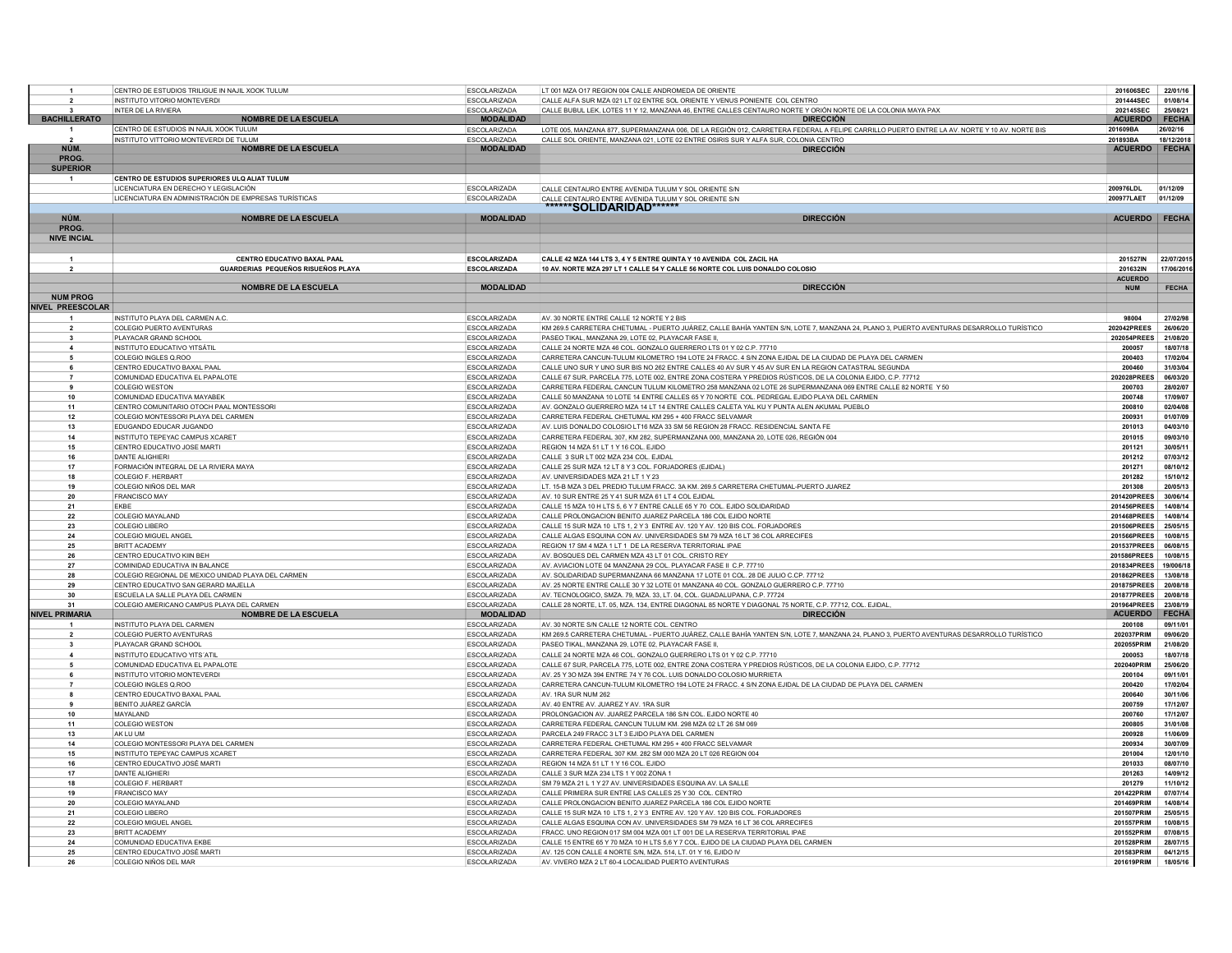| $\overline{1}$              | CENTRO DE ESTUDIOS TRILIGUE IN NAJIL XOOK TULUM                                                | <b>ESCOLARIZADA</b>                        | LT 001 MZA O17 REGION 004 CALLE ANDROMEDA DE ORIENTE                                                                                                                                   | 201606SEC                     | 22/01/16             |
|-----------------------------|------------------------------------------------------------------------------------------------|--------------------------------------------|----------------------------------------------------------------------------------------------------------------------------------------------------------------------------------------|-------------------------------|----------------------|
| $\overline{2}$              | INSTITUTO VITORIO MONTEVERDI                                                                   | <b>ESCOLARIZADA</b>                        | CALLE ALFA SUR MZA 021 LT 02 ENTRE SOL ORIENTE Y VENUS PONIENTE COL CENTRO                                                                                                             | 201444SEC                     | 01/08/14             |
| $\mathbf{a}$                | INTER DE LA RIVIERA                                                                            | <b>FSCOLARIZADA</b>                        | CALLE BUBULLEK LOTES 11 Y 12 MANZANA 46 ENTRE CALLES CENTAURO NORTE Y ORIÓN NORTE DE LA COLONIA MAYA PAX                                                                               | 202145SEC                     | 25/08/21             |
| <b>BACHILLERATO</b>         | <b>NOMBRE DE LA ESCUELA</b>                                                                    | <b>MODALIDAD</b>                           | <b>DIRECCIÓN</b>                                                                                                                                                                       | <b>ACUERDO</b>                | FECHA                |
|                             | CENTRO DE ESTUDIOS IN NAJIL XOOK TULUM                                                         | <b>ESCOLARIZADA</b>                        | LOTE 005, MANZANA 877, SUPERMANZANA 006, DE LA REGIÓN 012, CARRETERA FEDERAL A FELIPE CARRILLO PUERTO ENTRE LA AV. NORTE Y 10 AV. NORTE BIS                                            | 201609BA                      | 26/02/16             |
| $\overline{\phantom{a}}$    | INSTITUTO VITTORIO MONTEVERDI DE TULUM                                                         | ESCOLARIZADA                               | CALLE SOL ORIENTE, MANZANA 021, LOTE 02 ENTRE OSIRIS SUR Y ALFA SUR, COLONIA CENTRO                                                                                                    | 201893BA                      | 18/12/2018           |
| NÚM.                        | <b>NOMBRE DE LA ESCUELA</b>                                                                    | <b>MODALIDAD</b>                           | <b>DIRECCIÓN</b>                                                                                                                                                                       | ACUERDO FECHA                 |                      |
| PROG.                       |                                                                                                |                                            |                                                                                                                                                                                        |                               |                      |
| <b>SUPERIOR</b>             |                                                                                                |                                            |                                                                                                                                                                                        |                               |                      |
| $\mathbf{1}$                | CENTRO DE ESTUDIOS SUPERIORES ULO ALIAT TULUM                                                  |                                            |                                                                                                                                                                                        |                               |                      |
|                             | LICENCIATURA EN DERECHO Y LEGISLACIÓN<br>LICENCIATURA EN ADMINISTRACIÓN DE EMPRESAS TURÍSTICAS | <b>ESCOLARIZADA</b><br><b>ESCOLARIZADA</b> | CALLE CENTAURO ENTRE AVENIDA TULUM Y SOL ORIENTE S/N                                                                                                                                   | 200976LDL<br>200977LAET       | 01/12/09<br>01/12/09 |
|                             |                                                                                                |                                            | CALLE CENTAURO ENTRE AVENIDA TULUM Y SOL ORIENTE S/N<br>******SOLIDARIDAD******                                                                                                        |                               |                      |
| NÚM.                        | <b>NOMBRE DE LA ESCUELA</b>                                                                    | <b>MODALIDAD</b>                           | <b>DIRECCIÓN</b>                                                                                                                                                                       | <b>ACUERDO</b>                | <b>FECHA</b>         |
| PROG.                       |                                                                                                |                                            |                                                                                                                                                                                        |                               |                      |
| <b>NIVE INCIAL</b>          |                                                                                                |                                            |                                                                                                                                                                                        |                               |                      |
|                             |                                                                                                |                                            |                                                                                                                                                                                        |                               |                      |
| $\overline{1}$              | CENTRO EDUCATIVO BAXAL PAAL                                                                    | <b>ESCOLARIZADA</b>                        | CALLE 42 MZA 144 LTS 3, 4 Y 5 ENTRE QUINTA Y 10 AVENIDA COL ZACIL HA                                                                                                                   | 201527IN                      | 22/07/201            |
| $\overline{2}$              | GUARDERIAS PEQUEÑOS RISUEÑOS PLAYA                                                             | <b>ESCOLARIZADA</b>                        | 10 AV. NORTE MZA 297 LT 1 CALLE 54 Y CALLE 56 NORTE COL LUIS DONALDO COLOSIO                                                                                                           | 201632IN                      | 17/06/201            |
|                             |                                                                                                |                                            |                                                                                                                                                                                        | <b>ACUERDO</b>                |                      |
|                             | <b>NOMBRE DE LA ESCUELA</b>                                                                    | <b>MODALIDAD</b>                           | <b>DIRECCIÓN</b>                                                                                                                                                                       | <b>NUM</b>                    | <b>FECHA</b>         |
| <b>NUM PROG</b>             |                                                                                                |                                            |                                                                                                                                                                                        |                               |                      |
| <b>NIVEL PREESCOLAR</b>     |                                                                                                |                                            |                                                                                                                                                                                        |                               |                      |
|                             | INSTITUTO PLAYA DEL CARMEN A.C.                                                                | <b>ESCOLARIZADA</b>                        | AV. 30 NORTE ENTRE CALLE 12 NORTE Y 2 BIS                                                                                                                                              | 98004                         | 27/02/98             |
| $\overline{2}$              | <b>COLEGIO PUERTO AVENTURAS</b>                                                                | <b>ESCOLARIZADA</b>                        | KM 269.5 CARRETERA CHETUMAL - PUERTO JUÁREZ, CALLE BAHÍA YANTEN S/N, LOTE 7, MANZANA 24, PLANO 3, PUERTO AVENTURAS DESARROLLO TURÍSTICO                                                | 202042PREES                   | 26/06/20             |
| 3                           | PLAYACAR GRAND SCHOOL                                                                          | <b>ESCOLARIZADA</b>                        | PASEO TIKAL, MANZANA 29, LOTE 02, PLAYACAR FASE II                                                                                                                                     | 202054PREES                   | 21/08/20             |
| $\overline{\mathbf{4}}$     | INSTITUTO EDUCATIVO YITSÁTIL                                                                   | <b>ESCOLARIZADA</b>                        | CALLE 24 NORTE MZA 46 COL. GONZALO GUERRERO LTS 01 Y 02 C.P. 77710                                                                                                                     | 200057                        | 18/07/18             |
| 5                           | COLEGIO INGLES Q.ROO                                                                           | <b>ESCOLARIZADA</b>                        | CARRETERA CANCUN-TULUM KILOMETRO 194 LOTE 24 FRACC. 4 S/N ZONA EJIDAL DE LA CIUDAD DE PLAYA DEL CARMEN                                                                                 | 200403                        | 17/02/04             |
| 6                           | CENTRO EDUCATIVO BAXAL PAAL                                                                    | ESCOLARIZADA                               | CALLE UNO SUR Y UNO SUR BIS NO 262 ENTRE CALLES 40 AV SUR Y 45 AV SUR EN LA REGION CATASTRAL SEGUNDA                                                                                   | 200460                        | 31/03/04             |
| $\overline{7}$              | COMUNIDAD EDUCATIVA EL PAPALOTE                                                                | <b>FSCOLARIZADA</b>                        | CALLE 67 SUR, PARCELA 775 LOTE 002 ENTRE ZONA COSTERA Y PREDIOS RÚSTICOS, DE LA COLONIA EJIDO, C.P. 77712                                                                              | 202028PREES                   | 06/03/20             |
|                             | COLEGIO WESTON                                                                                 | <b>ESCOLARIZADA</b>                        | CARRETERA FEDERAL CANCUN TULUM KILOMETRO 258 MANZANA 02 LOTE 26 SUPERMANZANA 069 ENTRE CALLE 82 NORTE Y 50                                                                             | 200703                        | 28/02/07             |
| 10                          | COMUNIDAD EDUCATIVA MAYABEK                                                                    | <b>ESCOLARIZADA</b>                        | CALLE 50 MANZANA 10 LOTE 14 ENTRE CALLES 65 Y 70 NORTE COL. PEDREGAL EJIDO PLAYA DEL CARMEN                                                                                            | 200748                        | 17/09/07             |
| 11                          | CENTRO COMUNITARIO OTOCH PAAL MONTESSORI                                                       | <b>ESCOLARIZADA</b>                        | AV. GONZALO GUERRERO MZA 14 LT 14 ENTRE CALLES CALETA YAL KU Y PUNTA ALEN AKUMAL PUEBLO                                                                                                | 200810                        | 02/04/08             |
| 12                          | COLEGIO MONTESSORI PLAYA DEL CARMEN                                                            | <b>ESCOLARIZADA</b>                        | CARRETERA FEDERAL CHETUMAL KM 295 + 400 FRACC SELVAMAR                                                                                                                                 | 200931                        | 01/07/09             |
| 13                          | EDUGANDO EDUCAR JUGANDO                                                                        | <b>ESCOLARIZADA</b>                        | AV. LUIS DONALDO COLOSIO LT16 MZA 33 SM 56 REGION 28 FRACC. RESIDENCIAL SANTA FE                                                                                                       | 201013                        | 04/03/10             |
| 14                          | INSTITUTO TEPEYAC CAMPUS XCARET                                                                | <b>ESCOLARIZADA</b>                        | CARRETERA FEDERAL 307, KM 282, SUPERMANZANA 000, MANZANA 20, LOTE 026, REGIÓN 004                                                                                                      | 201015                        | 09/03/10             |
| 15                          | CENTRO EDUCATIVO JOSE MARTI                                                                    | <b>ESCOLARIZADA</b>                        | REGION 14 MZA 51 LT 1 Y 16 COL. EJIDO                                                                                                                                                  | 201121                        | 30/05/11             |
| 16                          | <b>DANTE ALIGHIERI</b>                                                                         | <b>ESCOLARIZADA</b>                        | CALLE 3 SUR LT 002 MZA 234 COL. EJIDAL                                                                                                                                                 | 201212                        | 07/03/12             |
| 17                          | FORMACIÓN INTEGRAL DE LA RIVIERA MAYA                                                          | <b>ESCOLARIZADA</b>                        | CALLE 25 SUR MZA 12 LT 8 Y 3 COL. FORJADORES (EJIDAL)                                                                                                                                  | 201271                        | 08/10/12             |
| 18                          | COLEGIO F. HERBART                                                                             | <b>ESCOLARIZADA</b>                        | AV. UNIVERSIDADES MZA 21 LT 1 Y 23                                                                                                                                                     | 201282                        | 15/10/12             |
| 19                          | COLEGIO NIÑOS DEL MAR                                                                          | ESCOLARIZADA                               | LT. 15-B MZA 3 DEL PREDIO TULUM FRACC. 3A KM. 269.5 CARRETERA CHETUMAL-PUERTO JUAREZ                                                                                                   | 201308                        | 20/05/13             |
| 20                          | <b>FRANCISCO MAY</b>                                                                           | <b>ESCOLARIZADA</b>                        | AV. 10 SUR ENTRE 25 Y 41 SUR MZA 61 LT 4 COL EJIDAL                                                                                                                                    | 201420PREES                   | 30/06/14             |
| 21                          | EKBE                                                                                           | <b>ESCOLARIZADA</b>                        | CALLE 15 MZA 10 H LTS 5, 6 Y 7 ENTRE CALLE 65 Y 70 COL. EJIDO SOLIDARIDAD                                                                                                              | 201456PREES                   | 14/08/14             |
| 22                          | COLEGIO MAYALAND                                                                               | <b>ESCOLARIZADA</b>                        | CALLE PROLONGACION BENITO JUAREZ PARCELA 186 COL EJIDO NORTE                                                                                                                           | 201468PREES                   | 14/08/14             |
| 23                          | <b>COLEGIO LIBERO</b>                                                                          | <b>ESCOLARIZADA</b>                        | CALLE 15 SUR MZA 10 LTS 1, 2 Y 3 ENTRE AV. 120 Y AV. 120 BIS COL. FORJADORES                                                                                                           | 201506PREES                   | 25/05/15             |
| 24                          | COLEGIO MIGUEL ANGEL                                                                           | <b>ESCOLARIZADA</b>                        | CALLE ALGAS ESQUINA CON AV. UNIVERSIDADES SM 79 MZA 16 LT 36 COL ARRECIFES                                                                                                             | 201566PREES                   | 10/08/15             |
| 25                          | <b>BRITT ACADEMY</b>                                                                           | <b>ESCOLARIZADA</b>                        | REGION 17 SM 4 MZA 1 LT 1 DE LA RESERVA TERRITORIAL IPAE                                                                                                                               | 201537PREES                   | 06/08/15             |
| 26                          | CENTRO EDUCATIVO KIIN BEH                                                                      | <b>ESCOLARIZADA</b>                        | AV. BOSQUES DEL CARMEN MZA 43 LT 01 COL. CRISTO REY                                                                                                                                    | 201586PREES                   | 10/08/15             |
| 27                          | COMINIDAD EDUCATIVA IN BALANCE                                                                 | ESCOLARIZADA                               | AV. AVIACION LOTE 04 MANZANA 29 COL. PLAYACAR FASE II C.P. 77710                                                                                                                       | 201834PREES                   | 19/006/1             |
| 28                          | COLEGIO REGIONAL DE MEXICO UNIDAD PLAYA DEL CARMEN                                             | <b>ESCOLARIZADA</b>                        | AV. SOLIDARIDAD SUPERMANZANA 66 MANZANA 17 LOTE 01 COL. 28 DE JULIO C.CP. 77712                                                                                                        | 201862PREES                   | 13/08/18             |
| 29                          | CENTRO EDUCATIVO SAN GERARD MAJELLA                                                            | <b>ESCOLARIZADA</b>                        | AV. 25 NORTE ENTRE CALLE 30 Y 32 LOTE 01 MANZANA 40 COL. GONZALO GUERRERO C.P. 77710                                                                                                   | 201875PREES                   | 20/08/18             |
| 30                          | ESCUELA LA SALLE PLAYA DEL CARMEN                                                              | <b>ESCOLARIZADA</b>                        | AV. TECNOLOGICO, SMZA, 79, MZA, 33, LT, 04, COL, GUADALUPANA, C.P. 77724                                                                                                               | 201877PREES                   | 20/08/18             |
| 31<br><b>NIVEL PRIMARIA</b> | COLEGIO AMERICANO CAMPUS PLAYA DEL CARMEN<br><b>NOMBRE DE LA ESCUELA</b>                       | <b>ESCOLARIZADA</b><br><b>MODALIDAD</b>    | CALLE 28 NORTE, LT. 05, MZA. 134, ENTRE DIAGONAL 85 NORTE Y DIAGONAL 75 NORTE, C.P. 77712, COL. EJIDAL<br><b>DIRECCIÓN</b>                                                             | 201964PREES<br><b>ACUERDO</b> | 23/08/19<br>FECHA    |
|                             |                                                                                                |                                            |                                                                                                                                                                                        |                               |                      |
| $\overline{2}$              | INSTITUTO PLAYA DEL CARMEN<br>COLEGIO PUERTO AVENTURAS                                         | <b>ESCOLARIZADA</b><br><b>ESCOLARIZADA</b> | AV. 30 NORTE S/N CALLE 12 NORTE COL. CENTRO<br>KM 269.5 CARRETERA CHETUMAL - PUERTO JUÁREZ, CALLE BAHÍA YANTEN S/N, LOTE 7, MANZANA 24, PLANO 3, PUERTO AVENTURAS DESARROLLO TURÍSTICO | 200108<br>202037PRIM          | 09/11/01<br>09/06/20 |
| $\overline{3}$              | PLAYACAR GRAND SCHOOL                                                                          | <b>ESCOLARIZADA</b>                        | PASEO TIKAL, MANZANA 29, LOTE 02, PLAYACAR FASE II                                                                                                                                     | 202055PRIM                    | 21/08/20             |
| $\overline{4}$              | INSTITUTO EDUCATIVO YITS'ATIL                                                                  | <b>ESCOLARIZADA</b>                        | CALLE 24 NORTE MZA 46 COL. GONZALO GUERRERO LTS 01 Y 02 C.P. 77710                                                                                                                     | 200053                        | 18/07/18             |
| -5                          | COMUNIDAD EDUCATIVA EL PAPALOTE                                                                | <b>ESCOLARIZADA</b>                        | CALLE 67 SUR, PARCELA 775, LOTE 002, ENTRE ZONA COSTERA Y PREDIOS RÚSTICOS, DE LA COLONIA EJIDO, C.P. 77712                                                                            | 202040PRIM                    | 25/06/20             |
| -6                          | INSTITUTO VITORIO MONTEVERDI                                                                   | <b>ESCOLARIZADA</b>                        | AV, 25 Y 30 MZA 394 ENTRE 74 Y 76 COL, LUIS DONALDO COLOSIO MURRIETA                                                                                                                   | 200104                        | 09/11/01             |
| $\overline{7}$              | COLEGIO INGLES Q.ROO                                                                           | <b>ESCOLARIZADA</b>                        | CARRETERA CANCUN-TULUM KILOMETRO 194 LOTE 24 FRACC. 4 S/N ZONA EJIDAL DE LA CIUDAD DE PLAYA DEL CARMEN                                                                                 | 200420                        | 17/02/04             |
|                             | CENTRO EDUCATIVO BAXAL PAAL                                                                    | <b>ESCOLARIZADA</b>                        | AV. 1RA SUR NUM 262                                                                                                                                                                    | 200640                        | 30/11/06             |
| 9                           | BENITO JUÁREZ GARCÍA                                                                           | <b>ESCOLARIZADA</b>                        | AV. 40 ENTRE AV. JUAREZ Y AV. 1RA SUR                                                                                                                                                  | 200759                        | 17/12/07             |
| 10                          | MAYAI AND                                                                                      | <b>ESCOLARIZADA</b>                        | PROLONGACION AV. JUAREZ PARCELA 186 S/N COL. EJIDO NORTE 40                                                                                                                            | 200760                        | 17/12/07             |
| 11                          | COLEGIO WESTON                                                                                 | <b>ESCOLARIZADA</b>                        | CARRETERA FEDERAL CANCUN TULUM KM. 298 MZA 02 LT 26 SM 069                                                                                                                             | 200805                        | 31/01/08             |
| 13                          | AK LU UM                                                                                       | ESCOLARIZADA                               | PARCELA 249 FRACC 3 LT 3 EJIDO PLAYA DEL CARMEN                                                                                                                                        | 200928                        | 11/06/09             |
| 14                          | COLEGIO MONTESSORI PLAYA DEL CARMEN                                                            | <b>ESCOLARIZADA</b>                        | CARRETERA FEDERAL CHETUMAL KM 295 + 400 FRACC SELVAMAR                                                                                                                                 | 200934                        | 30/07/09             |
| 15                          | INSTITUTO TEPEYAC CAMPUS XCARET                                                                | <b>ESCOLARIZADA</b>                        | CARRETERA FEDERAL 307 KM. 282 SM 000 MZA 20 LT 026 REGION 004                                                                                                                          | 201004                        | 12/01/10             |
| 16                          | CENTRO EDUCATIVO JOSÉ MARTI                                                                    | <b>ESCOLARIZADA</b>                        | REGION 14 MZA 51 LT 1 Y 16 COL. EJIDO                                                                                                                                                  | 201033                        | 08/07/10             |
| 17                          | <b>DANTE ALIGHIERI</b>                                                                         | <b>ESCOLARIZADA</b>                        | CALLE 3 SUR MZA 234 LTS 1 Y 002 ZONA 1                                                                                                                                                 | 201263                        | 14/09/12             |
| 18                          | COLEGIO F. HERBART                                                                             | <b>ESCOLARIZADA</b>                        | SM 79 MZA 21 L 1 Y 27 AV. UNIVERSIDADES ESQUINA AV. LA SALLE                                                                                                                           | 201279                        | 11/10/12             |
| 19                          | FRANCISCO MAY                                                                                  | ESCOLARIZADA                               | CALLE PRIMERA SUR ENTRE LAS CALLES 25 Y 30 COL. CENTRO                                                                                                                                 | 201422PRIM                    | 07/07/14             |
| 20                          | COLEGIO MAYALAND                                                                               | <b>ESCOLARIZADA</b>                        | CALLE PROLONGACION BENITO JUAREZ PARCELA 186 COL EJIDO NORTE                                                                                                                           | 201469PRIM                    | 14/08/14             |
| 21                          | COLEGIO LIBERO                                                                                 | <b>ESCOLARIZADA</b>                        | CALLE 15 SUR MZA 10 LTS 1, 2 Y 3 ENTRE AV, 120 Y AV, 120 BIS COL, FORJADORES                                                                                                           | 201507PRIM                    | 25/05/15             |
| 22                          | COLEGIO MIGUEL ANGEL                                                                           | <b>ESCOLARIZADA</b>                        | CALLE ALGAS ESQUINA CON AV. UNIVERSIDADES SM 79 MZA 16 LT 36 COL ARRECIFES                                                                                                             | 201557PRIM                    | 10/08/15             |
| 23                          | <b>BRITT ACADEMY</b>                                                                           | <b>ESCOLARIZADA</b>                        | FRACC. UNO REGION 017 SM 004 MZA 001 LT 001 DE LA RESERVA TERRITORIAL IPAE                                                                                                             | 201552PRIM                    | 07/08/15             |
| 24                          | COMUNIDAD EDUCATIVA EKBE                                                                       | <b>ESCOLARIZADA</b>                        | CALLE 15 ENTRE 65 Y 70 MZA 10 H LTS 5,6 Y 7 COL. EJIDO DE LA CIUDAD PLAYA DEL CARMEN                                                                                                   | 201528PRIM                    | 28/07/15             |
| 25                          | CENTRO EDUCATIVO JOSÉ MARTI                                                                    | <b>ESCOLARIZADA</b>                        | AV. 125 CON CALLE 4 NORTE S/N, MZA. 514, LT. 01 Y 16, EJIDO IV                                                                                                                         | 201583PRIM                    | 04/12/15             |
| 26                          | COLEGIO NIÑOS DEL MAR                                                                          | <b>ESCOLARIZADA</b>                        | AV. VIVERO MZA 2 LT 60-4 LOCALIDAD PUERTO AVENTURAS                                                                                                                                    | 201619PRIM                    | 18/05/16             |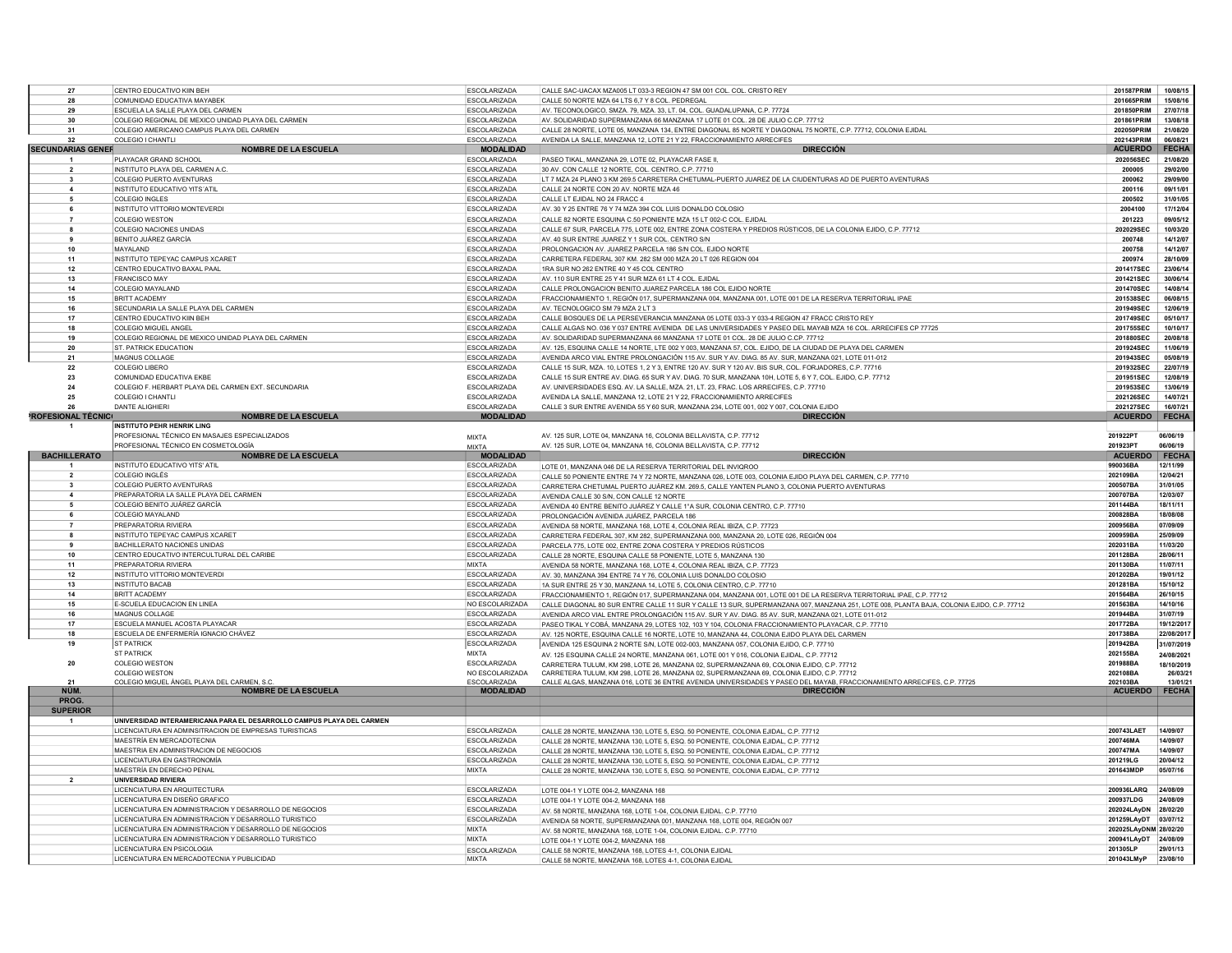| 27                             | CENTRO EDUCATIVO KIIN BEH                                                | <b>ESCOLARIZADA</b>                        | CALLE SAC-UACAX MZA005 LT 033-3 REGION 47 SM 001 COL, COL, CRISTO REY                                                                    | 201587PRIM                  | 10/08/15                |
|--------------------------------|--------------------------------------------------------------------------|--------------------------------------------|------------------------------------------------------------------------------------------------------------------------------------------|-----------------------------|-------------------------|
| 28                             | COMUNIDAD EDUCATIVA MAYABEI                                              | ESCOLARIZADA                               | CALLE 50 NORTE MZA 64 LTS 6,7 Y 8 COL. PEDREGAL                                                                                          | 201665PRIM                  | 15/08/16                |
| 29                             | ESCUELA LA SALLE PLAYA DEL CARMEN                                        | <b>ESCOLARIZADA</b>                        | AV. TECONOLOGICO, SMZA, 79, MZA, 33, LT, 04, COL, GUADALUPANA, C.P. 77724                                                                | 201850PRIM                  | 27/07/18                |
| 30                             | COLEGIO REGIONAL DE MEXICO UNIDAD PLAYA DEL CARMEN                       | <b>ESCOLARIZADA</b>                        | AV. SOLIDARIDAD SUPERMANZANA 66 MANZANA 17 LOTE 01 COL. 28 DE JULIO C.CP. 77712                                                          | 201861PRIM                  | 13/08/18                |
| 31                             | COLEGIO AMERICANO CAMPUS PLAYA DEL CARMEN                                | <b>ESCOLARIZADA</b>                        | CALLE 28 NORTE, LOTE 05, MANZANA 134, ENTRE DIAGONAL 85 NORTE Y DIAGONAL 75 NORTE, C.P. 77712, COLONIA EJIDAL                            | 202050PRIM                  | 21/08/20                |
| 32                             | COLEGIO I CHANTL                                                         | <b>ESCOLARIZADA</b>                        | AVENIDA LA SALLE, MANZANA 12, LOTE 21 Y 22, FRACCIONAMIENTO ARRECIFES                                                                    | 202143PRIM                  | 06/08/21                |
| <b>SECUNDARIAS GENER</b>       | <b>NOMBRE DE LA ESCUELA</b>                                              | <b>MODALIDAD</b>                           | <b>DIRECCIÓN</b>                                                                                                                         | <b>ACUERDO</b>              | <b>FECHA</b>            |
| $\mathbf{1}$                   | PLAYACAR GRAND SCHOOL                                                    | ESCOLARIZADA                               | PASEO TIKAL, MANZANA 29, LOTE 02, PLAYACAR FASE II                                                                                       | 202056SEC                   | 21/08/20                |
|                                |                                                                          |                                            |                                                                                                                                          |                             |                         |
| $\overline{2}$                 | INSTITUTO PLAYA DEL CARMEN A.C.                                          | <b>ESCOLARIZADA</b>                        | 30 AV, CON CALLE 12 NORTE, COL, CENTRO, C.P. 77710                                                                                       | 200005                      | 29/02/00                |
| $\mathbf{3}$                   | COLEGIO PUERTO AVENTURAS                                                 | <b>FSCOLARIZADA</b>                        | LT 7 MZA 24 PLANO 3 KM 269 5 CARRETERA CHETUMAL-PUERTO JUAREZ DE LA CIUDENTURAS AD DE PUERTO AVENTURAS                                   | 200062                      | 29/09/00                |
|                                | INSTITUTO EDUCATIVO YITS'ATIL                                            | <b>ESCOLARIZADA</b>                        | CALLE 24 NORTE CON 20 AV. NORTE MZA 46                                                                                                   | 200116                      | 09/11/01                |
|                                | COLEGIO INGLES                                                           | ESCOLARIZADA                               | CALLE LT EJIDAL NO 24 FRACC 4                                                                                                            | 200502                      | 31/01/05                |
|                                | INSTITUTO VITTORIO MONTEVERDI                                            | <b>ESCOLARIZADA</b>                        | AV. 30 Y 25 ENTRE 76 Y 74 MZA 394 COL LUIS DONALDO COLOSIC                                                                               | 2004100                     | 17/12/04                |
| 7                              | <b>COLEGIO WESTON</b>                                                    | <b>ESCOLARIZADA</b>                        | CALLE 82 NORTE ESQUINA C.50 PONIENTE MZA 15 LT 002-C COL. EJIDAL                                                                         | 201223                      | 09/05/12                |
| 8                              | <b>COLEGIO NACIONES UNIDAS</b>                                           | <b>ESCOLARIZADA</b>                        | CALLE 67 SUR, PARCELA 775, LOTE 002, ENTRE ZONA COSTERA Y PREDIOS RÚSTICOS, DE LA COLONIA EJIDO, C.P. 77712                              | 202029SEC                   | 10/03/20                |
| 9                              | BENITO JUÁREZ GARCÍA                                                     | <b>ESCOLARIZADA</b>                        | AV. 40 SUR ENTRE JUAREZ Y 1 SUR COL. CENTRO S/N                                                                                          | 200748                      | 14/12/07                |
| 10                             | MAYALAND                                                                 | <b>ESCOLARIZADA</b>                        | PROLONGACION AV. JUAREZ PARCELA 186 S/N COL. EJIDO NORTE                                                                                 | 200758                      | 14/12/07                |
| 11                             | INSTITUTO TEPEYAC CAMPUS XCARET                                          | ESCOLARIZADA                               | CARRETERA FEDERAL 307 KM, 282 SM 000 MZA 20 LT 026 REGION 004                                                                            | 200974                      | 28/10/09                |
| 12                             | CENTRO EDUCATIVO BAXAL PAAL                                              | <b>ESCOLARIZADA</b>                        | 1RA SUR NO 262 ENTRE 40 Y 45 COL CENTRO                                                                                                  | 201417SEC                   | 23/06/14                |
|                                |                                                                          |                                            |                                                                                                                                          |                             | 30/06/14                |
| 13                             | <b>FRANCISCO MAY</b>                                                     | <b>ESCOLARIZADA</b>                        | AV. 110 SUR ENTRE 25 Y 41 SUR MZA 61 LT 4 COL. EJIDAL                                                                                    | 201421SEC                   | 14/08/14                |
| 14                             | COLEGIO MAYALAND                                                         | <b>ESCOLARIZADA</b>                        | CALLE PROLONGACION BENITO JUAREZ PARCELA 186 COL EJIDO NORTE                                                                             | 201470SEC                   |                         |
| 15                             | <b>BRITT ACADEMY</b>                                                     | <b>ESCOLARIZADA</b>                        | FRACCIONAMIENTO 1, REGIÓN 017, SUPERMANZANA 004, MANZANA 001, LOTE 001 DE LA RESERVA TERRITORIAL IPAE                                    | 201538SEC                   | 06/08/15                |
| 16                             | SECUNDARIA LA SALLE PLAYA DEL CARMEN                                     | ESCOLARIZADA                               | AV. TECNOLOGICO SM 79 MZA 2 LT 3                                                                                                         | 201949SEC                   | 12/06/19                |
| 17                             | CENTRO EDUCATIVO KIIN BEH                                                | <b>ESCOLARIZADA</b>                        | CALLE BOSQUES DE LA PERSEVERANCIA MANZANA 05 LOTE 033-3 Y 033-4 REGION 47 FRACC CRISTO REY                                               | 201749SEC                   | 05/10/17                |
| 18                             | COLEGIO MIGUEL ANGEI                                                     | <b>ESCOLARIZADA</b>                        | CALLE ALGAS NO. 036 Y 037 ENTRE AVENIDA DE LAS UNIVERSIDADES Y PASEO DEL MAYAB MZA 16 COL. ARRECIFES CP 77725                            | 201755SEC                   | 10/10/17                |
| 19                             | COLEGIO REGIONAL DE MEXICO UNIDAD PLAYA DEL CARMEN                       | ESCOLARIZADA                               | AV. SOLIDARIDAD SUPERMANZANA 66 MANZANA 17 LOTE 01 COL, 28 DE JULIO C.CP. 77712                                                          | 201880SEC                   | 20/08/18                |
| 20                             | <b>ST. PATRICK EDUCATION</b>                                             | <b>ESCOLARIZADA</b>                        | AV. 125. ESQUINA CALLE 14 NORTE. LTE 002 Y 003. MANZANA 57, COL. EJIDO. DE LA CIUDAD DE PLAYA DEL CARMEN                                 | 201924SEC                   | 11/06/19                |
| 21                             | MAGNUS COLLAGE                                                           | ESCOLARIZADA                               | AVENIDA ARCO VIAL ENTRE PROLONGACIÓN 115 AV. SUR Y AV. DIAG. 85 AV. SUR, MANZANA 021, LOTE 011-012                                       | 201943SEC                   | 05/08/19                |
| 22                             | COLEGIO LIBERO                                                           | ESCOLARIZADA                               | CALLE 15 SUR, MZA. 10, LOTES 1, 2 Y 3, ENTRE 120 AV. SUR Y 120 AV. BIS SUR, COL. FORJADORES, C.P. 77716                                  | 201932SEC                   | 22/07/19                |
| 23                             | COMUNIDAD EDUCATIVA EKBE                                                 | ESCOLARIZADA                               | CALLE 15 SUR ENTRE AV. DIAG. 65 SUR Y AV. DIAG. 70 SUR, MANZANA 10H, LOTE 5, 6 Y 7, COL. EJIDO, C.P. 77712                               | 201951SEC                   | 12/08/19                |
| 24                             | COLEGIO F. HERBART PLAYA DEL CARMEN EXT. SECUNDARIA                      | <b>ESCOLARIZADA</b>                        | AV. UNIVERSIDADES ESQ. AV. LA SALLE, MZA, 21, LT, 23, FRAC, LOS ARRECIFES, C.P. 77710                                                    | 201953SEC                   | 13/06/19                |
| 25                             |                                                                          |                                            |                                                                                                                                          |                             | 14/07/21                |
|                                | COLEGIO I CHANTLI                                                        | <b>ESCOLARIZADA</b>                        | AVENIDA LA SALLE, MANZANA 12, LOTE 21 Y 22, FRACCIONAMIENTO ARRECIFES                                                                    | 202126SEC                   |                         |
| 26<br><b>ROFESIONAL TÉCNIC</b> | <b>DANTE ALIGHIERI</b>                                                   | <b>ESCOLARIZADA</b><br><b>MODALIDAD</b>    | CALLE 3 SUR ENTRE AVENIDA 55 Y 60 SUR, MANZANA 234, LOTE 001, 002 Y 007, COLONIA EJIDO<br><b>DIRECCIÓN</b>                               | 202127SEC<br><b>ACUERDO</b> | 16/07/2<br><b>FECHA</b> |
|                                | <b>NOMBRE DE LA ESCUELA</b>                                              |                                            |                                                                                                                                          |                             |                         |
|                                | <b>INSTITUTO PEHR HENRIK LING</b>                                        |                                            |                                                                                                                                          |                             |                         |
|                                | PROFESIONAL TÉCNICO EN MASAJES ESPECIALIZADOS                            | <b>MIXTA</b>                               | AV. 125 SUR. LOTE 04. MANZANA 16. COLONIA BELLAVISTA, C.P. 77712                                                                         | 201922P1                    | 06/06/19                |
|                                | PROFESIONAL TÉCNICO EN COSMETOLOGÍA                                      | <b>MIXTA</b>                               | AV. 125 SUR. LOTE 04. MANZANA 16. COLONIA BELLAVISTA, C.P. 77712                                                                         | 201923PT                    | 06/06/19                |
| <b>BACHILLERATO</b>            | <b>NOMBRE DE LA ESCUELA</b>                                              | <b>MODALIDAD</b>                           | <b>DIRECCIÓN</b>                                                                                                                         | ACUERDO   FECHA             |                         |
|                                | INSTITUTO EDUCATIVO YITS' ATIL                                           | <b>FSCOLARIZADA</b>                        | LOTE 01, MANZANA 046 DE LA RESERVA TERRITORIAL DEL INVIQROO                                                                              | 990036BA                    | 12/11/99                |
| $\overline{2}$                 | COLEGIO INGLÉS                                                           | <b>ESCOLARIZADA</b>                        | CALLE 50 PONIENTE ENTRE 74 Y 72 NORTE, MANZANA 026, LOTE 003, COLONIA EJIDO PLAYA DEL CARMEN, C.P. 77710                                 | 202109BA                    | 12/04/21                |
| $\overline{\mathbf{3}}$        | COLEGIO PUERTO AVENTURAS                                                 | <b>ESCOLARIZADA</b>                        | CARRETERA CHETUMAL PUERTO JUÁREZ KM. 269.5, CALLE YANTEN PLANO 3, COLONIA PUERTO AVENTURAS                                               | 200507BA                    | 31/01/05                |
| $\overline{a}$                 | PREPARATORIA LA SALLE PLAYA DEL CARMEN                                   | <b>ESCOLARIZADA</b>                        | AVENIDA CALLE 30 S/N, CON CALLE 12 NORTE                                                                                                 | 200707BA                    | 12/03/07                |
| 5                              | COLEGIO BENITO JUÁREZ GARCÍA                                             | <b>ESCOLARIZADA</b>                        | AVENIDA 40 ENTRE BENITO JUÁREZ Y CALLE 1°A SUR, COLONIA CENTRO, C.P. 77710                                                               | 201144BA                    | 18/11/11                |
| 6                              | <b>COLEGIO MAYALAND</b>                                                  | ESCOLARIZADA                               | PROLONGACIÓN AVENIDA JUÁREZ, PARCELA 186                                                                                                 | 200828BA                    | 18/08/08                |
| $\overline{7}$                 | PREPARATORIA RIVIERA                                                     | <b>ESCOLARIZADA</b>                        | AVENIDA 58 NORTE, MANZANA 168, LOTE 4, COLONIA REAL IBIZA, C.P. 77723                                                                    | 200956BA                    | 07/09/09                |
| 8                              | INSTITUTO TEPEYAC CAMPUS XCARET                                          | <b>ESCOLARIZADA</b>                        |                                                                                                                                          | 200959BA                    | 25/09/09                |
| 9                              |                                                                          |                                            | CARRETERA FEDERAL 307, KM 282, SUPERMANZANA 000, MANZANA 20, LOTE 026, REGIÓN 004                                                        | 202031BA                    | 11/03/20                |
|                                | BACHILLERATO NACIONES UNIDAS                                             | <b>ESCOLARIZADA</b>                        | PARCELA 775 LOTE 002 ENTRE ZONA COSTERA Y PREDIOS RÚSTICOS                                                                               |                             |                         |
| 10                             | CENTRO EDUCATIVO INTERCULTURAL DEL CARIBE                                | <b>ESCOLARIZADA</b>                        | CALLE 28 NORTE, ESQUINA CALLE 58 PONIENTE, LOTE 5, MANZANA 130                                                                           | 201128BA                    | 28/06/11                |
| 11                             | PREPARATORIA RIVIERA                                                     | <b>MIXTA</b>                               | AVENIDA 58 NORTE, MANZANA 168, LOTE 4, COLONIA REAL IBIZA, C.P. 77723                                                                    | 201130BA                    | 11/07/11                |
| 12                             | INSTITUTO VITTORIO MONTEVERDI                                            | <b>FSCOLARIZADA</b>                        | AV. 30, MANZANA 394 ENTRE 74 Y 76, COLONIA LUIS DONALDO COLOSIO                                                                          | 201202BA                    | 19/01/12                |
| 13                             | <b>INSTITUTO BACAB</b>                                                   | <b>ESCOLARIZADA</b>                        | 1A SUR ENTRE 25 Y 30, MANZANA 14, LOTE 5, COLONIA CENTRO, C.P. 77710                                                                     | 201281BA                    | 15/10/12                |
| 14                             | <b>BRITT ACADEMY</b>                                                     | ESCOLARIZADA                               | FRACCIONAMIENTO 1, REGIÓN 017, SUPERMANZANA 004, MANZANA 001, LOTE 001 DE LA RESERVA TERRITORIAL IPAE, C.P. 77712                        | 201564BA                    | 26/10/15                |
| 15                             | E-SCUELA EDUCACION EN LINEA                                              | NO ESCOLARIZADA                            | CALLE DIAGONAL 80 SUR ENTRE CALLE 11 SUR Y CALLE 13 SUR. SUPERMANZANA 007. MANZANA 251. LOTE 008. PLANTA BAJA, COLONIA EJIDO, C.P. 77712 | 201563BA                    | 14/10/16                |
| 16                             | MAGNUS COLLAGE                                                           |                                            |                                                                                                                                          |                             |                         |
| 17                             |                                                                          |                                            |                                                                                                                                          | 201944BA                    | 31/07/19                |
|                                | ESCUELA MANUEL ACOSTA PLAYACAR                                           | <b>ESCOLARIZADA</b>                        | AVENIDA ARCO VIAL ENTRE PROLONGACIÓN 115 AV. SUR Y AV. DIAG. 85 AV. SUR, MANZANA 021, LOTE 011-012                                       | 201772BA                    | 19/12/2011              |
| 18                             | ESCUELA DE ENFERMERÍA IGNACIO CHÁVEZ                                     | <b>ESCOLARIZADA</b><br><b>ESCOLARIZADA</b> | PASEO TIKAL Y COBÁ, MANZANA 29, LOTES 102, 103 Y 104, COLONIA FRACCIONAMIENTO PLAYACAR, C.P. 77710                                       | 201738BA                    | 22/08/201               |
|                                |                                                                          |                                            | AV. 125 NORTE. ESQUINA CALLE 16 NORTE. LOTE 10. MANZANA 44. COLONIA EJIDO PLAYA DEL CARMEN                                               |                             |                         |
| 19                             | <b>ST PATRICK</b>                                                        | ESCOLARIZADA                               | AVENIDA 125 ESQUINA 2 NORTE S/N. LOTE 002-003. MANZANA 057, COLONIA EJIDO, C.P. 77710                                                    | 201942BA                    | 31/07/2019              |
|                                | <b>ST PATRICK</b>                                                        | <b>MIXTA</b>                               | AV. 125 ESQUINA CALLE 24 NORTE, MANZANA 061, LOTE 001 Y 016, COLONIA EJIDAL, C.P. 77712                                                  | 202155BA                    | 24/08/202               |
| 20                             | <b>COLEGIO WESTON</b>                                                    | <b>ESCOLARIZADA</b>                        | CARRETERA TULUM, KM 298, LOTE 26, MANZANA 02, SUPERMANZANA 69, COLONIA EJIDO, C.P. 77712                                                 | 201988BA                    | 18/10/2019              |
|                                | <b>COLEGIO WESTON</b>                                                    | NO ESCOLARIZADA                            | CARRETERA TULUM. KM 298. LOTE 26. MANZANA 02. SUPERMANZANA 69. COLONIA EJIDO. C.P. 77712                                                 | 202108BA                    | 26/03/2                 |
| 21                             | COLEGIO MIGUEL ÁNGEL PLAYA DEL CARMEN, S.C                               | <b>ESCOLARIZADA</b>                        | CALLE ALGAS, MANZANA 016, LOTE 36 ENTRE AVENIDA UNIVERSIDADES Y PASEO DEL MAYAB, FRACCIONAMIENTO ARRECIFES, C.P. 77725                   | 202103BA                    | 13/01/2                 |
| NÚM.                           | <b>NOMBRE DE LA ESCUELA</b>                                              | <b>MODALIDAD</b>                           | <b>DIRECCIÓN</b>                                                                                                                         | <b>ACUERDO</b>              | <b>FECHA</b>            |
| PROG.                          |                                                                          |                                            |                                                                                                                                          |                             |                         |
| <b>SUPERIOR</b>                |                                                                          |                                            |                                                                                                                                          |                             |                         |
| $\mathbf{1}$                   | UNIVERSIDAD INTERAMERICANA PARA EL DESARROLLO CAMPUS PLAYA DEL CARMEN    |                                            |                                                                                                                                          |                             |                         |
|                                | LICENCIATURA EN ADMINSITRACION DE EMPRESAS TURISTICAS                    | <b>FSCOLARIZADA</b>                        | CALLE 28 NORTE, MANZANA 130, LOTE 5, ESQ. 50 PONIENTE, COLONIA EJIDAL, C.P. 77712                                                        | 200743LAET                  | 14/09/07                |
|                                | MAESTRÍA EN MERCADOTECNIA                                                | <b>ESCOLARIZADA</b>                        | CALLE 28 NORTE, MANZANA 130, LOTE 5, ESQ. 50 PONIENTE, COLONIA EJIDAL, C.P. 77712                                                        | 200746MA                    | 14/09/07                |
|                                | MAESTRIA EN ADMINISTRACION DE NEGOCIOS                                   | ESCOLARIZADA                               | CALLE 28 NORTE, MANZANA 130, LOTE 5, ESQ, 50 PONIENTE, COLONIA EJIDAL, C.P. 77712                                                        | 200747MA                    | 14/09/07                |
|                                | LICENCIATURA EN GASTRONOMÍA                                              | ESCOLARIZADA                               |                                                                                                                                          | 201219LG                    | 20/04/12                |
|                                | MAESTRÍA EN DERECHO PENAL                                                | <b>MIXTA</b>                               | CALLE 28 NORTE, MANZANA 130, LOTE 5, ESQ. 50 PONIENTE, COLONIA EJIDAL, C.P. 77712                                                        | 201643MDF                   | 05/07/16                |
| $\overline{2}$                 | <b>UNIVERSIDAD RIVIERA</b>                                               |                                            | CALLE 28 NORTE, MANZANA 130, LOTE 5, ESQ. 50 PONIENTE, COLONIA EJIDAL, C.P. 77712                                                        |                             |                         |
|                                |                                                                          |                                            |                                                                                                                                          |                             |                         |
|                                | LICENCIATURA EN ARQUITECTURA                                             | ESCOLARIZADA                               | LOTE 004-1 Y LOTE 004-2, MANZANA 168                                                                                                     | 200936LARQ                  | 24/08/09                |
|                                | LICENCIATURA EN DISEÑO GRAFICO                                           | <b>ESCOLARIZADA</b>                        | LOTE 004-1 Y LOTE 004-2, MANZANA 168                                                                                                     | 200937LDG                   | 24/08/09                |
|                                | LICENCIATURA EN ADMINISTRACION Y DESARROLLO DE NEGOCIOS                  | <b>ESCOLARIZADA</b>                        | AV. 58 NORTE, MANZANA 168, LOTE 1-04, COLONIA EJIDAL. C.P. 77710                                                                         | 202024LAvDN                 | 28/02/20                |
|                                | LICENCIATURA EN ADMINISTRACION Y DESARROLLO TURISTICO                    | <b>ESCOLARIZADA</b>                        | AVENIDA 58 NORTE, SUPERMANZANA 001, MANZANA 168, LOTE 004, REGIÓN 007                                                                    | 201259LAyDT                 | 03/07/12                |
|                                | LICENCIATURA EN ADMINISTRACION Y DESARROLLO DE NEGOCIOS                  | <b>MIXTA</b>                               | AV. 58 NORTE, MANZANA 168, LOTE 1-04, COLONIA EJIDAL. C.P. 77710                                                                         | 202025LAyDNM 28/02/20       |                         |
|                                | LICENCIATURA EN ADMINISTRACION Y DESARROLLO TURISTICO                    | <b>MIXTA</b>                               | LOTE 004-1 Y LOTE 004-2, MANZANA 168                                                                                                     | 200941LAyDT 24/08/09        |                         |
|                                | LICENCIATURA EN PSICOLOGIA<br>LICENCIATURA EN MERCADOTECNIA Y PUBLICIDAD | <b>FSCOLARIZADA</b><br><b>MIXTA</b>        | CALLE 58 NORTE, MANZANA 168, LOTES 4-1, COLONIA EJIDAL                                                                                   | 201305LP<br>201043LMyP      | 29/01/13<br>23/08/10    |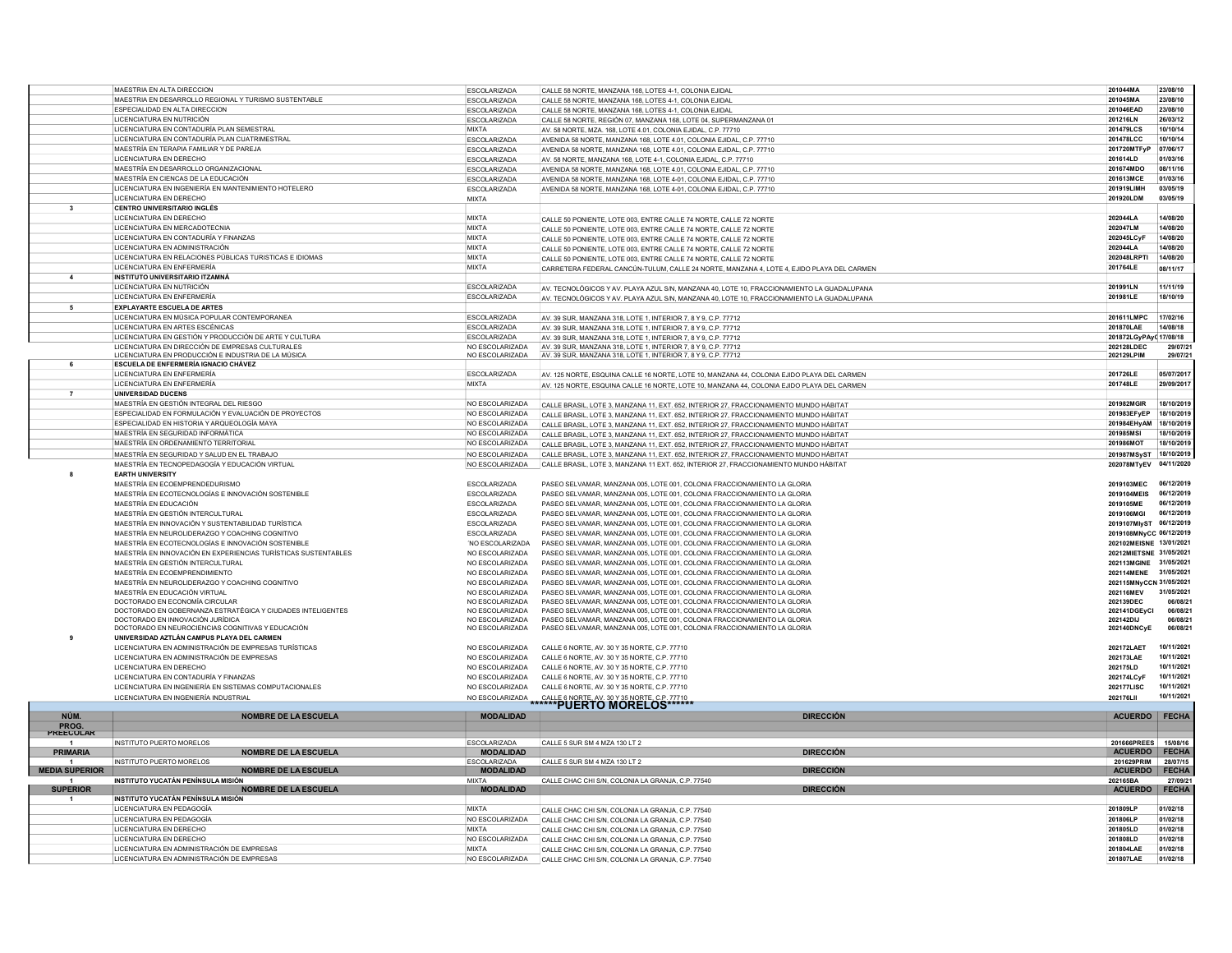|                       | MAESTRIA EN ALTA DIRECCION                                     | <b>ESCOLARIZADA</b> | CALLE 58 NORTE, MANZANA 168, LOTES 4-1, COLONIA EJIDAL                                                                                                                           | 201044MA                | 23/08/10     |
|-----------------------|----------------------------------------------------------------|---------------------|----------------------------------------------------------------------------------------------------------------------------------------------------------------------------------|-------------------------|--------------|
|                       | MAESTRIA EN DESARROLLO REGIONAL Y TURISMO SUSTENTABLE          | ESCOLARIZADA        | CALLE 58 NORTE, MANZANA 168, LOTES 4-1, COLONIA EJIDAL                                                                                                                           | 201045MA                | 23/08/10     |
|                       | ESPECIALIDAD EN ALTA DIRECCIÓN                                 | <b>ESCOLARIZADA</b> | CALLE 58 NORTE, MANZANA 168, LOTES 4-1, COLONIA EJIDAI                                                                                                                           | 201046EAD               | 23/08/10     |
|                       | LICENCIATURA EN NUTRICIÓN                                      | <b>ESCOLARIZADA</b> | CALLE 58 NORTE, REGIÓN 07, MANZANA 168, LOTE 04, SUPERMANZANA 01                                                                                                                 | 201216LN                | 26/03/12     |
|                       | LICENCIATURA EN CONTADURÍA PLAN SEMESTRAL                      | <b>MIXTA</b>        | AV. 58 NORTE, MZA, 168, LOTE 4.01, COLONIA EJIDAL, C.P. 77710                                                                                                                    | 201479LCS               | 10/10/14     |
|                       | LICENCIATURA EN CONTADURÍA PLAN CUATRIMESTRAL                  | ESCOLARIZADA        | AVENIDA 58 NORTE, MANZANA 168, LOTE 4.01, COLONIA EJIDAL, C.P. 77710                                                                                                             | 201478LCC               | 10/10/14     |
|                       | MAESTRÍA EN TERAPIA FAMILIAR Y DE PAREJA                       | <b>ESCOLARIZADA</b> | AVENIDA 58 NORTE, MANZANA 168, LOTE 4.01, COLONIA EJIDAL, C.P. 77710                                                                                                             | 201720MTFyP             | 07/06/17     |
|                       | LICENCIATURA EN DERECHO                                        | ESCOLARIZADA        | AV. 58 NORTE, MANZANA 168, LOTE 4-1, COLONIA EJIDAL, C.P. 77710                                                                                                                  | 201614LD                | 01/03/16     |
|                       | MAESTRÍA EN DESARROLLO ORGANIZACIONAL                          | <b>ESCOLARIZADA</b> | AVENIDA 58 NORTE, MANZANA 168, LOTE 4.01, COLONIA EJIDAL, C.P. 77710                                                                                                             | 201674MDO               | 08/11/16     |
|                       | MAESTRÍA EN CIENCAS DE LA EDUCACIÓN                            | <b>ESCOLARIZADA</b> | AVENIDA 58 NORTE, MANZANA 168, LOTE 4-01, COLONIA EJIDAL, C.P. 77710                                                                                                             | 201613MCE               | 01/03/16     |
|                       | LICENCIATURA EN INGENIERÍA EN MANTENIMIENTO HOTELERO           | <b>ESCOLARIZADA</b> | AVENIDA 58 NORTE, MANZANA 168, LOTE 4-01, COLONIA EJIDAL, C.P. 77710                                                                                                             | 201919LIMH              | 03/05/19     |
|                       | LICENCIATURA EN DERECHO                                        | <b>MIXTA</b>        |                                                                                                                                                                                  | 201920LDM               | 03/05/19     |
| $\mathbf{3}$          | <b>CENTRO UNIVERSITARIO INGLÉS</b>                             |                     |                                                                                                                                                                                  |                         |              |
|                       | LICENCIATURA EN DERECHO                                        | <b>MIXTA</b>        | CALLE 50 PONIENTE, LOTE 003, ENTRE CALLE 74 NORTE, CALLE 72 NORTE                                                                                                                | 202044LA                | 14/08/20     |
|                       | LICENCIATURA EN MERCADOTECNIA                                  | <b>MIXTA</b>        | CALLE 50 PONIENTE. LOTE 003. ENTRE CALLE 74 NORTE, CALLE 72 NORTE                                                                                                                | 202047LM                | 14/08/20     |
|                       | LICENCIATURA EN CONTADURÍA Y FINANZAS                          | <b>MIXTA</b>        | CALLE 50 PONIENTE, LOTE 003, ENTRE CALLE 74 NORTE, CALLE 72 NORTE                                                                                                                | 202045LCyF              | 14/08/20     |
|                       | LICENCIATURA EN ADMINISTRACIÓN                                 | <b>MIXTA</b>        | CALLE 50 PONIENTE. LOTE 003. ENTRE CALLE 74 NORTE, CALLE 72 NORTE                                                                                                                | 202044LA                | 14/08/20     |
|                       | LICENCIATURA EN RELACIONES PÚBLICAS TURISTICAS E IDIOMAS       | <b>MIXTA</b>        | CALLE 50 PONIENTE, LOTE 003, ENTRE CALLE 74 NORTE, CALLE 72 NORTE                                                                                                                | 202048LRPT              | 14/08/20     |
|                       | LICENCIATURA EN ENFERMERÍA                                     | <b>MIXTA</b>        | CARRETERA FEDERAL CANCÚN-TULUM, CALLE 24 NORTE, MANZANA 4, LOTE 4, EJIDO PLAYA DEL CARMEN                                                                                        | 201764LE                | 08/11/17     |
|                       | INSTITUTO UNIVERSITARIO ITZAMNÁ                                |                     |                                                                                                                                                                                  |                         |              |
|                       | LICENCIATURA EN NUTRICIÓN                                      | <b>ESCOLARIZADA</b> | AV. TECNOLÓGICOS Y AV. PLAYA AZUL S/N, MANZANA 40, LOTE 10, FRACCIONAMIENTO LA GUADALUPANA                                                                                       | 201991LN                | 11/11/19     |
|                       | LICENCIATURA EN ENFERMERÍA                                     | ESCOLARIZADA        | AV. TECNOLÓGICOS Y AV. PLAYA AZUL S/N, MANZANA 40, LOTE 10, FRACCIONAMIENTO LA GUADALUPANA                                                                                       | 201981LE                | 18/10/19     |
| -5                    | <b>EXPLAYARTE ESCUELA DE ARTES</b>                             |                     |                                                                                                                                                                                  |                         |              |
|                       | LICENCIATURA EN MÚSICA POPULAR CONTEMPORANEA                   | <b>ESCOLARIZADA</b> |                                                                                                                                                                                  | 201611LMPC              | 17/02/16     |
|                       | LICENCIATURA EN ARTES ESCÉNICAS                                | <b>ESCOLARIZADA</b> | AV. 39 SUR, MANZANA 318, LOTE 1, INTERIOR 7, 8 Y 9, C.P. 77712<br>AV. 39 SUR, MANZANA 318, LOTE 1, INTERIOR 7, 8 Y 9. C.P. 77712                                                 | 201870LAE               | 14/08/18     |
|                       | LICENCIATURA EN GESTIÓN Y PRODUCCIÓN DE ARTE Y CULTURA         | <b>ESCOLARIZADA</b> | AV. 39 SUR, MANZANA 318, LOTE 1, INTERIOR 7, 8 Y 9, C.P. 77712                                                                                                                   | 201872LGyPAyC 17/08/18  |              |
|                       | LICENCIATURA EN DIRECCIÓN DE EMPRESAS CULTURALES               | NO ESCOLARIZADA     | AV. 39 SUR, MANZANA 318, LOTE 1, INTERIOR 7, 8 Y 9, C.P. 77712                                                                                                                   | 202128LDEC              | 29/07/2      |
|                       | LICENCIATURA EN PRODUCCIÓN E INDUSTRIA DE LA MÚSICA            | NO ESCOLARIZADA     | AV. 39 SUR, MANZANA 318, LOTE 1, INTERIOR 7, 8 Y 9, C.P. 77712                                                                                                                   | 202129LPIM              | 29/07/21     |
| - 6                   | <b>ESCUELA DE ENFERMERÍA IGNACIO CHÁVEZ</b>                    |                     |                                                                                                                                                                                  |                         |              |
|                       | LICENCIATURA EN ENFERMERÍA                                     | <b>ESCOLARIZADA</b> | AV. 125 NORTE, ESQUINA CALLE 16 NORTE, LOTE 10, MANZANA 44, COLONIA EJIDO PLAYA DEL CARMEN                                                                                       | 201726LE                | 05/07/201    |
|                       | LICENCIATURA EN ENFERMERÍA                                     | <b>MIXTA</b>        | AV. 125 NORTE, ESQUINA CALLE 16 NORTE, LOTE 10, MANZANA 44, COLONIA EJIDO PLAYA DEL CARMEN                                                                                       | 201748LE                | 29/09/2017   |
| $\overline{7}$        | UNIVERSIDAD DUCENS                                             |                     |                                                                                                                                                                                  |                         |              |
|                       | MAESTRÍA EN GESTIÓN INTEGRAL DEL RIESGO                        | NO ESCOLARIZADA     | CALLE BRASIL, LOTE 3, MANZANA 11, EXT. 652, INTERIOR 27, FRACCIONAMIENTO MUNDO HÁBITAT                                                                                           | 201982MGIR              | 18/10/2019   |
|                       | ESPECIALIDAD EN FORMULACIÓN Y EVALUACIÓN DE PROYECTOS          | NO ESCOLARIZADA     |                                                                                                                                                                                  | 201983EFvEP             | 18/10/2019   |
|                       | ESPECIALIDAD EN HISTORIA Y ARQUEOLOGÍA MAYA                    | NO ESCOLARIZADA     | CALLE BRASIL, LOTE 3, MANZANA 11, EXT. 652, INTERIOR 27, FRACCIONAMIENTO MUNDO HÁBITAT<br>CALLE BRASIL, LOTE 3, MANZANA 11, EXT, 652, INTERIOR 27, FRACCIONAMIENTO MUNDO HÁBITAT | 201984EHvAM             | 18/10/2019   |
|                       | MAESTRÍA EN SEGURIDAD INFORMÁTICA                              | NO ESCOLARIZADA     |                                                                                                                                                                                  | 201985MSI               | 18/10/2019   |
|                       |                                                                |                     | CALLE BRASIL, LOTE 3, MANZANA 11, EXT. 652, INTERIOR 27, FRACCIONAMIENTO MUNDO HÁBITAT                                                                                           |                         |              |
|                       | MAESTRÍA EN ORDENAMIENTO TERRITORIAL                           | NO ESCOLARIZADA     | CALLE BRASIL. LOTE 3. MANZANA 11, EXT. 652. INTERIOR 27, FRACCIONAMIENTO MUNDO HÁBITAT                                                                                           | 201986MOT               | 18/10/2019   |
|                       | MAESTRÍA EN SEGURIDAD Y SALUD EN EL TRABAJO                    | NO ESCOLARIZADA     | CALLE BRASIL, LOTE 3, MANZANA 11, EXT. 652, INTERIOR 27, FRACCIONAMIENTO MUNDO HÁBITAT                                                                                           | 201987MSyST             | 18/10/2019   |
|                       | MAESTRÍA EN TECNOPEDAGOGÍA Y EDUCACIÓN VIRTUAL                 | NO ESCOLARIZADA     | CALLE BRASIL, LOTE 3, MANZANA 11 EXT. 652, INTERIOR 27, FRACCIONAMIENTO MUNDO HÁBITAT                                                                                            | 202078MTyEV             | 04/11/2020   |
| 8                     | <b>EARTH UNIVERSITY</b>                                        |                     |                                                                                                                                                                                  |                         |              |
|                       | MAESTRÍA EN ECOEMPRENDEDURISMO                                 | <b>ESCOLARIZADA</b> | PASEO SELVAMAR, MANZANA 005, LOTE 001, COLONIA FRACCIONAMIENTO LA GLORIA                                                                                                         | 2019103MEC              | 06/12/2019   |
|                       | MAESTRÍA EN ECOTECNOLOGÍAS E INNOVACIÓN SOSTENIBLE             | ESCOLARIZADA        | PASEO SELVAMAR, MANZANA 005, LOTE 001, COLONIA FRACCIONAMIENTO LA GLORIA                                                                                                         | 2019104MEIS             | 06/12/2019   |
|                       | MAESTRÍA EN EDUCACIÓN                                          | ESCOLARIZADA        | PASEO SELVAMAR, MANZANA 005, LOTE 001, COLONIA FRACCIONAMIENTO LA GLORIA                                                                                                         | 2019105ME               | 06/12/2019   |
|                       | MAESTRÍA EN GESTIÓN INTERCULTURAL                              | ESCOLARIZADA        | PASEO SELVAMAR, MANZANA 005, LOTE 001, COLONIA FRACCIONAMIENTO LA GLORIA                                                                                                         | 2019106MGI              | 06/12/2019   |
|                       | MAESTRÍA EN INNOVACIÓN Y SUSTENTABILIDAD TURÍSTICA             | <b>ESCOLARIZADA</b> | PASEO SELVAMAR, MANZANA 005, LOTE 001, COLONIA FRACCIONAMIENTO LA GLORIA                                                                                                         | 2019107MlyST 06/12/2019 |              |
|                       | MAESTRÍA EN NEUROLIDERAZGO Y COACHING COGNITIVO                | <b>ESCOLARIZADA</b> | PASEO SELVAMAR, MANZANA 005, LOTE 001, COLONIA FRACCIONAMIENTO LA GLORIA                                                                                                         | 2019108MNyCC 06/12/2019 |              |
|                       | MAESTRÍA EN ECOTECNOLOGÍAS E INNOVACIÓN SOSTENIBLE             | 'NO ESCOLARIZADA    | PASEO SELVAMAR, MANZANA 005, LOTE 001, COLONIA FRACCIONAMIENTO LA GLORIA                                                                                                         | 202102MEISNE            | 13/01/2021   |
|                       | MAESTRÍA EN INNOVACIÓN EN EXPERIENCIAS TURÍSTICAS SUSTENTABLES | NO ESCOLARIZADA     | PASEO SELVAMAR, MANZANA 005, LOTE 001, COLONIA FRACCIONAMIENTO LA GLORIA                                                                                                         | 20212MIETSNE 31/05/2021 |              |
|                       | MAESTRÍA EN GESTIÓN INTERCULTURAL                              | NO ESCOLARIZADA     | PASEO SELVAMAR, MANZANA 005, LOTE 001, COLONIA FRACCIONAMIENTO LA GLORIA                                                                                                         | 202113MGINE             | 31/05/2021   |
|                       | MAESTRÍA EN ECOEMPRENDIMIENTO                                  | NO ESCOLARIZADA     | PASEO SELVAMAR, MANZANA 005, LOTE 001, COLONIA FRACCIONAMIENTO LA GLORIA                                                                                                         | 202114MENE 31/05/2021   |              |
|                       | MAESTRÍA EN NEUROLIDERAZGO Y COACHING COGNITIVO                | NO ESCOLARIZADA     | PASEO SELVAMAR, MANZANA 005, LOTE 001, COLONIA FRACCIONAMIENTO LA GLORIA                                                                                                         | 202115MNyCCN 31/05/2021 |              |
|                       | MAESTRÍA EN EDUCACIÓN VIRTUAL                                  | NO ESCOLARIZADA     | PASEO SELVAMAR, MANZANA 005, LOTE 001, COLONIA FRACCIONAMIENTO LA GLORIA                                                                                                         | 202116MEV               | 31/05/2021   |
|                       | DOCTORADO EN ECONOMÍA CIRCUI AR                                | NO ESCOLARIZADA     | PASEO SELVAMAR, MANZANA 005, LOTE 001, COLONIA FRACCIONAMIENTO LA GLORIA                                                                                                         | 202139DEC               | 06/08/21     |
|                       | DOCTORADO EN GOBERNANZA ESTRATÉGICA Y CIUDADES INTELIGENTES    | NO ESCOLARIZADA     | PASEO SELVAMAR, MANZANA 005, LOTE 001, COLONIA FRACCIONAMIENTO LA GLORIA                                                                                                         | 202141DGEyCl            | 06/08/21     |
|                       | DOCTORADO EN INNOVACIÓN JURÍDICA                               | NO ESCOLARIZADA     | PASEO SELVAMAR, MANZANA 005, LOTE 001, COLONIA FRACCIONAMIENTO LA GLORIA                                                                                                         | 202142DIJ               | 06/08/21     |
|                       | DOCTORADO EN NEUROCIENCIAS COGNITIVAS Y EDUCACIÓN              | NO ESCOLARIZADA     | PASEO SELVAMAR, MANZANA 005, LOTE 001, COLONIA FRACCIONAMIENTO LA GLORIA                                                                                                         | 202140DNCyE             | 06/08/21     |
|                       | UNIVERSIDAD AZTLÁN CAMPUS PLAYA DEL CARMEN                     |                     |                                                                                                                                                                                  |                         |              |
|                       | LICENCIATURA EN ADMINISTRACIÓN DE EMPRESAS TURÍSTICAS          | NO ESCOLARIZADA     | CALLE 6 NORTE, AV. 30 Y 35 NORTE, C.P. 77710                                                                                                                                     | 202172LAET              | 10/11/2021   |
|                       | LICENCIATURA EN ADMINISTRACIÓN DE EMPRESAS                     | NO ESCOLARIZADA     | CALLE 6 NORTE, AV. 30 Y 35 NORTE, C.P. 77710                                                                                                                                     | 202173LAE               | 10/11/2021   |
|                       | LICENCIATURA EN DERECHO                                        | NO ESCOLARIZADA     | CALLE 6 NORTE, AV. 30 Y 35 NORTE, C.P. 77710                                                                                                                                     | 202175LD                | 10/11/2021   |
|                       | LICENCIATURA EN CONTADURÍA Y FINANZAS                          | NO ESCOLARIZADA     | CALLE 6 NORTE, AV, 30 Y 35 NORTE, C.P. 77710                                                                                                                                     | 202174LCyF              | 10/11/2021   |
|                       | LICENCIATURA EN INGENIERÍA EN SISTEMAS COMPUTACIONALES         | NO ESCOLARIZADA     | CALLE 6 NORTE, AV. 30 Y 35 NORTE, C.P. 77710                                                                                                                                     | 202177LISC              | 10/11/2021   |
|                       | LICENCIATURA EN INGENIERÍA INDUSTRIAL                          | NO ESCOLARIZADA     | CALLE 6 NORTE AV 30 Y 35 NORTE C.P. 77710                                                                                                                                        | 202176LII               | 10/11/2021   |
|                       |                                                                |                     | ******PUERTO MORELOS******                                                                                                                                                       |                         |              |
| NÚM.                  | <b>NOMBRE DE LA ESCUELA</b>                                    | <b>MODALIDAD</b>    | <b>DIRECCIÓN</b>                                                                                                                                                                 | <b>ACUERDO</b>          | <b>FECHA</b> |
| PROG.                 |                                                                |                     |                                                                                                                                                                                  |                         |              |
| PREECOLA              |                                                                |                     |                                                                                                                                                                                  |                         |              |
| $\overline{1}$        | INSTITUTO PUERTO MORELOS                                       | <b>ESCOLARIZADA</b> | CALLE 5 SUR SM 4 MZA 130 LT 2                                                                                                                                                    | 201666PREES 15/08/16    |              |
| <b>PRIMARIA</b>       | <b>NOMBRE DE LA ESCUELA</b>                                    | <b>MODALIDAD</b>    | <b>DIRECCIÓN</b>                                                                                                                                                                 | <b>ACUERDO</b>          | <b>FECHA</b> |
|                       | <b>INSTITUTO PUERTO MORELOS</b>                                | ESCOLARIZADA        | CALLE 5 SUR SM 4 MZA 130 LT 2                                                                                                                                                    | 201629PRIM              | 28/07/15     |
| <b>MEDIA SUPERIOR</b> | <b>NOMBRE DE LA ESCUELA</b>                                    | <b>MODALIDAD</b>    | <b>DIRECCIÓN</b>                                                                                                                                                                 | <b>ACUERDO</b>          | <b>FECHA</b> |
|                       | INSTITUTO YUCATÁN PENÍNSULA MISIÓN                             | <b>MIXTA</b>        | CALLE CHAC CHI S/N, COLONIA LA GRANJA, C.P. 77540                                                                                                                                | 202165BA                | 27/09/2      |
| <b>SUPERIOR</b>       | <b>NOMBRE DE LA ESCUELA</b>                                    | <b>MODALIDAD</b>    | <b>DIRECCIÓN</b>                                                                                                                                                                 | <b>ACUERDO</b>          | <b>FECHA</b> |
|                       | INSTITUTO YUCATÁN PENÍNSULA MISIÓN                             |                     |                                                                                                                                                                                  |                         |              |
|                       | LICENCIATURA EN PEDAGOGÍA                                      | <b>MIXTA</b>        | CALLE CHAC CHI S/N. COLONIA LA GRANJA, C.P. 77540                                                                                                                                | 201809LP                | 01/02/18     |
|                       | LICENCIATURA EN PEDAGOGÍA                                      | NO ESCOLARIZADA     | CALLE CHAC CHI S/N, COLONIA LA GRANJA, C.P. 77540                                                                                                                                | 201806LP                | 01/02/18     |
|                       | LICENCIATURA EN DERECHO                                        | <b>MIXTA</b>        | CALLE CHAC CHI S/N, COLONIA LA GRANJA, C.P. 77540                                                                                                                                | 201805LD                | 01/02/18     |
|                       | <b>LICENCIATURA EN DERECHO</b>                                 | NO ESCOLARIZADA     | CALLE CHAC CHI S/N, COLONIA LA GRANJA, C.P. 77540                                                                                                                                | 201808LD                | 01/02/18     |
|                       | LICENCIATURA EN ADMINISTRACIÓN DE EMPRESAS                     | <b>MIXTA</b>        | CALLE CHAC CHI S/N, COLONIA LA GRANJA, C.P. 77540                                                                                                                                | 201804LAE               | 01/02/18     |
|                       | LICENCIATURA EN ADMINISTRACIÓN DE EMPRESAS                     | NO ESCOLARIZADA     | CALLE CHAC CHI S/N, COLONIA LA GRANJA, C.P. 77540                                                                                                                                | 201807LAE               | 01/02/18     |
|                       |                                                                |                     |                                                                                                                                                                                  |                         |              |